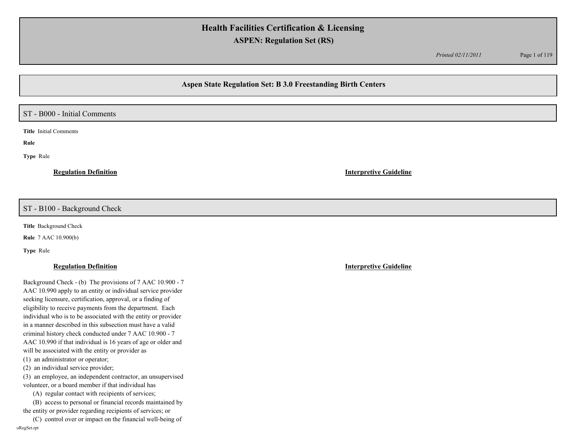*Printed 02/11/2011* Page 1 of 119

# **Aspen State Regulation Set: B 3.0 Freestanding Birth Centers**

## ST - B000 - Initial Comments

**Title** Initial Comments

**Rule** 

**Type** Rule

**Regulation Definition Interpretive Guideline**

## ST - B100 - Background Check

**Title** Background Check

**Rule** 7 AAC 10.900(b)

**Type** Rule

## **Regulation Definition Interpretive Guideline**

Background Check - (b) The provisions of 7 AAC 10.900 - 7 AAC 10.990 apply to an entity or individual service provider seeking licensure, certification, approval, or a finding of eligibility to receive payments from the department. Each individual who is to be associated with the entity or provider in a manner described in this subsection must have a valid criminal history check conducted under 7 AAC 10.900 - 7 AAC 10.990 if that individual is 16 years of age or older and will be associated with the entity or provider as (1) an administrator or operator; (2) an individual service provider;

(3) an employee, an independent contractor, an unsupervised volunteer, or a board member if that individual has

(A) regular contact with recipients of services;

 (B) access to personal or financial records maintained by the entity or provider regarding recipients of services; or

 (C) control over or impact on the financial well-being of oRegSet.rpt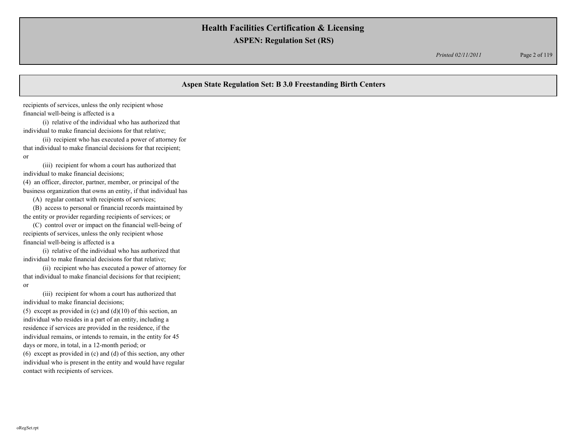*Printed 02/11/2011* Page 2 of 119

# **Aspen State Regulation Set: B 3.0 Freestanding Birth Centers**

recipients of services, unless the only recipient whose financial well-being is affected is a

 (i) relative of the individual who has authorized that individual to make financial decisions for that relative;

 (ii) recipient who has executed a power of attorney for that individual to make financial decisions for that recipient; or

 (iii) recipient for whom a court has authorized that individual to make financial decisions; (4) an officer, director, partner, member, or principal of the

business organization that owns an entity, if that individual has

(A) regular contact with recipients of services;

 (B) access to personal or financial records maintained by the entity or provider regarding recipients of services; or

 (C) control over or impact on the financial well-being of recipients of services, unless the only recipient whose financial well-being is affected is a

 (i) relative of the individual who has authorized that individual to make financial decisions for that relative;

 (ii) recipient who has executed a power of attorney for that individual to make financial decisions for that recipient; or

 (iii) recipient for whom a court has authorized that individual to make financial decisions;

(5) except as provided in (c) and  $(d)(10)$  of this section, an individual who resides in a part of an entity, including a residence if services are provided in the residence, if the individual remains, or intends to remain, in the entity for 45 days or more, in total, in a 12-month period; or (6) except as provided in (c) and (d) of this section, any other individual who is present in the entity and would have regular contact with recipients of services.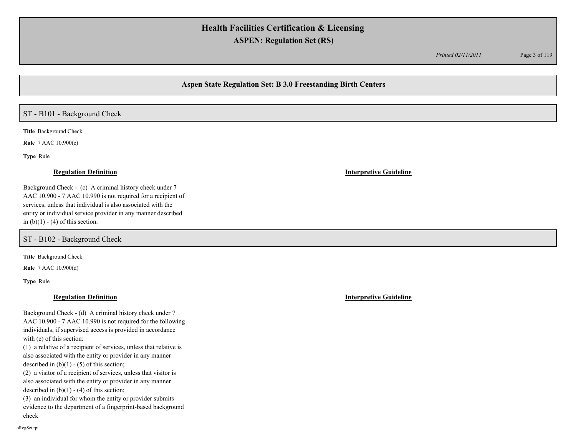*Printed 02/11/2011* Page 3 of 119

# **Aspen State Regulation Set: B 3.0 Freestanding Birth Centers**

# ST - B101 - Background Check

**Title** Background Check

**Rule** 7 AAC 10.900(c)

**Type** Rule

### **Regulation Definition Interpretive Guideline**

Background Check - (c) A criminal history check under 7 AAC 10.900 - 7 AAC 10.990 is not required for a recipient of services, unless that individual is also associated with the entity or individual service provider in any manner described in  $(b)(1) - (4)$  of this section.

ST - B102 - Background Check

**Title** Background Check

**Rule** 7 AAC 10.900(d)

**Type** Rule

## **Regulation Definition Interpretive Guideline**

Background Check - (d) A criminal history check under 7 AAC 10.900 - 7 AAC 10.990 is not required for the following individuals, if supervised access is provided in accordance with (e) of this section:

(1) a relative of a recipient of services, unless that relative is also associated with the entity or provider in any manner described in  $(b)(1) - (5)$  of this section;

(2) a visitor of a recipient of services, unless that visitor is also associated with the entity or provider in any manner described in  $(b)(1) - (4)$  of this section;

(3) an individual for whom the entity or provider submits evidence to the department of a fingerprint-based background check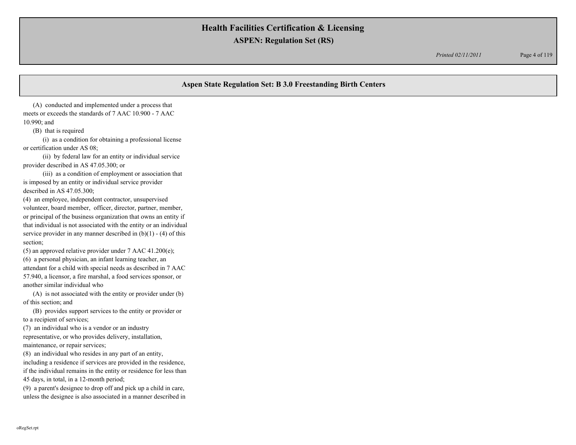*Printed 02/11/2011* Page 4 of 119

# **Aspen State Regulation Set: B 3.0 Freestanding Birth Centers**

 (A) conducted and implemented under a process that meets or exceeds the standards of 7 AAC 10.900 - 7 AAC 10.990; and

(B) that is required

 (i) as a condition for obtaining a professional license or certification under AS 08;

 (ii) by federal law for an entity or individual service provider described in AS 47.05.300; or

 (iii) as a condition of employment or association that is imposed by an entity or individual service provider described in AS 47.05.300;

(4) an employee, independent contractor, unsupervised volunteer, board member, officer, director, partner, member, or principal of the business organization that owns an entity if that individual is not associated with the entity or an individual service provider in any manner described in  $(b)(1) - (4)$  of this section;

(5) an approved relative provider under 7 AAC 41.200(e); (6) a personal physician, an infant learning teacher, an attendant for a child with special needs as described in 7 AAC 57.940, a licensor, a fire marshal, a food services sponsor, or another similar individual who

 (A) is not associated with the entity or provider under (b) of this section; and

 (B) provides support services to the entity or provider or to a recipient of services;

(7) an individual who is a vendor or an industry

representative, or who provides delivery, installation, maintenance, or repair services;

(8) an individual who resides in any part of an entity,

including a residence if services are provided in the residence, if the individual remains in the entity or residence for less than 45 days, in total, in a 12-month period;

(9) a parent's designee to drop off and pick up a child in care, unless the designee is also associated in a manner described in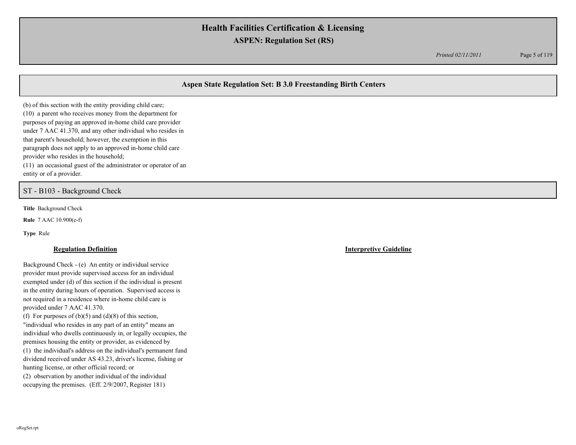*Printed 02/11/2011* Page 5 of 119

# **Aspen State Regulation Set: B 3.0 Freestanding Birth Centers**

(b) of this section with the entity providing child care; (10) a parent who receives money from the department for purposes of paying an approved in-home child care provider under 7 AAC 41.370, and any other individual who resides in that parent's household; however, the exemption in this paragraph does not apply to an approved in-home child care provider who resides in the household; (11) an occasional guest of the administrator or operator of an

entity or of a provider.

ST - B103 - Background Check

**Title** Background Check

**Rule** 7 AAC 10.900(e-f)

**Type** Rule

Background Check - (e) An entity or individual service provider must provide supervised access for an individual exempted under (d) of this section if the individual is present in the entity during hours of operation. Supervised access is not required in a residence where in-home child care is provided under 7 AAC 41.370. (f) For purposes of  $(b)(5)$  and  $(d)(8)$  of this section, "individual who resides in any part of an entity" means an individual who dwells continuously in, or legally occupies, the premises housing the entity or provider, as evidenced by

(1) the individual's address on the individual's permanent fund dividend received under AS 43.23, driver's license, fishing or hunting license, or other official record; or

(2) observation by another individual of the individual occupying the premises. (Eff. 2/9/2007, Register 181)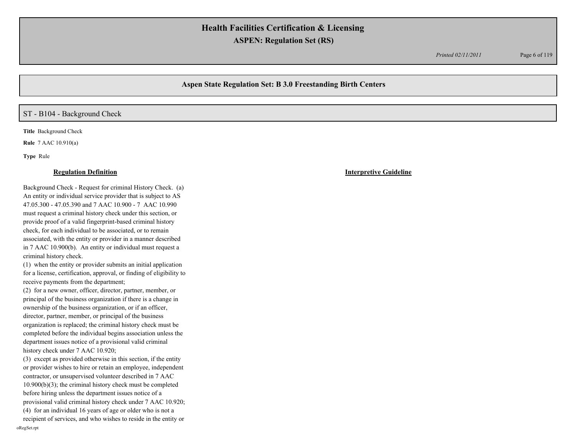*Printed 02/11/2011* Page 6 of 119

# **Aspen State Regulation Set: B 3.0 Freestanding Birth Centers**

# ST - B104 - Background Check

**Title** Background Check

**Rule** 7 AAC 10.910(a)

**Type** Rule

Background Check - Request for criminal History Check. (a) An entity or individual service provider that is subject to AS 47.05.300 - 47.05.390 and 7 AAC 10.900 - 7 AAC 10.990 must request a criminal history check under this section, or provide proof of a valid fingerprint-based criminal history check, for each individual to be associated, or to remain associated, with the entity or provider in a manner described in 7 AAC 10.900(b). An entity or individual must request a criminal history check.

(1) when the entity or provider submits an initial application for a license, certification, approval, or finding of eligibility to receive payments from the department;

(2) for a new owner, officer, director, partner, member, or principal of the business organization if there is a change in ownership of the business organization, or if an officer, director, partner, member, or principal of the business organization is replaced; the criminal history check must be completed before the individual begins association unless the department issues notice of a provisional valid criminal history check under 7 AAC 10.920;

(3) except as provided otherwise in this section, if the entity or provider wishes to hire or retain an employee, independent contractor, or unsupervised volunteer described in 7 AAC 10.900(b)(3); the criminal history check must be completed before hiring unless the department issues notice of a provisional valid criminal history check under 7 AAC 10.920; (4) for an individual 16 years of age or older who is not a

recipient of services, and who wishes to reside in the entity or oRegSet.rpt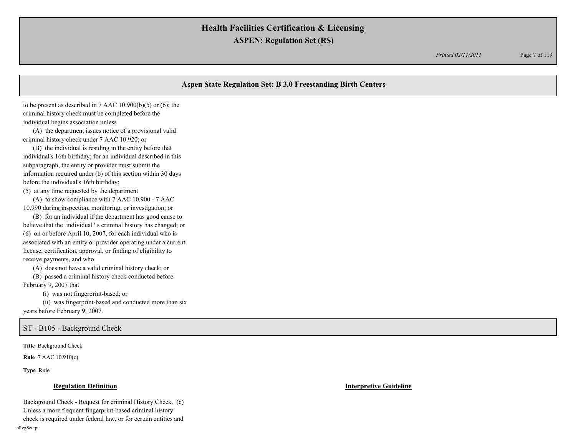*Printed 02/11/2011* Page 7 of 119

# **Aspen State Regulation Set: B 3.0 Freestanding Birth Centers** to be present as described in 7 AAC  $10.900(b)(5)$  or  $(6)$ ; the criminal history check must be completed before the individual begins association unless (A) the department issues notice of a provisional valid criminal history check under 7 AAC 10.920; or (B) the individual is residing in the entity before that individual's 16th birthday; for an individual described in this subparagraph, the entity or provider must submit the information required under (b) of this section within 30 days before the individual's 16th birthday; (5) at any time requested by the department (A) to show compliance with 7 AAC 10.900 - 7 AAC 10.990 during inspection, monitoring, or investigation; or (B) for an individual if the department has good cause to believe that the individual ' s criminal history has changed; or (6) on or before April 10, 2007, for each individual who is associated with an entity or provider operating under a current license, certification, approval, or finding of eligibility to receive payments, and who (A) does not have a valid criminal history check; or (B) passed a criminal history check conducted before February 9, 2007 that (i) was not fingerprint-based; or (ii) was fingerprint-based and conducted more than six years before February 9, 2007.

## ST - B105 - Background Check

**Title** Background Check

**Rule** 7 AAC 10.910(c)

**Type** Rule

### **Regulation Definition Interpretive Guideline**

Background Check - Request for criminal History Check. (c) Unless a more frequent fingerprint-based criminal history check is required under federal law, or for certain entities and oRegSet.rpt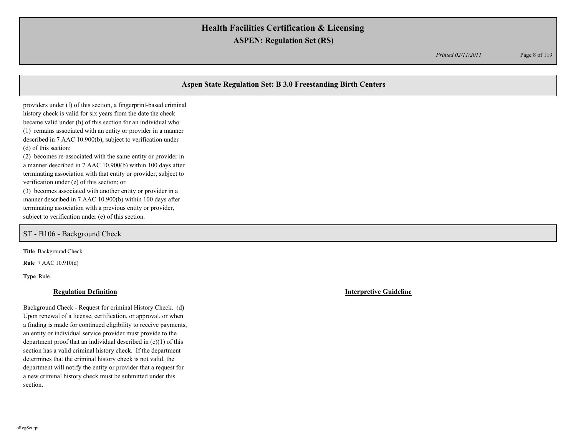*Printed 02/11/2011* Page 8 of 119

# **Aspen State Regulation Set: B 3.0 Freestanding Birth Centers**

providers under (f) of this section, a fingerprint-based criminal history check is valid for six years from the date the check became valid under (h) of this section for an individual who (1) remains associated with an entity or provider in a manner described in 7 AAC 10.900(b), subject to verification under (d) of this section;

(2) becomes re-associated with the same entity or provider in a manner described in 7 AAC 10.900(b) within 100 days after terminating association with that entity or provider, subject to verification under (e) of this section; or

(3) becomes associated with another entity or provider in a manner described in 7 AAC 10.900(b) within 100 days after terminating association with a previous entity or provider, subject to verification under (e) of this section.

## ST - B106 - Background Check

**Title** Background Check

**Rule** 7 AAC 10.910(d)

**Type** Rule

### **Regulation Definition Interpretive Guideline**

Background Check - Request for criminal History Check. (d) Upon renewal of a license, certification, or approval, or when a finding is made for continued eligibility to receive payments, an entity or individual service provider must provide to the department proof that an individual described in (c)(1) of this section has a valid criminal history check. If the department determines that the criminal history check is not valid, the department will notify the entity or provider that a request for a new criminal history check must be submitted under this section.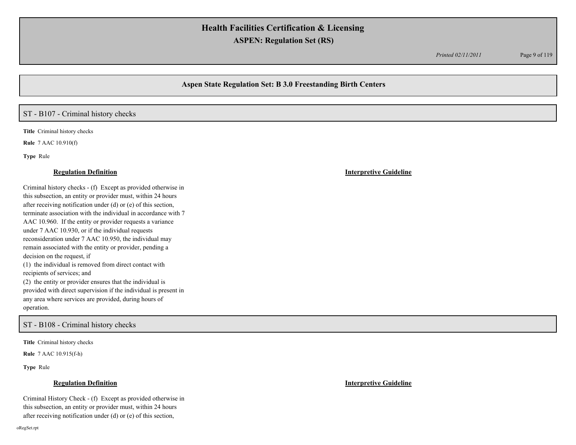*Printed 02/11/2011* Page 9 of 119

## **Aspen State Regulation Set: B 3.0 Freestanding Birth Centers**

## ST - B107 - Criminal history checks

**Title** Criminal history checks

**Rule** 7 AAC 10.910(f)

**Type** Rule

Criminal history checks - (f) Except as provided otherwise in this subsection, an entity or provider must, within 24 hours after receiving notification under (d) or (e) of this section, terminate association with the individual in accordance with 7 AAC 10.960. If the entity or provider requests a variance under 7 AAC 10.930, or if the individual requests reconsideration under 7 AAC 10.950, the individual may remain associated with the entity or provider, pending a decision on the request, if (1) the individual is removed from direct contact with recipients of services; and (2) the entity or provider ensures that the individual is provided with direct supervision if the individual is present in any area where services are provided, during hours of operation.

ST - B108 - Criminal history checks

**Title** Criminal history checks

**Rule** 7 AAC 10.915(f-h)

**Type** Rule

## **Regulation Definition Interpretive Guideline**

Criminal History Check - (f) Except as provided otherwise in this subsection, an entity or provider must, within 24 hours after receiving notification under (d) or (e) of this section,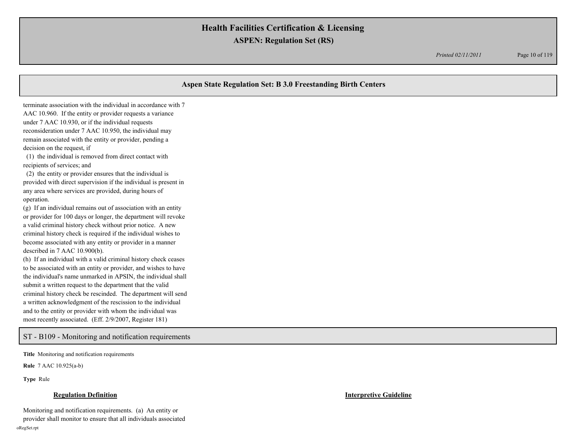*Printed 02/11/2011* Page 10 of 119

# **Aspen State Regulation Set: B 3.0 Freestanding Birth Centers** terminate association with the individual in accordance with 7 AAC 10.960. If the entity or provider requests a variance under 7 AAC 10.930, or if the individual requests reconsideration under 7 AAC 10.950, the individual may remain associated with the entity or provider, pending a decision on the request, if (1) the individual is removed from direct contact with recipients of services; and (2) the entity or provider ensures that the individual is provided with direct supervision if the individual is present in any area where services are provided, during hours of operation. (g) If an individual remains out of association with an entity or provider for 100 days or longer, the department will revoke a valid criminal history check without prior notice. A new criminal history check is required if the individual wishes to become associated with any entity or provider in a manner described in 7 AAC 10.900(b). (h) If an individual with a valid criminal history check ceases to be associated with an entity or provider, and wishes to have the individual's name unmarked in APSIN, the individual shall

criminal history check be rescinded. The department will send a written acknowledgment of the rescission to the individual and to the entity or provider with whom the individual was most recently associated. (Eff. 2/9/2007, Register 181)

submit a written request to the department that the valid

ST - B109 - Monitoring and notification requirements

**Title** Monitoring and notification requirements

**Rule** 7 AAC 10.925(a-b)

**Type** Rule

## **Regulation Definition Interpretive Guideline**

Monitoring and notification requirements. (a) An entity or provider shall monitor to ensure that all individuals associated oRegSet.rpt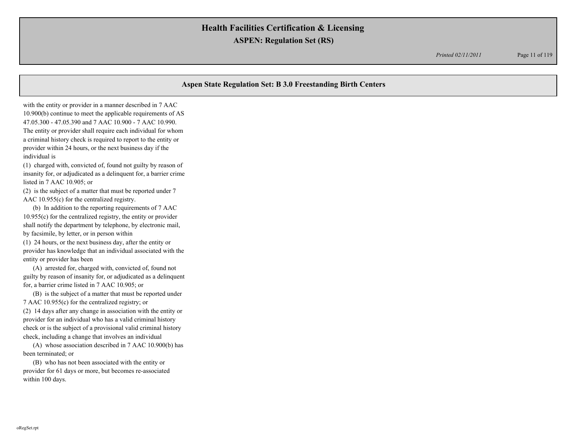*Printed 02/11/2011* Page 11 of 119

# **Aspen State Regulation Set: B 3.0 Freestanding Birth Centers**

with the entity or provider in a manner described in 7 AAC 10.900(b) continue to meet the applicable requirements of AS 47.05.300 - 47.05.390 and 7 AAC 10.900 - 7 AAC 10.990. The entity or provider shall require each individual for whom a criminal history check is required to report to the entity or provider within 24 hours, or the next business day if the individual is

(1) charged with, convicted of, found not guilty by reason of insanity for, or adjudicated as a delinquent for, a barrier crime listed in 7 AAC 10.905; or

(2) is the subject of a matter that must be reported under 7 AAC 10.955(c) for the centralized registry.

 (b) In addition to the reporting requirements of 7 AAC 10.955(c) for the centralized registry, the entity or provider shall notify the department by telephone, by electronic mail, by facsimile, by letter, or in person within

(1) 24 hours, or the next business day, after the entity or provider has knowledge that an individual associated with the entity or provider has been

 (A) arrested for, charged with, convicted of, found not guilty by reason of insanity for, or adjudicated as a delinquent for, a barrier crime listed in 7 AAC 10.905; or

 (B) is the subject of a matter that must be reported under 7 AAC 10.955(c) for the centralized registry; or

(2) 14 days after any change in association with the entity or provider for an individual who has a valid criminal history check or is the subject of a provisional valid criminal history check, including a change that involves an individual

 (A) whose association described in 7 AAC 10.900(b) has been terminated; or

 (B) who has not been associated with the entity or provider for 61 days or more, but becomes re-associated within 100 days.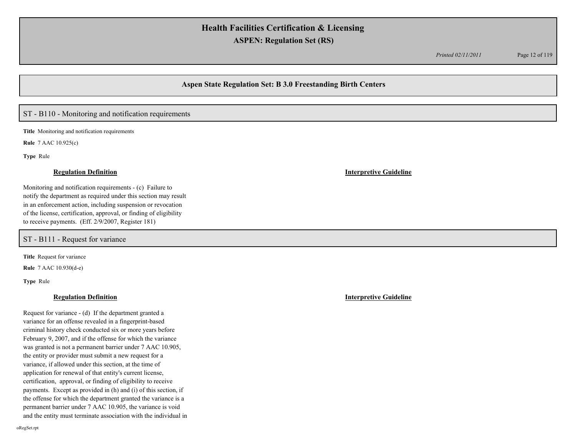*Printed 02/11/2011* Page 12 of 119

## **Aspen State Regulation Set: B 3.0 Freestanding Birth Centers**

## ST - B110 - Monitoring and notification requirements

**Title** Monitoring and notification requirements

**Rule** 7 AAC 10.925(c)

**Type** Rule

Monitoring and notification requirements - (c) Failure to notify the department as required under this section may result in an enforcement action, including suspension or revocation of the license, certification, approval, or finding of eligibility to receive payments. (Eff. 2/9/2007, Register 181)

ST - B111 - Request for variance

**Title** Request for variance

**Rule** 7 AAC 10.930(d-e)

**Type** Rule

## **Regulation Definition Interpretive Guideline**

Request for variance - (d) If the department granted a variance for an offense revealed in a fingerprint-based criminal history check conducted six or more years before February 9, 2007, and if the offense for which the variance was granted is not a permanent barrier under 7 AAC 10.905, the entity or provider must submit a new request for a variance, if allowed under this section, at the time of application for renewal of that entity's current license, certification, approval, or finding of eligibility to receive payments. Except as provided in (h) and (i) of this section, if the offense for which the department granted the variance is a permanent barrier under 7 AAC 10.905, the variance is void and the entity must terminate association with the individual in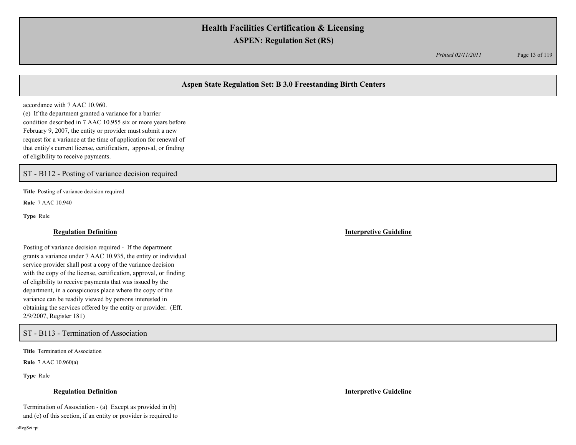*Printed 02/11/2011* Page 13 of 119

# **Aspen State Regulation Set: B 3.0 Freestanding Birth Centers**

accordance with 7 AAC 10.960. (e) If the department granted a variance for a barrier condition described in 7 AAC 10.955 six or more years before February 9, 2007, the entity or provider must submit a new request for a variance at the time of application for renewal of that entity's current license, certification, approval, or finding of eligibility to receive payments.

ST - B112 - Posting of variance decision required

**Title** Posting of variance decision required

**Rule** 7 AAC 10.940

**Type** Rule

Posting of variance decision required - If the department grants a variance under 7 AAC 10.935, the entity or individual service provider shall post a copy of the variance decision with the copy of the license, certification, approval, or finding of eligibility to receive payments that was issued by the department, in a conspicuous place where the copy of the variance can be readily viewed by persons interested in obtaining the services offered by the entity or provider. (Eff. 2/9/2007, Register 181)

ST - B113 - Termination of Association

**Title** Termination of Association

**Rule** 7 AAC 10.960(a)

**Type** Rule

### **Regulation Definition Interpretive Guideline**

Termination of Association - (a) Except as provided in (b) and (c) of this section, if an entity or provider is required to

oRegSet.rpt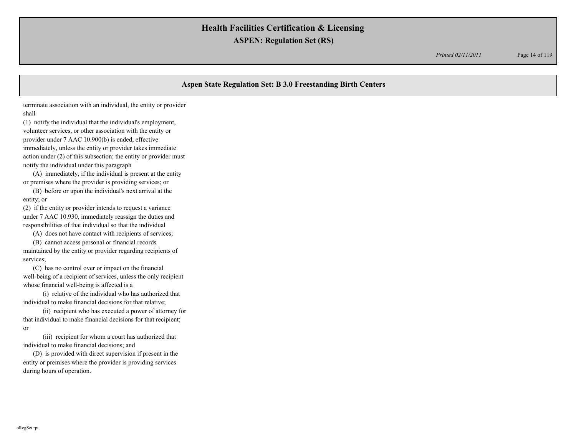*Printed 02/11/2011* Page 14 of 119

# **Aspen State Regulation Set: B 3.0 Freestanding Birth Centers** terminate association with an individual, the entity or provider shall (1) notify the individual that the individual's employment, volunteer services, or other association with the entity or provider under 7 AAC 10.900(b) is ended, effective immediately, unless the entity or provider takes immediate action under (2) of this subsection; the entity or provider must notify the individual under this paragraph (A) immediately, if the individual is present at the entity or premises where the provider is providing services; or (B) before or upon the individual's next arrival at the entity; or (2) if the entity or provider intends to request a variance under 7 AAC 10.930, immediately reassign the duties and responsibilities of that individual so that the individual

(A) does not have contact with recipients of services;

 (B) cannot access personal or financial records maintained by the entity or provider regarding recipients of services;

 (C) has no control over or impact on the financial well-being of a recipient of services, unless the only recipient whose financial well-being is affected is a

 (i) relative of the individual who has authorized that individual to make financial decisions for that relative;

 (ii) recipient who has executed a power of attorney for that individual to make financial decisions for that recipient; or

 (iii) recipient for whom a court has authorized that individual to make financial decisions; and

 (D) is provided with direct supervision if present in the entity or premises where the provider is providing services during hours of operation.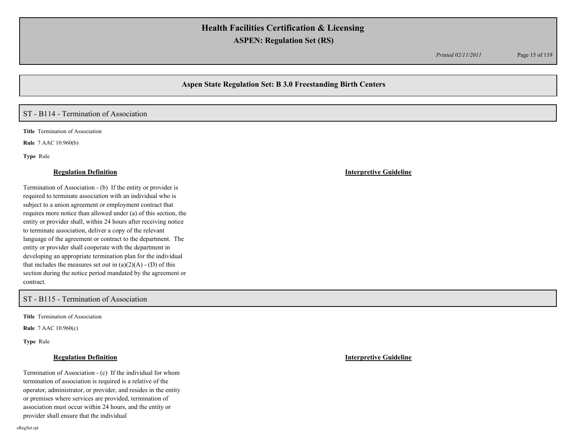*Printed 02/11/2011* Page 15 of 119

## **Aspen State Regulation Set: B 3.0 Freestanding Birth Centers**

## ST - B114 - Termination of Association

**Title** Termination of Association

**Rule** 7 AAC 10.960(b)

**Type** Rule

### **Regulation Definition Interpretive Guideline**

Termination of Association - (b) If the entity or provider is required to terminate association with an individual who is subject to a union agreement or employment contract that requires more notice than allowed under (a) of this section, the entity or provider shall, within 24 hours after receiving notice to terminate association, deliver a copy of the relevant language of the agreement or contract to the department. The entity or provider shall cooperate with the department in developing an appropriate termination plan for the individual that includes the measures set out in  $(a)(2)(A) - (D)$  of this section during the notice period mandated by the agreement or contract.

ST - B115 - Termination of Association

**Title** Termination of Association

**Rule** 7 AAC 10.960(c)

**Type** Rule

Termination of Association - (c) If the individual for whom termination of association is required is a relative of the operator, administrator, or provider, and resides in the entity or premises where services are provided, termination of association must occur within 24 hours, and the entity or provider shall ensure that the individual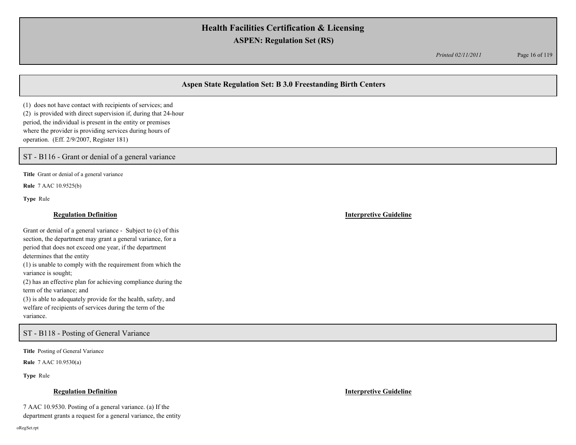*Printed 02/11/2011* Page 16 of 119

# **Aspen State Regulation Set: B 3.0 Freestanding Birth Centers**

(1) does not have contact with recipients of services; and (2) is provided with direct supervision if, during that 24-hour period, the individual is present in the entity or premises where the provider is providing services during hours of operation. (Eff. 2/9/2007, Register 181)

ST - B116 - Grant or denial of a general variance

**Title** Grant or denial of a general variance

**Rule** 7 AAC 10.9525(b)

**Type** Rule

## **Regulation Definition Interpretive Guideline**

Grant or denial of a general variance - Subject to (c) of this section, the department may grant a general variance, for a period that does not exceed one year, if the department determines that the entity (1) is unable to comply with the requirement from which the variance is sought; (2) has an effective plan for achieving compliance during the term of the variance; and (3) is able to adequately provide for the health, safety, and welfare of recipients of services during the term of the

variance.

## ST - B118 - Posting of General Variance

**Title** Posting of General Variance

**Rule** 7 AAC 10.9530(a)

**Type** Rule

## **Regulation Definition Interpretive Guideline**

7 AAC 10.9530. Posting of a general variance. (a) If the department grants a request for a general variance, the entity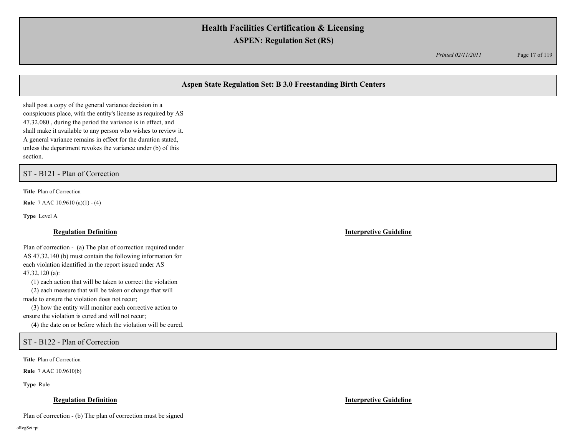*Printed 02/11/2011* Page 17 of 119

# **Aspen State Regulation Set: B 3.0 Freestanding Birth Centers**

shall post a copy of the general variance decision in a conspicuous place, with the entity's license as required by AS 47.32.080 , during the period the variance is in effect, and shall make it available to any person who wishes to review it. A general variance remains in effect for the duration stated, unless the department revokes the variance under (b) of this section.

ST - B121 - Plan of Correction

**Title** Plan of Correction

**Rule** 7 AAC 10.9610 (a)(1) - (4)

**Type** Level A

### **Regulation Definition Interpretive Guideline**

Plan of correction - (a) The plan of correction required under AS 47.32.140 (b) must contain the following information for each violation identified in the report issued under AS 47.32.120 (a):

(1) each action that will be taken to correct the violation

 (2) each measure that will be taken or change that will made to ensure the violation does not recur;

 (3) how the entity will monitor each corrective action to ensure the violation is cured and will not recur;

(4) the date on or before which the violation will be cured.

ST - B122 - Plan of Correction

**Title** Plan of Correction

**Rule** 7 AAC 10.9610(b)

**Type** Rule

## **Regulation Definition Interpretive Guideline**

Plan of correction - (b) The plan of correction must be signed

oRegSet.rpt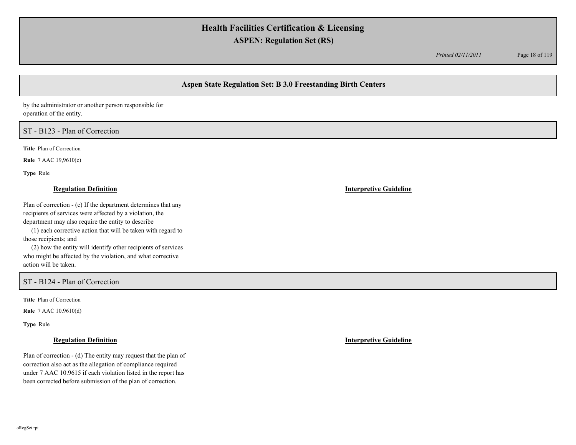*Printed 02/11/2011* Page 18 of 119

# **Aspen State Regulation Set: B 3.0 Freestanding Birth Centers**

by the administrator or another person responsible for operation of the entity.

# ST - B123 - Plan of Correction

**Title** Plan of Correction

**Rule** 7 AAC 19,9610(c)

**Type** Rule

## **Regulation Definition Interpretive Guideline**

Plan of correction - (c) If the department determines that any recipients of services were affected by a violation, the department may also require the entity to describe

 (1) each corrective action that will be taken with regard to those recipients; and

 (2) how the entity will identify other recipients of services who might be affected by the violation, and what corrective action will be taken.

ST - B124 - Plan of Correction

**Title** Plan of Correction

**Rule** 7 AAC 10.9610(d)

**Type** Rule

Plan of correction - (d) The entity may request that the plan of correction also act as the allegation of compliance required under 7 AAC 10.9615 if each violation listed in the report has been corrected before submission of the plan of correction.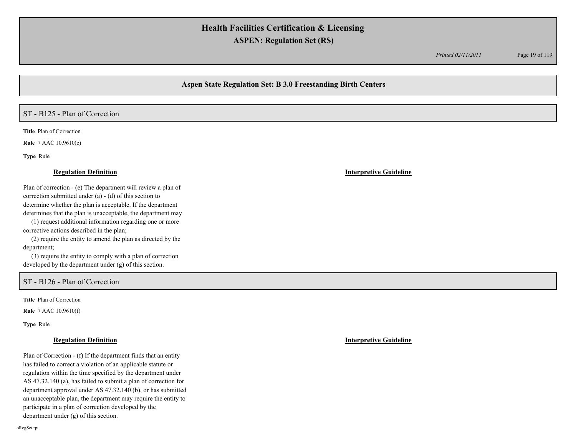*Printed 02/11/2011* Page 19 of 119

# **Aspen State Regulation Set: B 3.0 Freestanding Birth Centers**

# ST - B125 - Plan of Correction

**Title** Plan of Correction

**Rule** 7 AAC 10.9610(e)

**Type** Rule

### **Regulation Definition Interpretive Guideline**

Plan of correction - (e) The department will review a plan of correction submitted under (a) - (d) of this section to determine whether the plan is acceptable. If the department determines that the plan is unacceptable, the department may

 (1) request additional information regarding one or more corrective actions described in the plan;

 (2) require the entity to amend the plan as directed by the department;

 (3) require the entity to comply with a plan of correction developed by the department under (g) of this section.

# ST - B126 - Plan of Correction

**Title** Plan of Correction

**Rule** 7 AAC 10.9610(f)

**Type** Rule

Plan of Correction - (f) If the department finds that an entity has failed to correct a violation of an applicable statute or regulation within the time specified by the department under AS 47.32.140 (a), has failed to submit a plan of correction for department approval under AS 47.32.140 (b), or has submitted an unacceptable plan, the department may require the entity to participate in a plan of correction developed by the department under (g) of this section.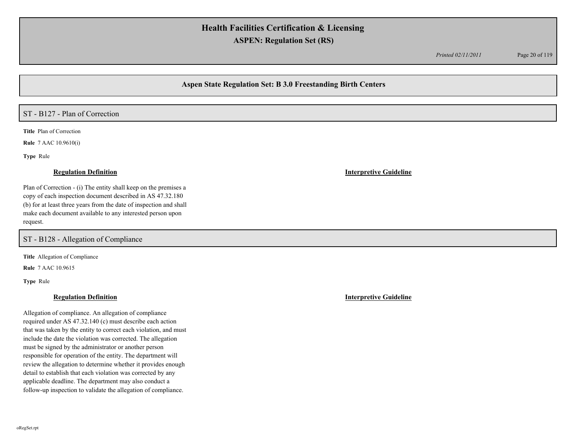*Printed 02/11/2011* Page 20 of 119

# **Aspen State Regulation Set: B 3.0 Freestanding Birth Centers**

# ST - B127 - Plan of Correction

**Title** Plan of Correction

**Rule** 7 AAC 10.9610(i)

**Type** Rule

Plan of Correction - (i) The entity shall keep on the premises a copy of each inspection document described in AS 47.32.180 (b) for at least three years from the date of inspection and shall make each document available to any interested person upon request.

ST - B128 - Allegation of Compliance

**Title** Allegation of Compliance

**Rule** 7 AAC 10.9615

**Type** Rule

Allegation of compliance. An allegation of compliance required under AS 47.32.140 (c) must describe each action that was taken by the entity to correct each violation, and must include the date the violation was corrected. The allegation must be signed by the administrator or another person responsible for operation of the entity. The department will review the allegation to determine whether it provides enough detail to establish that each violation was corrected by any applicable deadline. The department may also conduct a follow-up inspection to validate the allegation of compliance.

**Regulation Definition Interpretive Guideline**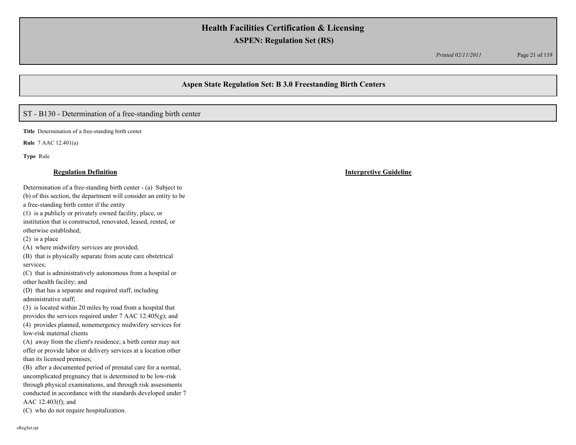*Printed 02/11/2011* Page 21 of 119

# **Aspen State Regulation Set: B 3.0 Freestanding Birth Centers**

# ST - B130 - Determination of a free-standing birth center

**Title** Determination of a free-standing birth center

**Rule** 7 AAC 12.401(a)

**Type** Rule

Determination of a free-standing birth center - (a) Subject to (b) of this section, the department will consider an entity to be

a free-standing birth center if the entity

(1) is a publicly or privately owned facility, place, or

institution that is constructed, renovated, leased, rented, or otherwise established;

(2) is a place

(A) where midwifery services are provided;

(B) that is physically separate from acute care obstetrical services;

(C) that is administratively autonomous from a hospital or other health facility; and

(D) that has a separate and required staff, including administrative staff;

(3) is located within 20 miles by road from a hospital that provides the services required under 7 AAC 12.405(g); and (4) provides planned, nonemergency midwifery services for

low-risk maternal clients

(A) away from the client's residence; a birth center may not offer or provide labor or delivery services at a location other than its licensed premises;

(B) after a documented period of prenatal care for a normal, uncomplicated pregnancy that is determined to be low-risk through physical examinations, and through risk assessments conducted in accordance with the standards developed under 7 AAC 12.403(f); and

(C) who do not require hospitalization.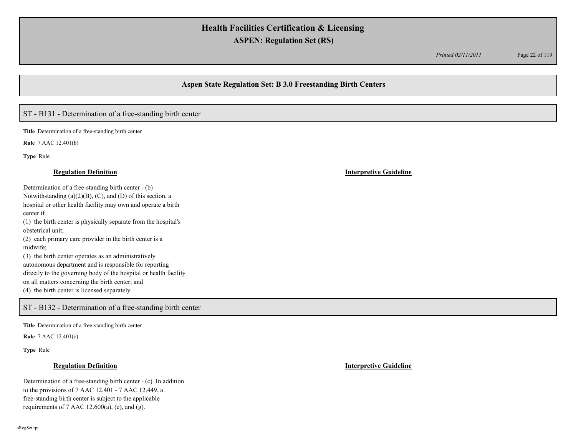*Printed 02/11/2011* Page 22 of 119

# **Aspen State Regulation Set: B 3.0 Freestanding Birth Centers**

# ST - B131 - Determination of a free-standing birth center

**Title** Determination of a free-standing birth center

**Rule** 7 AAC 12.401(b)

**Type** Rule

Determination of a free-standing birth center - (b) Notwithstanding  $(a)(2)(B)$ ,  $(C)$ , and  $(D)$  of this section, a hospital or other health facility may own and operate a birth center if (1) the birth center is physically separate from the hospital's obstetrical unit; (2) each primary care provider in the birth center is a midwife; (3) the birth center operates as an administratively autonomous department and is responsible for reporting directly to the governing body of the hospital or health facility on all matters concerning the birth center; and

(4) the birth center is licensed separately.

## ST - B132 - Determination of a free-standing birth center

**Title** Determination of a free-standing birth center

**Rule** 7 AAC 12.401(c)

**Type** Rule

## **Regulation Definition Interpretive Guideline**

Determination of a free-standing birth center - (c) In addition to the provisions of 7 AAC 12.401 - 7 AAC 12.449, a free-standing birth center is subject to the applicable requirements of 7 AAC 12.600(a), (e), and (g).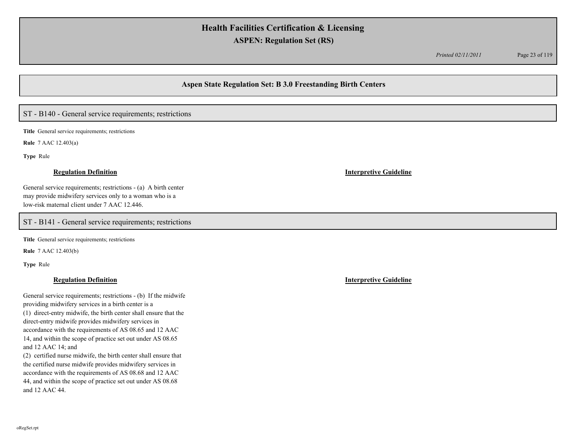*Printed 02/11/2011* Page 23 of 119

## **Aspen State Regulation Set: B 3.0 Freestanding Birth Centers**

# ST - B140 - General service requirements; restrictions

**Title** General service requirements; restrictions

**Rule** 7 AAC 12.403(a)

**Type** Rule

### **Regulation Definition Interpretive Guideline**

General service requirements; restrictions - (a) A birth center may provide midwifery services only to a woman who is a low-risk maternal client under 7 AAC 12.446.

## ST - B141 - General service requirements; restrictions

**Title** General service requirements; restrictions

**Rule** 7 AAC 12.403(b)

**Type** Rule

General service requirements; restrictions - (b) If the midwife providing midwifery services in a birth center is a (1) direct-entry midwife, the birth center shall ensure that the direct-entry midwife provides midwifery services in accordance with the requirements of AS 08.65 and 12 AAC 14, and within the scope of practice set out under AS 08.65 and 12 AAC 14; and

(2) certified nurse midwife, the birth center shall ensure that the certified nurse midwife provides midwifery services in accordance with the requirements of AS 08.68 and 12 AAC 44, and within the scope of practice set out under AS 08.68 and 12 AAC 44.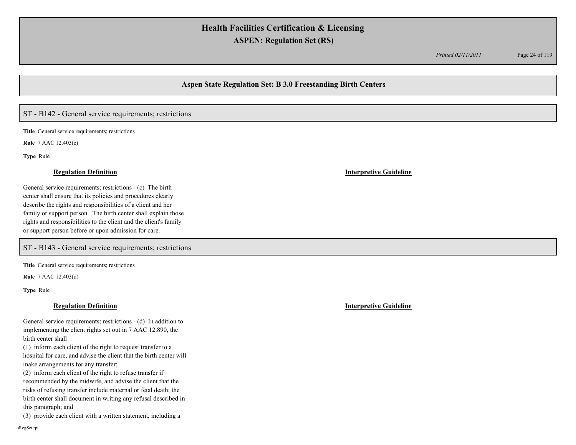*Printed 02/11/2011* Page 24 of 119

## **Aspen State Regulation Set: B 3.0 Freestanding Birth Centers**

## ST - B142 - General service requirements; restrictions

**Title** General service requirements; restrictions

**Rule** 7 AAC 12.403(c)

**Type** Rule

### **Regulation Definition Interpretive Guideline**

General service requirements; restrictions - (c) The birth center shall ensure that its policies and procedures clearly describe the rights and responsibilities of a client and her family or support person. The birth center shall explain those rights and responsibilities to the client and the client's family or support person before or upon admission for care.

ST - B143 - General service requirements; restrictions

**Title** General service requirements; restrictions

**Rule** 7 AAC 12.403(d)

**Type** Rule

### **Regulation Definition Interpretive Guideline**

General service requirements; restrictions - (d) In addition to implementing the client rights set out in 7 AAC 12.890, the birth center shall

(1) inform each client of the right to request transfer to a hospital for care, and advise the client that the birth center will make arrangements for any transfer;

(2) inform each client of the right to refuse transfer if recommended by the midwife, and advise the client that the risks of refusing transfer include maternal or fetal death; the birth center shall document in writing any refusal described in this paragraph; and

(3) provide each client with a written statement, including a

oRegSet.rpt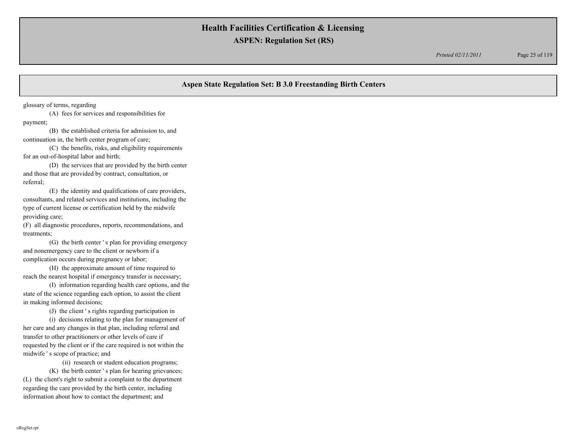*Printed 02/11/2011* Page 25 of 119

# **Aspen State Regulation Set: B 3.0 Freestanding Birth Centers**

glossary of terms, regarding

(A) fees for services and responsibilities for payment;

(B) the established criteria for admission to, and continuation in, the birth center program of care;

(C) the benefits, risks, and eligibility requirements for an out-of-hospital labor and birth;

(D) the services that are provided by the birth center and those that are provided by contract, consultation, or referral;

(E) the identity and qualifications of care providers, consultants, and related services and institutions, including the type of current license or certification held by the midwife providing care;

(F) all diagnostic procedures, reports, recommendations, and treatments;

(G) the birth center ' s plan for providing emergency and nonemergency care to the client or newborn if a complication occurs during pregnancy or labor;

(H) the approximate amount of time required to reach the nearest hospital if emergency transfer is necessary;

(I) information regarding health care options, and the state of the science regarding each option, to assist the client in making informed decisions;

(J) the client ' s rights regarding participation in

(i) decisions relating to the plan for management of her care and any changes in that plan, including referral and transfer to other practitioners or other levels of care if requested by the client or if the care required is not within the midwife ' s scope of practice; and

(ii) research or student education programs;

(K) the birth center ' s plan for hearing grievances; (L) the client's right to submit a complaint to the department regarding the care provided by the birth center, including information about how to contact the department; and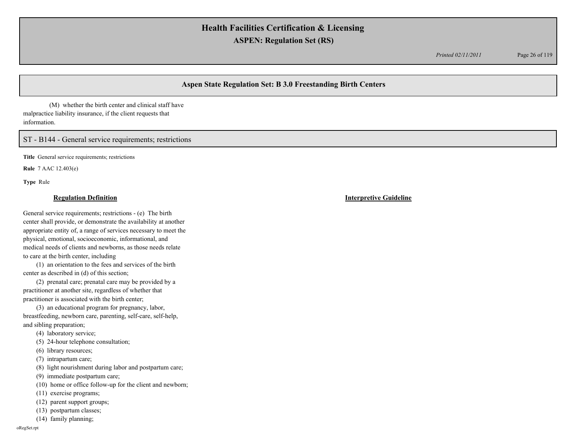*Printed 02/11/2011* Page 26 of 119

# **Aspen State Regulation Set: B 3.0 Freestanding Birth Centers**

(M) whether the birth center and clinical staff have malpractice liability insurance, if the client requests that information.

ST - B144 - General service requirements; restrictions

**Title** General service requirements; restrictions

**Rule** 7 AAC 12.403(e)

**Type** Rule

### **Regulation Definition Interpretive Guideline**

General service requirements; restrictions - (e) The birth center shall provide, or demonstrate the availability at another appropriate entity of, a range of services necessary to meet the physical, emotional, socioeconomic, informational, and medical needs of clients and newborns, as those needs relate to care at the birth center, including

(1) an orientation to the fees and services of the birth center as described in (d) of this section;

(2) prenatal care; prenatal care may be provided by a practitioner at another site, regardless of whether that practitioner is associated with the birth center;

(3) an educational program for pregnancy, labor, breastfeeding, newborn care, parenting, self-care, self-help, and sibling preparation;

(4) laboratory service;

- (5) 24-hour telephone consultation;
- (6) library resources;
- (7) intrapartum care;
- (8) light nourishment during labor and postpartum care;
- (9) immediate postpartum care;
- (10) home or office follow-up for the client and newborn;
- (11) exercise programs;
- (12) parent support groups;
- (13) postpartum classes;
- (14) family planning;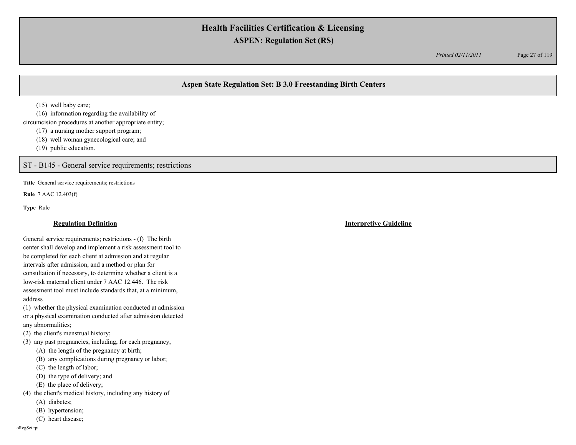*Printed 02/11/2011* Page 27 of 119

# **Aspen State Regulation Set: B 3.0 Freestanding Birth Centers**

(15) well baby care;

(16) information regarding the availability of circumcision procedures at another appropriate entity;

(17) a nursing mother support program;

(18) well woman gynecological care; and

(19) public education.

ST - B145 - General service requirements; restrictions

**Title** General service requirements; restrictions

**Rule** 7 AAC 12.403(f)

**Type** Rule

General service requirements; restrictions - (f) The birth center shall develop and implement a risk assessment tool to be completed for each client at admission and at regular intervals after admission, and a method or plan for consultation if necessary, to determine whether a client is a low-risk maternal client under 7 AAC 12.446. The risk assessment tool must include standards that, at a minimum, address

(1) whether the physical examination conducted at admission or a physical examination conducted after admission detected any abnormalities;

(2) the client's menstrual history;

(3) any past pregnancies, including, for each pregnancy,

(A) the length of the pregnancy at birth;

(B) any complications during pregnancy or labor;

(C) the length of labor;

(D) the type of delivery; and

(E) the place of delivery;

(4) the client's medical history, including any history of

(A) diabetes;

(B) hypertension;

(C) heart disease;

oRegSet.rpt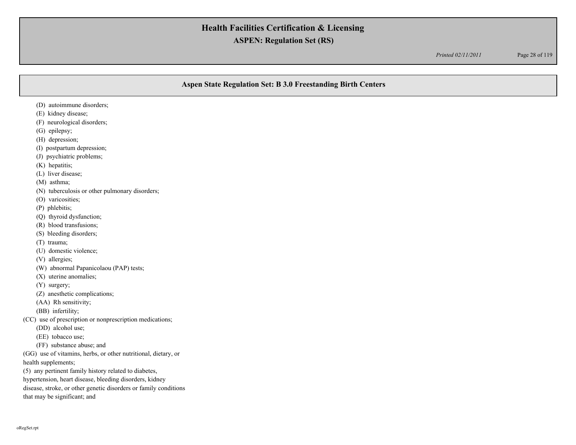*Printed 02/11/2011* Page 28 of 119

# **Aspen State Regulation Set: B 3.0 Freestanding Birth Centers**

- (D) autoimmune disorders;
- (E) kidney disease;
- (F) neurological disorders;
- (G) epilepsy;
- (H) depression;
- (I) postpartum depression;
- (J) psychiatric problems;
- (K) hepatitis;
- (L) liver disease;
- (M) asthma;
- (N) tuberculosis or other pulmonary disorders;
- (O) varicosities;
- (P) phlebitis;
- (Q) thyroid dysfunction;
- (R) blood transfusions;
- (S) bleeding disorders;
- (T) trauma;
- (U) domestic violence;
- (V) allergies;
- (W) abnormal Papanicolaou (PAP) tests;
- (X) uterine anomalies;
- (Y) surgery;
- (Z) anesthetic complications;
- (AA) Rh sensitivity;
- (BB) infertility;
- (CC) use of prescription or nonprescription medications;
	- (DD) alcohol use;
	- (EE) tobacco use;
	- (FF) substance abuse; and
- (GG) use of vitamins, herbs, or other nutritional, dietary, or

health supplements;

- (5) any pertinent family history related to diabetes,
- hypertension, heart disease, bleeding disorders, kidney
- disease, stroke, or other genetic disorders or family conditions
- that may be significant; and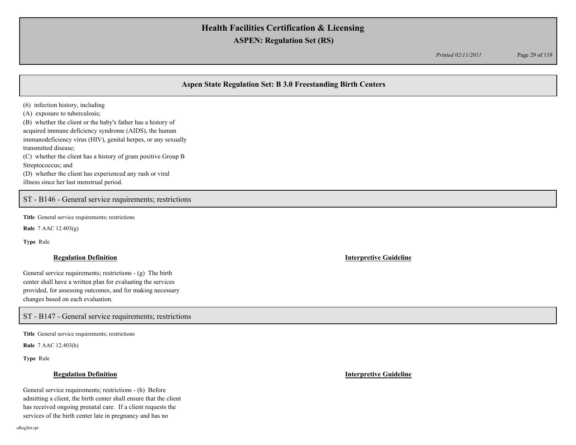*Printed 02/11/2011* Page 29 of 119

# **Aspen State Regulation Set: B 3.0 Freestanding Birth Centers**

(6) infection history, including

(A) exposure to tuberculosis;

(B) whether the client or the baby's father has a history of acquired immune deficiency syndrome (AIDS), the human immunodeficiency virus (HIV), genital herpes, or any sexually transmitted disease; (C) whether the client has a history of gram positive Group B

Streptococcus; and (D) whether the client has experienced any rash or viral

illness since her last menstrual period.

ST - B146 - General service requirements; restrictions

**Title** General service requirements; restrictions

**Rule** 7 AAC 12.403(g)

**Type** Rule

### **Regulation Definition Interpretive Guideline**

General service requirements; restrictions - (g) The birth center shall have a written plan for evaluating the services provided, for assessing outcomes, and for making necessary changes based on each evaluation.

ST - B147 - General service requirements; restrictions

**Title** General service requirements; restrictions

**Rule** 7 AAC 12.403(h)

**Type** Rule

General service requirements; restrictions - (h) Before admitting a client, the birth center shall ensure that the client has received ongoing prenatal care. If a client requests the services of the birth center late in pregnancy and has no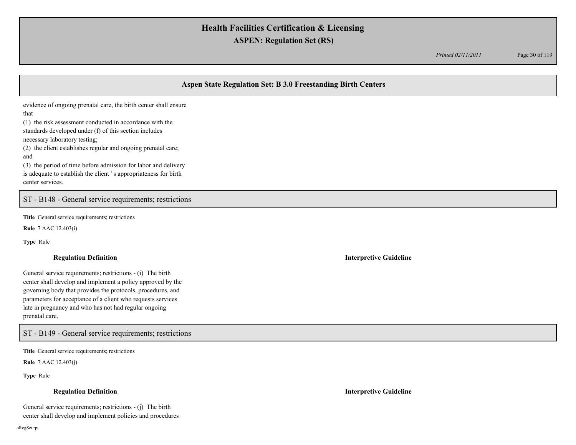*Printed 02/11/2011* Page 30 of 119

# **Aspen State Regulation Set: B 3.0 Freestanding Birth Centers**

evidence of ongoing prenatal care, the birth center shall ensure

that

(1) the risk assessment conducted in accordance with the standards developed under (f) of this section includes

necessary laboratory testing;

(2) the client establishes regular and ongoing prenatal care; and

(3) the period of time before admission for labor and delivery is adequate to establish the client ' s appropriateness for birth center services.

ST - B148 - General service requirements; restrictions

**Title** General service requirements; restrictions

**Rule** 7 AAC 12.403(i)

**Type** Rule

### **Regulation Definition Interpretive Guideline**

General service requirements; restrictions - (i) The birth center shall develop and implement a policy approved by the governing body that provides the protocols, procedures, and parameters for acceptance of a client who requests services late in pregnancy and who has not had regular ongoing prenatal care.

ST - B149 - General service requirements; restrictions

**Title** General service requirements; restrictions

**Rule** 7 AAC 12.403(j)

**Type** Rule

## **Regulation Definition Interpretive Guideline**

General service requirements; restrictions - (j) The birth center shall develop and implement policies and procedures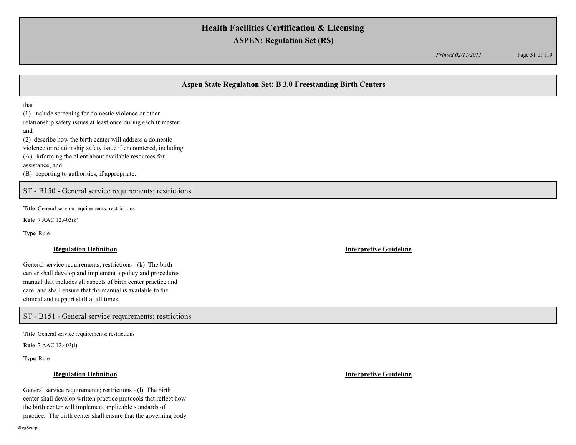*Printed 02/11/2011* Page 31 of 119

# **Aspen State Regulation Set: B 3.0 Freestanding Birth Centers**

that

(1) include screening for domestic violence or other relationship safety issues at least once during each trimester; and (2) describe how the birth center will address a domestic violence or relationship safety issue if encountered, including (A) informing the client about available resources for assistance; and

(B) reporting to authorities, if appropriate.

ST - B150 - General service requirements; restrictions

**Title** General service requirements; restrictions

**Rule** 7 AAC 12.403(k)

**Type** Rule

### **Regulation Definition Interpretive Guideline**

General service requirements; restrictions - (k) The birth center shall develop and implement a policy and procedures manual that includes all aspects of birth center practice and care, and shall ensure that the manual is available to the clinical and support staff at all times.

ST - B151 - General service requirements; restrictions

**Title** General service requirements; restrictions

**Rule** 7 AAC 12.403(l)

**Type** Rule

General service requirements; restrictions - (l) The birth center shall develop written practice protocols that reflect how the birth center will implement applicable standards of practice. The birth center shall ensure that the governing body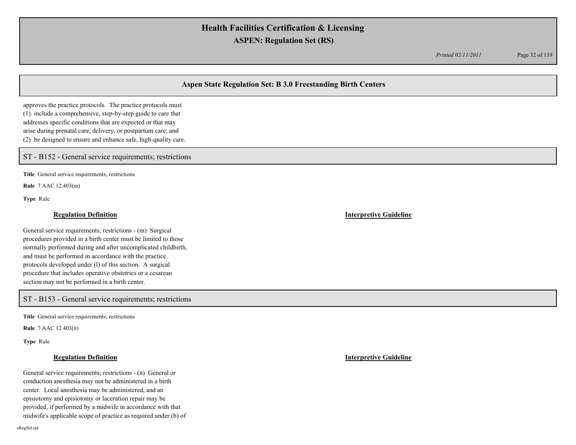*Printed 02/11/2011* Page 32 of 119

# **Aspen State Regulation Set: B 3.0 Freestanding Birth Centers**

approves the practice protocols. The practice protocols must (1) include a comprehensive, step-by-step guide to care that addresses specific conditions that are expected or that may arise during prenatal care, delivery, or postpartum care; and (2) be designed to ensure and enhance safe, high-quality care.

ST - B152 - General service requirements; restrictions

**Title** General service requirements; restrictions

**Rule** 7 AAC 12.403(m)

**Type** Rule

## **Regulation Definition Interpretive Guideline**

General service requirements; restrictions - (m) Surgical procedures provided in a birth center must be limited to those normally performed during and after uncomplicated childbirth, and must be performed in accordance with the practice protocols developed under (l) of this section. A surgical procedure that includes operative obstetrics or a cesarean section may not be performed in a birth center.

## ST - B153 - General service requirements; restrictions

**Title** General service requirements; restrictions

**Rule** 7 AAC 12.403(n)

**Type** Rule

General service requirements; restrictions - (n) General or conduction anesthesia may not be administered in a birth center. Local anesthesia may be administered, and an episiotomy and episiotomy or laceration repair may be provided, if performed by a midwife in accordance with that midwife's applicable scope of practice as required under (b) of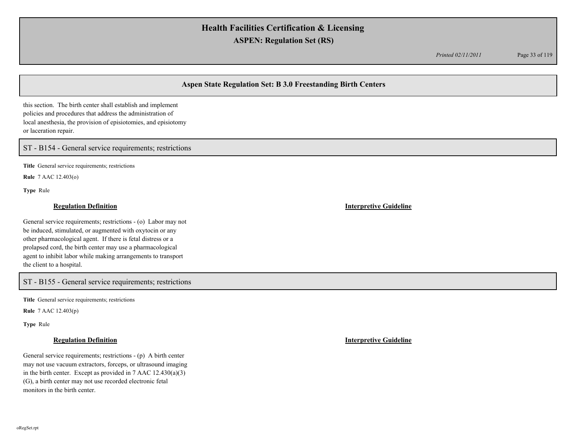*Printed 02/11/2011* Page 33 of 119

# **Aspen State Regulation Set: B 3.0 Freestanding Birth Centers**

this section. The birth center shall establish and implement policies and procedures that address the administration of local anesthesia, the provision of episiotomies, and episiotomy or laceration repair.

ST - B154 - General service requirements; restrictions

**Title** General service requirements; restrictions

**Rule** 7 AAC 12.403(o)

**Type** Rule

### **Regulation Definition Interpretive Guideline**

General service requirements; restrictions - (o) Labor may not be induced, stimulated, or augmented with oxytocin or any other pharmacological agent. If there is fetal distress or a prolapsed cord, the birth center may use a pharmacological agent to inhibit labor while making arrangements to transport the client to a hospital.

ST - B155 - General service requirements; restrictions

**Title** General service requirements; restrictions

**Rule** 7 AAC 12.403(p)

**Type** Rule

General service requirements; restrictions - (p) A birth center may not use vacuum extractors, forceps, or ultrasound imaging in the birth center. Except as provided in 7 AAC 12.430(a)(3) (G), a birth center may not use recorded electronic fetal monitors in the birth center.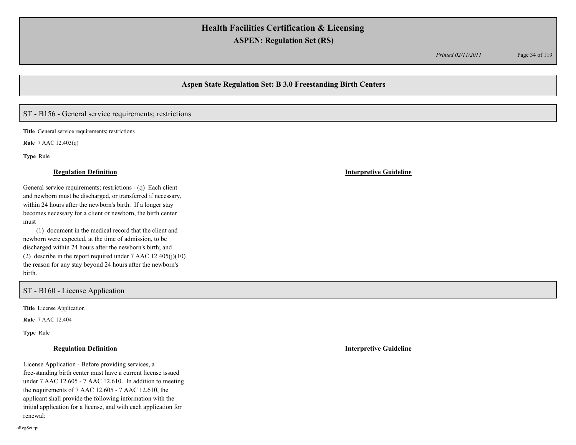*Printed 02/11/2011* Page 34 of 119

# **Aspen State Regulation Set: B 3.0 Freestanding Birth Centers**

## ST - B156 - General service requirements; restrictions

**Title** General service requirements; restrictions

**Rule** 7 AAC 12.403(q)

**Type** Rule

### **Regulation Definition Interpretive Guideline**

General service requirements; restrictions - (q) Each client and newborn must be discharged, or transferred if necessary, within 24 hours after the newborn's birth. If a longer stay becomes necessary for a client or newborn, the birth center must

(1) document in the medical record that the client and newborn were expected, at the time of admission, to be discharged within 24 hours after the newborn's birth; and (2) describe in the report required under  $7$  AAC  $12.405(j)(10)$ the reason for any stay beyond 24 hours after the newborn's birth.

### ST - B160 - License Application

**Title** License Application

**Rule** 7 AAC 12.404

**Type** Rule

License Application - Before providing services, a free-standing birth center must have a current license issued under 7 AAC 12.605 - 7 AAC 12.610. In addition to meeting the requirements of 7 AAC 12.605 - 7 AAC 12.610, the applicant shall provide the following information with the initial application for a license, and with each application for renewal: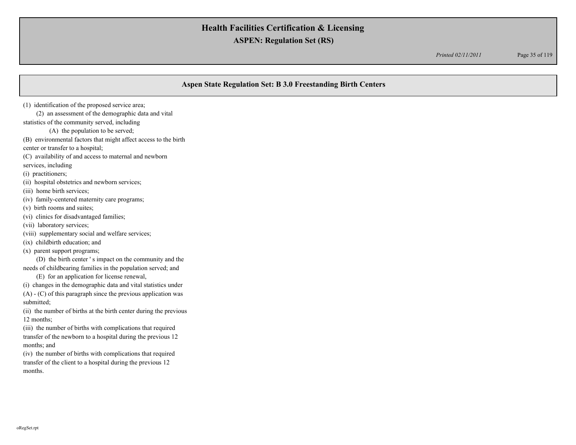*Printed 02/11/2011* Page 35 of 119

# **Aspen State Regulation Set: B 3.0 Freestanding Birth Centers**

(1) identification of the proposed service area;

(2) an assessment of the demographic data and vital

statistics of the community served, including

(A) the population to be served;

(B) environmental factors that might affect access to the birth

center or transfer to a hospital;

(C) availability of and access to maternal and newborn

services, including

(i) practitioners;

(ii) hospital obstetrics and newborn services;

(iii) home birth services;

(iv) family-centered maternity care programs;

(v) birth rooms and suites;

(vi) clinics for disadvantaged families;

(vii) laboratory services;

(viii) supplementary social and welfare services;

(ix) childbirth education; and

(x) parent support programs;

(D) the birth center ' s impact on the community and the needs of childbearing families in the population served; and

(E) for an application for license renewal,

(i) changes in the demographic data and vital statistics under

(A) - (C) of this paragraph since the previous application was submitted;

(ii) the number of births at the birth center during the previous 12 months;

(iii) the number of births with complications that required transfer of the newborn to a hospital during the previous 12 months; and

(iv) the number of births with complications that required transfer of the client to a hospital during the previous 12 months.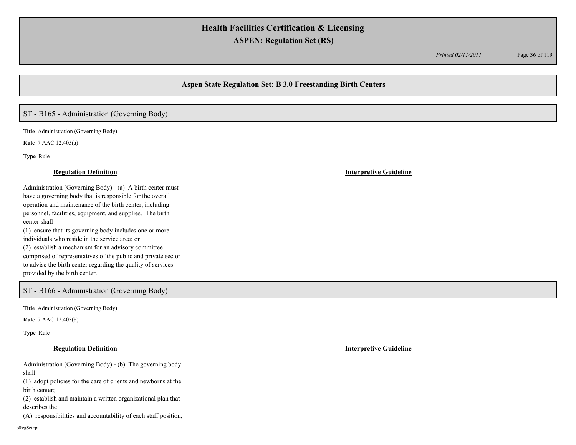*Printed 02/11/2011* Page 36 of 119

## **Aspen State Regulation Set: B 3.0 Freestanding Birth Centers**

## ST - B165 - Administration (Governing Body)

**Title** Administration (Governing Body)

**Rule** 7 AAC 12.405(a)

**Type** Rule

Administration (Governing Body) - (a) A birth center must have a governing body that is responsible for the overall operation and maintenance of the birth center, including personnel, facilities, equipment, and supplies. The birth center shall (1) ensure that its governing body includes one or more

individuals who reside in the service area; or (2) establish a mechanism for an advisory committee comprised of representatives of the public and private sector to advise the birth center regarding the quality of services provided by the birth center.

## ST - B166 - Administration (Governing Body)

**Title** Administration (Governing Body)

**Rule** 7 AAC 12.405(b)

**Type** Rule

## **Regulation Definition Interpretive Guideline**

Administration (Governing Body) - (b) The governing body shall

(1) adopt policies for the care of clients and newborns at the birth center;

(2) establish and maintain a written organizational plan that describes the

(A) responsibilities and accountability of each staff position,

oRegSet.rpt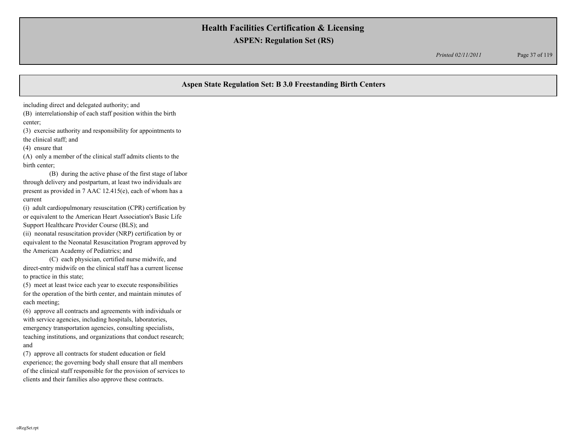*Printed 02/11/2011* Page 37 of 119

# **Aspen State Regulation Set: B 3.0 Freestanding Birth Centers**

including direct and delegated authority; and

(B) interrelationship of each staff position within the birth center;

(3) exercise authority and responsibility for appointments to the clinical staff; and

(4) ensure that

(A) only a member of the clinical staff admits clients to the birth center;

(B) during the active phase of the first stage of labor through delivery and postpartum, at least two individuals are present as provided in 7 AAC 12.415(e), each of whom has a current

(i) adult cardiopulmonary resuscitation (CPR) certification by or equivalent to the American Heart Association's Basic Life Support Healthcare Provider Course (BLS); and

(ii) neonatal resuscitation provider (NRP) certification by or equivalent to the Neonatal Resuscitation Program approved by the American Academy of Pediatrics; and

(C) each physician, certified nurse midwife, and direct-entry midwife on the clinical staff has a current license to practice in this state;

(5) meet at least twice each year to execute responsibilities for the operation of the birth center, and maintain minutes of each meeting;

(6) approve all contracts and agreements with individuals or with service agencies, including hospitals, laboratories, emergency transportation agencies, consulting specialists, teaching institutions, and organizations that conduct research; and

(7) approve all contracts for student education or field experience; the governing body shall ensure that all members of the clinical staff responsible for the provision of services to clients and their families also approve these contracts.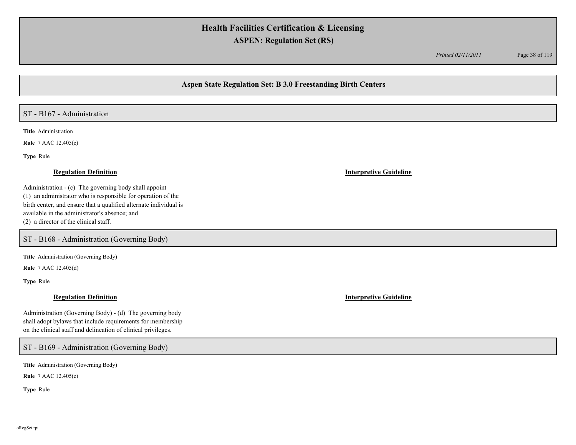*Printed 02/11/2011* Page 38 of 119

## **Aspen State Regulation Set: B 3.0 Freestanding Birth Centers**

### ST - B167 - Administration

**Title** Administration

**Rule** 7 AAC 12.405(c)

**Type** Rule

Administration - (c) The governing body shall appoint (1) an administrator who is responsible for operation of the birth center, and ensure that a qualified alternate individual is available in the administrator's absence; and (2) a director of the clinical staff.

ST - B168 - Administration (Governing Body)

**Title** Administration (Governing Body)

**Rule** 7 AAC 12.405(d)

**Type** Rule

Administration (Governing Body) - (d) The governing body shall adopt bylaws that include requirements for membership on the clinical staff and delineation of clinical privileges.

ST - B169 - Administration (Governing Body)

**Title** Administration (Governing Body)

**Rule** 7 AAC 12.405(e)

**Type** Rule

**Regulation Definition Interpretive Guideline**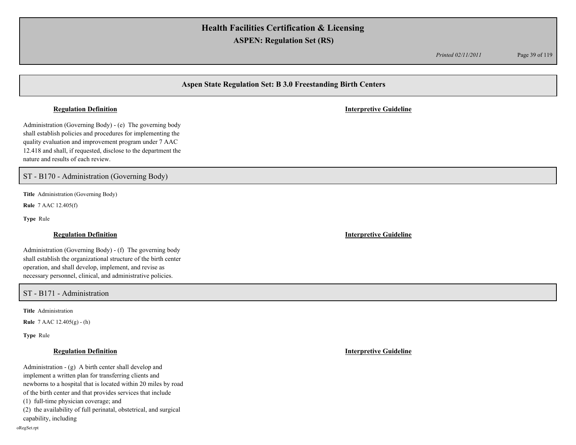*Printed 02/11/2011* Page 39 of 119

# **Aspen State Regulation Set: B 3.0 Freestanding Birth Centers**

Administration (Governing Body) - (e) The governing body shall establish policies and procedures for implementing the quality evaluation and improvement program under 7 AAC 12.418 and shall, if requested, disclose to the department the nature and results of each review.

ST - B170 - Administration (Governing Body)

**Title** Administration (Governing Body)

**Rule** 7 AAC 12.405(f)

**Type** Rule

Administration (Governing Body) - (f) The governing body shall establish the organizational structure of the birth center operation, and shall develop, implement, and revise as necessary personnel, clinical, and administrative policies.

ST - B171 - Administration

**Title** Administration

**Rule** 7 AAC 12.405(g) - (h)

**Type** Rule

Administration - (g) A birth center shall develop and implement a written plan for transferring clients and newborns to a hospital that is located within 20 miles by road of the birth center and that provides services that include (1) full-time physician coverage; and (2) the availability of full perinatal, obstetrical, and surgical capability, including

### **Regulation Definition Interpretive Guideline**

**Regulation Definition Interpretive Guideline**

**Regulation Definition Interpretive Guideline**

oRegSet.rpt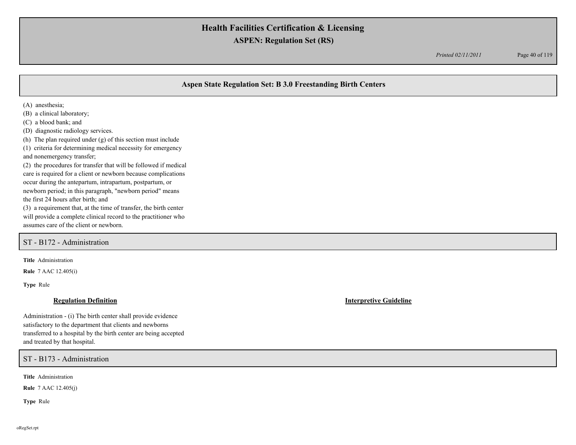*Printed 02/11/2011* Page 40 of 119

## **Aspen State Regulation Set: B 3.0 Freestanding Birth Centers**

(A) anesthesia;

(B) a clinical laboratory;

(C) a blood bank; and

(D) diagnostic radiology services.

(h) The plan required under (g) of this section must include

(1) criteria for determining medical necessity for emergency and nonemergency transfer;

(2) the procedures for transfer that will be followed if medical care is required for a client or newborn because complications occur during the antepartum, intrapartum, postpartum, or newborn period; in this paragraph, "newborn period" means the first 24 hours after birth; and

(3) a requirement that, at the time of transfer, the birth center will provide a complete clinical record to the practitioner who assumes care of the client or newborn.

### ST - B172 - Administration

**Title** Administration

**Rule** 7 AAC 12.405(i)

**Type** Rule

Administration - (i) The birth center shall provide evidence satisfactory to the department that clients and newborns transferred to a hospital by the birth center are being accepted and treated by that hospital.

ST - B173 - Administration

**Title** Administration

**Rule** 7 AAC 12.405(j)

**Type** Rule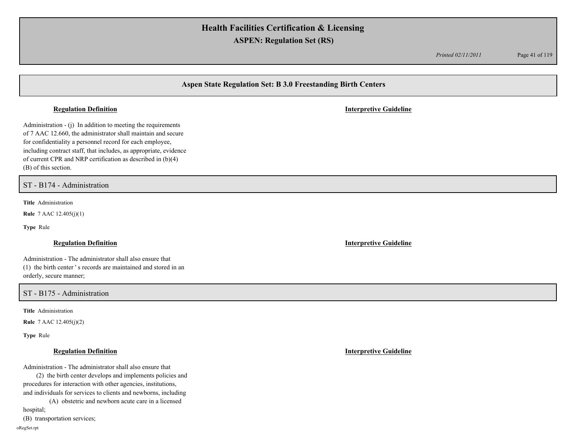*Printed 02/11/2011* Page 41 of 119

# **Aspen State Regulation Set: B 3.0 Freestanding Birth Centers**

### **Regulation Definition Interpretive Guideline**

Administration - (j) In addition to meeting the requirements of 7 AAC 12.660, the administrator shall maintain and secure for confidentiality a personnel record for each employee, including contract staff, that includes, as appropriate, evidence of current CPR and NRP certification as described in (b)(4) (B) of this section.

ST - B174 - Administration

**Title** Administration

**Rule** 7 AAC 12.405(j)(1)

**Type** Rule

Administration - The administrator shall also ensure that (1) the birth center ' s records are maintained and stored in an orderly, secure manner;

### ST - B175 - Administration

**Title** Administration

**Rule** 7 AAC 12.405(j)(2)

**Type** Rule

Administration - The administrator shall also ensure that

(2) the birth center develops and implements policies and procedures for interaction with other agencies, institutions, and individuals for services to clients and newborns, including

(A) obstetric and newborn acute care in a licensed

hospital;

(B) transportation services;

oRegSet.rpt

**Regulation Definition Interpretive Guideline**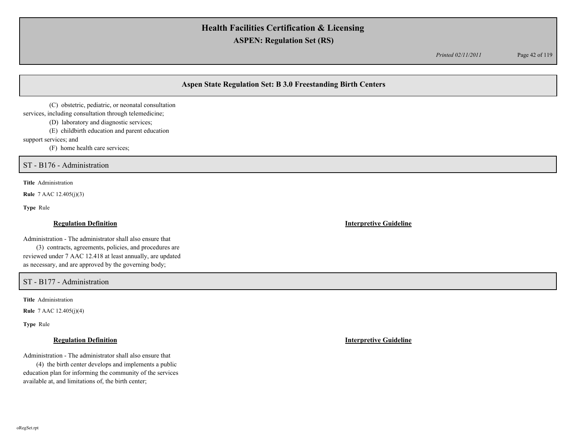*Printed 02/11/2011* Page 42 of 119

# **Aspen State Regulation Set: B 3.0 Freestanding Birth Centers**

(C) obstetric, pediatric, or neonatal consultation

services, including consultation through telemedicine;

(D) laboratory and diagnostic services;

(E) childbirth education and parent education

support services; and

(F) home health care services;

ST - B176 - Administration

**Title** Administration

**Rule** 7 AAC 12.405(j)(3)

**Type** Rule

Administration - The administrator shall also ensure that

(3) contracts, agreements, policies, and procedures are reviewed under 7 AAC 12.418 at least annually, are updated as necessary, and are approved by the governing body;

ST - B177 - Administration

**Title** Administration

**Rule** 7 AAC 12.405(j)(4)

**Type** Rule

Administration - The administrator shall also ensure that

(4) the birth center develops and implements a public education plan for informing the community of the services available at, and limitations of, the birth center;

**Regulation Definition Interpretive Guideline**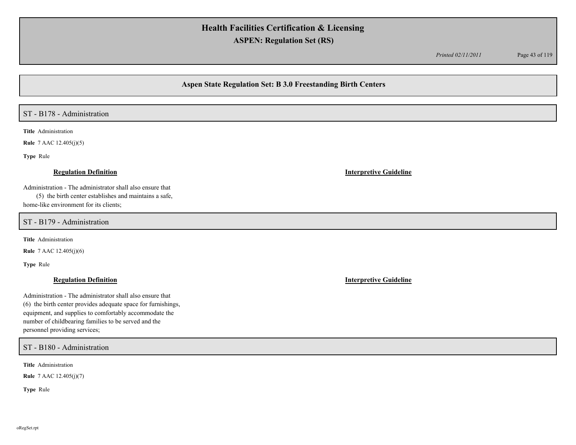*Printed 02/11/2011* Page 43 of 119

## **Aspen State Regulation Set: B 3.0 Freestanding Birth Centers**

# ST - B178 - Administration

**Title** Administration

**Rule** 7 AAC 12.405(j)(5)

**Type** Rule

Administration - The administrator shall also ensure that

(5) the birth center establishes and maintains a safe, home-like environment for its clients;

ST - B179 - Administration

**Title** Administration

**Rule** 7 AAC 12.405(j)(6)

**Type** Rule

Administration - The administrator shall also ensure that (6) the birth center provides adequate space for furnishings, equipment, and supplies to comfortably accommodate the number of childbearing families to be served and the personnel providing services;

### ST - B180 - Administration

**Title** Administration

**Rule** 7 AAC 12.405(j)(7)

**Type** Rule

**Regulation Definition Interpretive Guideline**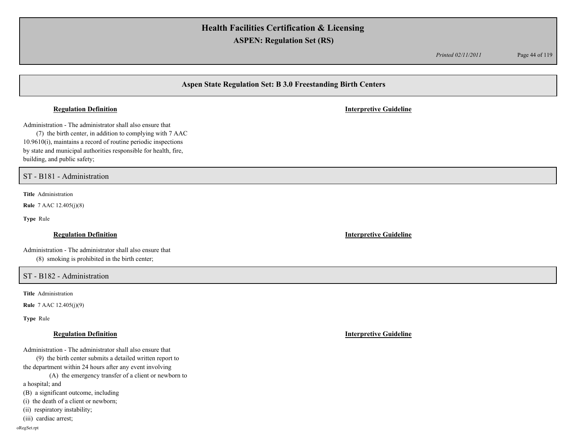*Printed 02/11/2011* Page 44 of 119

# **Aspen State Regulation Set: B 3.0 Freestanding Birth Centers**

Administration - The administrator shall also ensure that

(7) the birth center, in addition to complying with 7 AAC 10.9610(i), maintains a record of routine periodic inspections by state and municipal authorities responsible for health, fire, building, and public safety;

ST - B181 - Administration

**Title** Administration

**Rule** 7 AAC 12.405(j)(8)

**Type** Rule

Administration - The administrator shall also ensure that (8) smoking is prohibited in the birth center;

ST - B182 - Administration

**Title** Administration

**Rule** 7 AAC 12.405(j)(9)

**Type** Rule

Administration - The administrator shall also ensure that

(9) the birth center submits a detailed written report to the department within 24 hours after any event involving

(A) the emergency transfer of a client or newborn to a hospital; and

(B) a significant outcome, including

(i) the death of a client or newborn;

(ii) respiratory instability;

(iii) cardiac arrest;

oRegSet.rpt

**Regulation Definition Interpretive Guideline**

**Regulation Definition Interpretive Guideline**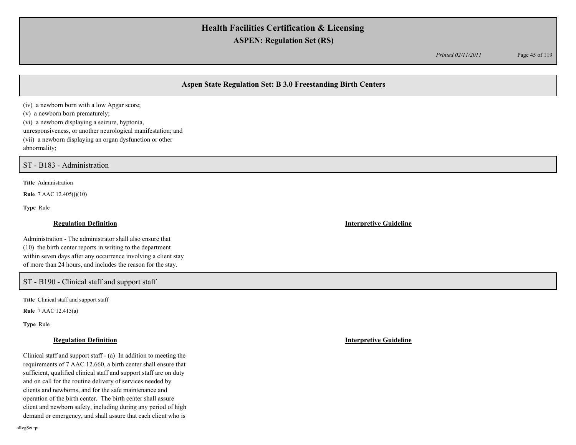*Printed 02/11/2011* Page 45 of 119

## **Aspen State Regulation Set: B 3.0 Freestanding Birth Centers**

(iv) a newborn born with a low Apgar score; (v) a newborn born prematurely; (vi) a newborn displaying a seizure, hyptonia, unresponsiveness, or another neurological manifestation; and (vii) a newborn displaying an organ dysfunction or other

abnormality;

ST - B183 - Administration

**Title** Administration

**Rule** 7 AAC 12.405(j)(10)

**Type** Rule

Administration - The administrator shall also ensure that (10) the birth center reports in writing to the department within seven days after any occurrence involving a client stay of more than 24 hours, and includes the reason for the stay.

## ST - B190 - Clinical staff and support staff

**Title** Clinical staff and support staff

**Rule** 7 AAC 12.415(a)

**Type** Rule

Clinical staff and support staff - (a) In addition to meeting the requirements of 7 AAC 12.660, a birth center shall ensure that sufficient, qualified clinical staff and support staff are on duty and on call for the routine delivery of services needed by clients and newborns, and for the safe maintenance and operation of the birth center. The birth center shall assure client and newborn safety, including during any period of high demand or emergency, and shall assure that each client who is

**Regulation Definition Interpretive Guideline**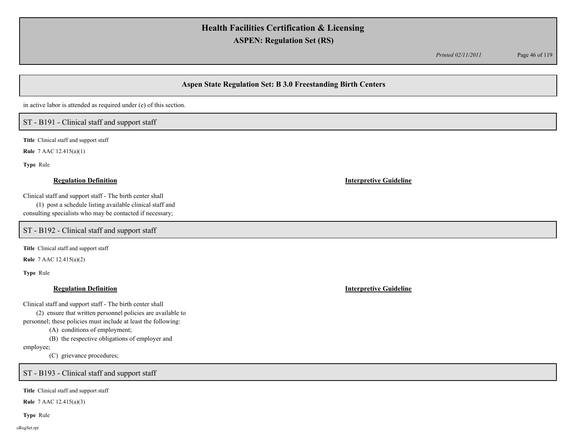*Printed 02/11/2011* Page 46 of 119

# **Aspen State Regulation Set: B 3.0 Freestanding Birth Centers**

in active labor is attended as required under (e) of this section.

## ST - B191 - Clinical staff and support staff

**Title** Clinical staff and support staff

**Rule** 7 AAC 12.415(a)(1)

**Type** Rule

Clinical staff and support staff - The birth center shall

(1) post a schedule listing available clinical staff and consulting specialists who may be contacted if necessary;

ST - B192 - Clinical staff and support staff

**Title** Clinical staff and support staff

**Rule** 7 AAC 12.415(a)(2)

**Type** Rule

### **Regulation Definition Interpretive Guideline**

Clinical staff and support staff - The birth center shall

(2) ensure that written personnel policies are available to

personnel; these policies must include at least the following:

(A) conditions of employment;

(B) the respective obligations of employer and

employee;

(C) grievance procedures;

ST - B193 - Clinical staff and support staff

**Title** Clinical staff and support staff

**Rule** 7 AAC 12.415(a)(3)

**Type** Rule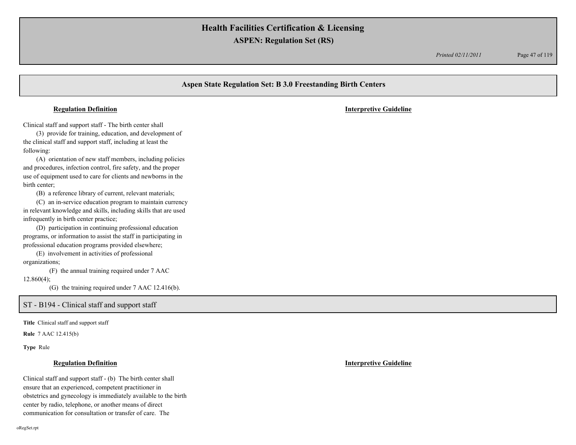*Printed 02/11/2011* Page 47 of 119

# **Aspen State Regulation Set: B 3.0 Freestanding Birth Centers** Clinical staff and support staff - The birth center shall (3) provide for training, education, and development of the clinical staff and support staff, including at least the following: (A) orientation of new staff members, including policies and procedures, infection control, fire safety, and the proper use of equipment used to care for clients and newborns in the birth center; (B) a reference library of current, relevant materials; (C) an in-service education program to maintain currency in relevant knowledge and skills, including skills that are used infrequently in birth center practice; (D) participation in continuing professional education programs, or information to assist the staff in participating in professional education programs provided elsewhere; (E) involvement in activities of professional organizations; (F) the annual training required under 7 AAC **Regulation Definition Interpretive Guideline**

12.860(4);

(G) the training required under 7 AAC 12.416(b).

### ST - B194 - Clinical staff and support staff

**Title** Clinical staff and support staff

**Rule** 7 AAC 12.415(b)

**Type** Rule

### **Regulation Definition Interpretive Guideline**

Clinical staff and support staff - (b) The birth center shall ensure that an experienced, competent practitioner in obstetrics and gynecology is immediately available to the birth center by radio, telephone, or another means of direct communication for consultation or transfer of care. The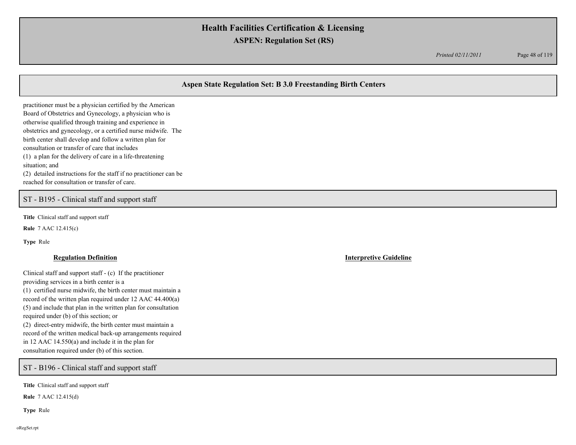*Printed 02/11/2011* Page 48 of 119

# **Aspen State Regulation Set: B 3.0 Freestanding Birth Centers**

practitioner must be a physician certified by the American Board of Obstetrics and Gynecology, a physician who is otherwise qualified through training and experience in obstetrics and gynecology, or a certified nurse midwife. The birth center shall develop and follow a written plan for consultation or transfer of care that includes (1) a plan for the delivery of care in a life-threatening situation; and (2) detailed instructions for the staff if no practitioner can be

ST - B195 - Clinical staff and support staff

reached for consultation or transfer of care.

**Title** Clinical staff and support staff

**Rule** 7 AAC 12.415(c)

**Type** Rule

Clinical staff and support staff - (c) If the practitioner providing services in a birth center is a (1) certified nurse midwife, the birth center must maintain a record of the written plan required under 12 AAC 44.400(a) (5) and include that plan in the written plan for consultation required under (b) of this section; or (2) direct-entry midwife, the birth center must maintain a record of the written medical back-up arrangements required in 12 AAC 14.550(a) and include it in the plan for consultation required under (b) of this section.

ST - B196 - Clinical staff and support staff

**Title** Clinical staff and support staff

**Rule** 7 AAC 12.415(d)

**Type** Rule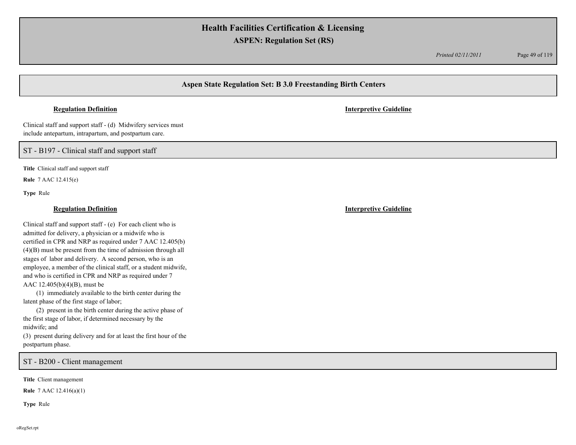*Printed 02/11/2011* Page 49 of 119

## **Aspen State Regulation Set: B 3.0 Freestanding Birth Centers**

### **Regulation Definition Interpretive Guideline**

Clinical staff and support staff - (d) Midwifery services must include antepartum, intrapartum, and postpartum care.

ST - B197 - Clinical staff and support staff

**Title** Clinical staff and support staff

**Rule** 7 AAC 12.415(e)

**Type** Rule

### **Regulation Definition Interpretive Guideline**

Clinical staff and support staff - (e) For each client who is admitted for delivery, a physician or a midwife who is certified in CPR and NRP as required under 7 AAC 12.405(b) (4)(B) must be present from the time of admission through all stages of labor and delivery. A second person, who is an employee, a member of the clinical staff, or a student midwife, and who is certified in CPR and NRP as required under 7 AAC 12.405(b)(4)(B), must be

(1) immediately available to the birth center during the latent phase of the first stage of labor;

(2) present in the birth center during the active phase of the first stage of labor, if determined necessary by the midwife; and

(3) present during delivery and for at least the first hour of the postpartum phase.

ST - B200 - Client management

**Title** Client management

**Rule** 7 AAC 12.416(a)(1)

**Type** Rule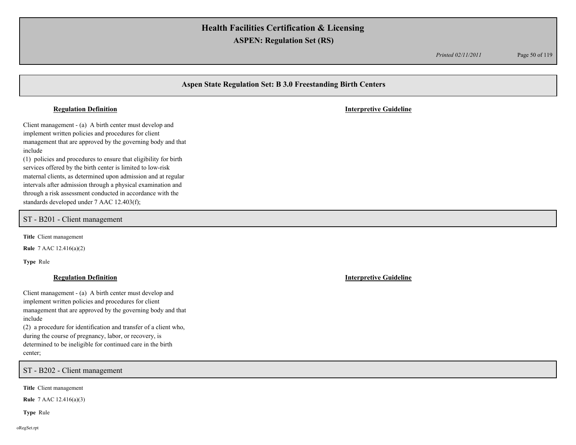*Printed 02/11/2011* Page 50 of 119

# **Aspen State Regulation Set: B 3.0 Freestanding Birth Centers** Client management - (a) A birth center must develop and implement written policies and procedures for client management that are approved by the governing body and that include (1) policies and procedures to ensure that eligibility for birth services offered by the birth center is limited to low-risk maternal clients, as determined upon admission and at regular intervals after admission through a physical examination and through a risk assessment conducted in accordance with the standards developed under 7 AAC 12.403(f); **Regulation Definition Interpretive Guideline Title** Client management **Rule** 7 AAC 12.416(a)(2) **Type** Rule ST - B201 - Client management

### **Regulation Definition Interpretive Guideline**

Client management - (a) A birth center must develop and implement written policies and procedures for client management that are approved by the governing body and that include

(2) a procedure for identification and transfer of a client who, during the course of pregnancy, labor, or recovery, is determined to be ineligible for continued care in the birth center;

ST - B202 - Client management

**Title** Client management

**Rule** 7 AAC 12.416(a)(3)

**Type** Rule

oRegSet.rpt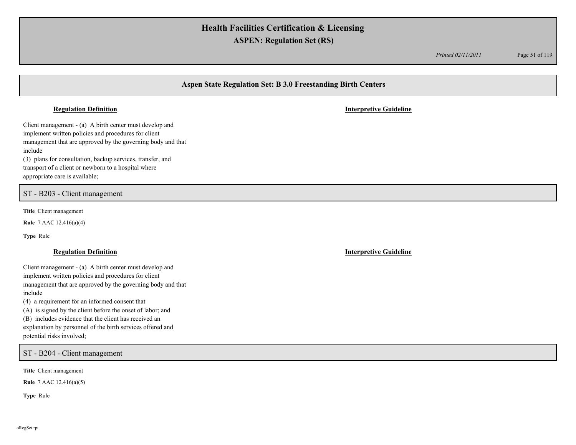*Printed 02/11/2011* Page 51 of 119

## **Aspen State Regulation Set: B 3.0 Freestanding Birth Centers**

### **Regulation Definition Interpretive Guideline**

Client management - (a) A birth center must develop and implement written policies and procedures for client management that are approved by the governing body and that include

(3) plans for consultation, backup services, transfer, and transport of a client or newborn to a hospital where appropriate care is available;

## ST - B203 - Client management

**Title** Client management

**Rule** 7 AAC 12.416(a)(4)

**Type** Rule

### **Regulation Definition Interpretive Guideline**

Client management - (a) A birth center must develop and implement written policies and procedures for client management that are approved by the governing body and that include

(4) a requirement for an informed consent that

(A) is signed by the client before the onset of labor; and

(B) includes evidence that the client has received an

explanation by personnel of the birth services offered and potential risks involved;

ST - B204 - Client management

**Title** Client management

**Rule** 7 AAC 12.416(a)(5)

**Type** Rule

oRegSet.rpt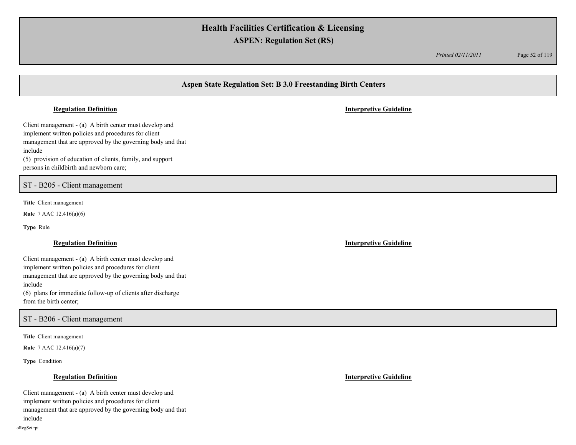*Printed 02/11/2011* Page 52 of 119

# **Aspen State Regulation Set: B 3.0 Freestanding Birth Centers**

### **Regulation Definition Interpretive Guideline**

Client management - (a) A birth center must develop and implement written policies and procedures for client management that are approved by the governing body and that include

(5) provision of education of clients, family, and support persons in childbirth and newborn care;

ST - B205 - Client management

**Title** Client management

**Rule** 7 AAC 12.416(a)(6)

**Type** Rule

Client management - (a) A birth center must develop and implement written policies and procedures for client management that are approved by the governing body and that include (6) plans for immediate follow-up of clients after discharge from the birth center;

ST - B206 - Client management

**Title** Client management

**Rule** 7 AAC 12.416(a)(7)

**Type** Condition

Client management - (a) A birth center must develop and implement written policies and procedures for client management that are approved by the governing body and that include

**Regulation Definition Interpretive Guideline**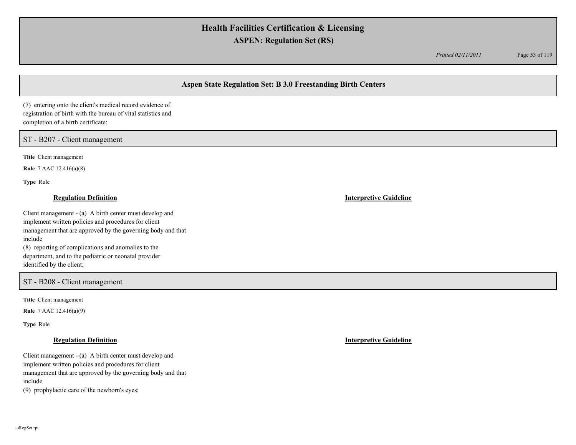*Printed 02/11/2011* Page 53 of 119

# **Aspen State Regulation Set: B 3.0 Freestanding Birth Centers**

(7) entering onto the client's medical record evidence of registration of birth with the bureau of vital statistics and completion of a birth certificate;

## ST - B207 - Client management

**Title** Client management

**Rule** 7 AAC 12.416(a)(8)

**Type** Rule

### **Regulation Definition Interpretive Guideline**

Client management - (a) A birth center must develop and implement written policies and procedures for client management that are approved by the governing body and that include (8) reporting of complications and anomalies to the department, and to the pediatric or neonatal provider

identified by the client;

## ST - B208 - Client management

**Title** Client management

**Rule** 7 AAC 12.416(a)(9)

**Type** Rule

## **Regulation Definition Interpretive Guideline**

Client management - (a) A birth center must develop and implement written policies and procedures for client management that are approved by the governing body and that include

(9) prophylactic care of the newborn's eyes;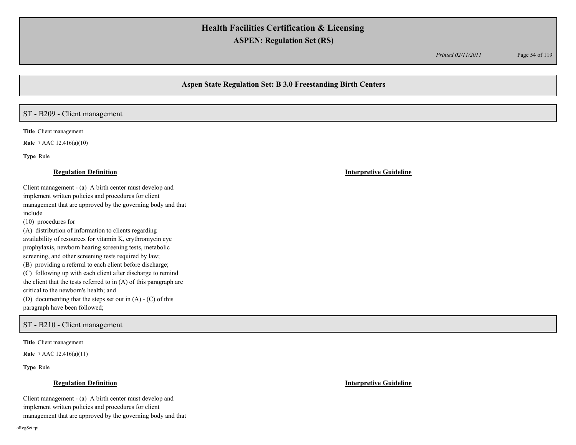*Printed 02/11/2011* Page 54 of 119

## **Aspen State Regulation Set: B 3.0 Freestanding Birth Centers**

## ST - B209 - Client management

**Title** Client management

**Rule** 7 AAC 12.416(a)(10)

**Type** Rule

### **Regulation Definition Interpretive Guideline**

Client management - (a) A birth center must develop and implement written policies and procedures for client management that are approved by the governing body and that include

(10) procedures for

(A) distribution of information to clients regarding availability of resources for vitamin K, erythromycin eye prophylaxis, newborn hearing screening tests, metabolic screening, and other screening tests required by law;

(B) providing a referral to each client before discharge;

(C) following up with each client after discharge to remind the client that the tests referred to in (A) of this paragraph are critical to the newborn's health; and

(D) documenting that the steps set out in (A) - (C) of this paragraph have been followed;

## ST - B210 - Client management

**Title** Client management

**Rule** 7 AAC 12.416(a)(11)

**Type** Rule

### **Regulation Definition Interpretive Guideline**

Client management - (a) A birth center must develop and implement written policies and procedures for client management that are approved by the governing body and that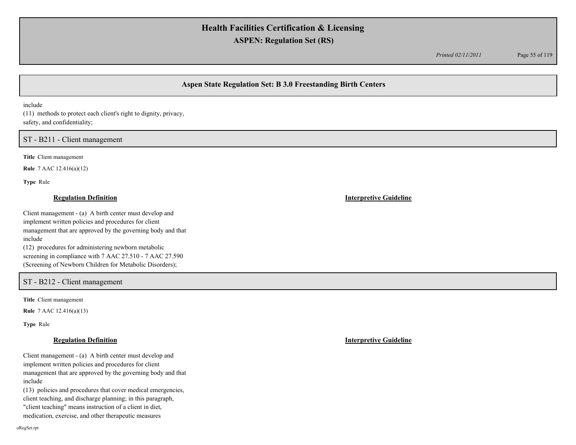*Printed 02/11/2011* Page 55 of 119

## **Aspen State Regulation Set: B 3.0 Freestanding Birth Centers**

include

(11) methods to protect each client's right to dignity, privacy, safety, and confidentiality;

ST - B211 - Client management

**Title** Client management

**Rule** 7 AAC 12.416(a)(12)

**Type** Rule

### **Regulation Definition Interpretive Guideline**

Client management - (a) A birth center must develop and implement written policies and procedures for client management that are approved by the governing body and that include (12) procedures for administering newborn metabolic screening in compliance with 7 AAC 27.510 - 7 AAC 27.590

(Screening of Newborn Children for Metabolic Disorders);

# ST - B212 - Client management

**Title** Client management

**Rule** 7 AAC 12.416(a)(13)

**Type** Rule

## **Regulation Definition Interpretive Guideline**

Client management - (a) A birth center must develop and implement written policies and procedures for client management that are approved by the governing body and that include

(13) policies and procedures that cover medical emergencies, client teaching, and discharge planning; in this paragraph, "client teaching" means instruction of a client in diet,

medication, exercise, and other therapeutic measures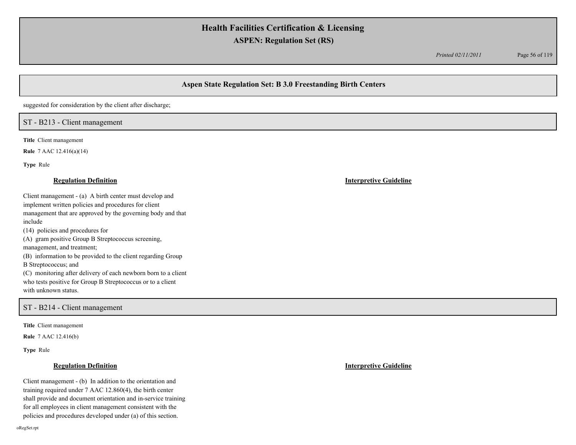*Printed 02/11/2011* Page 56 of 119

# **Aspen State Regulation Set: B 3.0 Freestanding Birth Centers**

suggested for consideration by the client after discharge;

## ST - B213 - Client management

**Title** Client management

**Rule** 7 AAC 12.416(a)(14)

**Type** Rule

### **Regulation Definition Interpretive Guideline**

Client management - (a) A birth center must develop and implement written policies and procedures for client management that are approved by the governing body and that include (14) policies and procedures for (A) gram positive Group B Streptococcus screening, management, and treatment; (B) information to be provided to the client regarding Group

B Streptococcus; and

(C) monitoring after delivery of each newborn born to a client who tests positive for Group B Streptococcus or to a client with unknown status.

## ST - B214 - Client management

**Title** Client management

**Rule** 7 AAC 12.416(b)

**Type** Rule

Client management - (b) In addition to the orientation and training required under 7 AAC 12.860(4), the birth center shall provide and document orientation and in-service training for all employees in client management consistent with the policies and procedures developed under (a) of this section.

oRegSet.rpt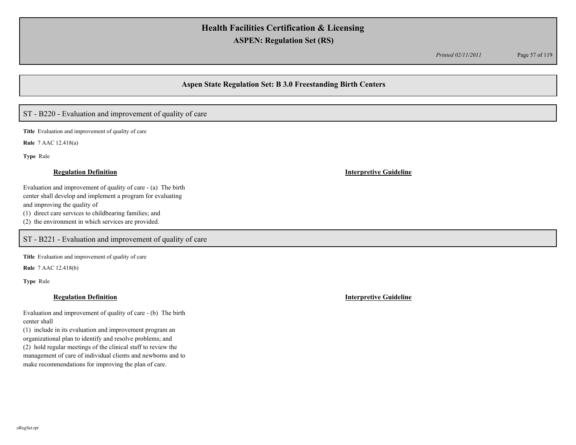*Printed 02/11/2011* Page 57 of 119

## **Aspen State Regulation Set: B 3.0 Freestanding Birth Centers**

# ST - B220 - Evaluation and improvement of quality of care

**Title** Evaluation and improvement of quality of care

**Rule** 7 AAC 12.418(a)

**Type** Rule

Evaluation and improvement of quality of care - (a) The birth center shall develop and implement a program for evaluating and improving the quality of (1) direct care services to childbearing families; and (2) the environment in which services are provided.

ST - B221 - Evaluation and improvement of quality of care

**Title** Evaluation and improvement of quality of care

**Rule** 7 AAC 12.418(b)

**Type** Rule

### **Regulation Definition Interpretive Guideline**

Evaluation and improvement of quality of care - (b) The birth center shall

(1) include in its evaluation and improvement program an organizational plan to identify and resolve problems; and (2) hold regular meetings of the clinical staff to review the management of care of individual clients and newborns and to make recommendations for improving the plan of care.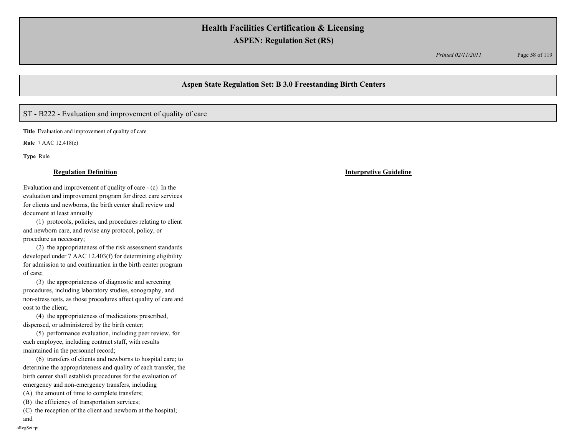*Printed 02/11/2011* Page 58 of 119

## **Aspen State Regulation Set: B 3.0 Freestanding Birth Centers**

# ST - B222 - Evaluation and improvement of quality of care

**Title** Evaluation and improvement of quality of care

**Rule** 7 AAC 12.418(c)

**Type** Rule

### **Regulation Definition Interpretive Guideline**

Evaluation and improvement of quality of care - (c) In the evaluation and improvement program for direct care services for clients and newborns, the birth center shall review and document at least annually

(1) protocols, policies, and procedures relating to client and newborn care, and revise any protocol, policy, or procedure as necessary;

(2) the appropriateness of the risk assessment standards developed under 7 AAC 12.403(f) for determining eligibility for admission to and continuation in the birth center program of care;

(3) the appropriateness of diagnostic and screening procedures, including laboratory studies, sonography, and non-stress tests, as those procedures affect quality of care and cost to the client;

(4) the appropriateness of medications prescribed, dispensed, or administered by the birth center;

(5) performance evaluation, including peer review, for each employee, including contract staff, with results maintained in the personnel record;

(6) transfers of clients and newborns to hospital care; to determine the appropriateness and quality of each transfer, the birth center shall establish procedures for the evaluation of emergency and non-emergency transfers, including

- (A) the amount of time to complete transfers;
- (B) the efficiency of transportation services;

(C) the reception of the client and newborn at the hospital;

and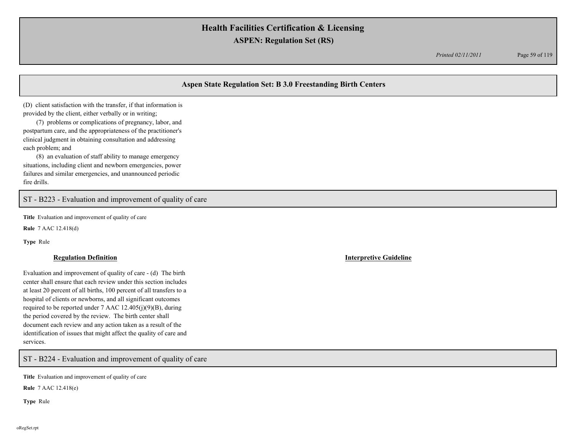*Printed 02/11/2011* Page 59 of 119

# **Aspen State Regulation Set: B 3.0 Freestanding Birth Centers**

(D) client satisfaction with the transfer, if that information is provided by the client, either verbally or in writing;

(7) problems or complications of pregnancy, labor, and postpartum care, and the appropriateness of the practitioner's clinical judgment in obtaining consultation and addressing each problem; and

(8) an evaluation of staff ability to manage emergency situations, including client and newborn emergencies, power failures and similar emergencies, and unannounced periodic fire drills.

## ST - B223 - Evaluation and improvement of quality of care

**Title** Evaluation and improvement of quality of care

**Rule** 7 AAC 12.418(d)

**Type** Rule

Evaluation and improvement of quality of care - (d) The birth center shall ensure that each review under this section includes at least 20 percent of all births, 100 percent of all transfers to a hospital of clients or newborns, and all significant outcomes required to be reported under  $7$  AAC  $12.405(j)(9)(B)$ , during the period covered by the review. The birth center shall document each review and any action taken as a result of the identification of issues that might affect the quality of care and services.

ST - B224 - Evaluation and improvement of quality of care

**Title** Evaluation and improvement of quality of care

**Rule** 7 AAC 12.418(e)

**Type** Rule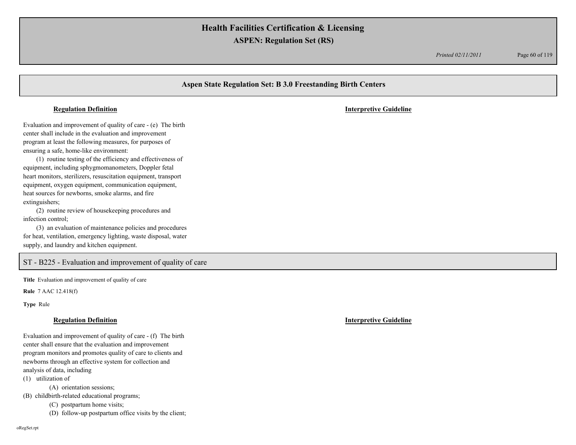*Printed 02/11/2011* Page 60 of 119

# **Aspen State Regulation Set: B 3.0 Freestanding Birth Centers** Evaluation and improvement of quality of care - (e) The birth center shall include in the evaluation and improvement program at least the following measures, for purposes of ensuring a safe, home-like environment: (1) routine testing of the efficiency and effectiveness of equipment, including sphygmomanometers, Doppler fetal heart monitors, sterilizers, resuscitation equipment, transport equipment, oxygen equipment, communication equipment, heat sources for newborns, smoke alarms, and fire extinguishers; (2) routine review of housekeeping procedures and infection control; (3) an evaluation of maintenance policies and procedures **Regulation Definition Interpretive Guideline**

for heat, ventilation, emergency lighting, waste disposal, water supply, and laundry and kitchen equipment.

# ST - B225 - Evaluation and improvement of quality of care

**Title** Evaluation and improvement of quality of care

**Rule** 7 AAC 12.418(f)

**Type** Rule

### **Regulation Definition Interpretive Guideline**

Evaluation and improvement of quality of care - (f) The birth center shall ensure that the evaluation and improvement program monitors and promotes quality of care to clients and newborns through an effective system for collection and analysis of data, including

(1) utilization of

(A) orientation sessions;

(B) childbirth-related educational programs;

(C) postpartum home visits;

(D) follow-up postpartum office visits by the client;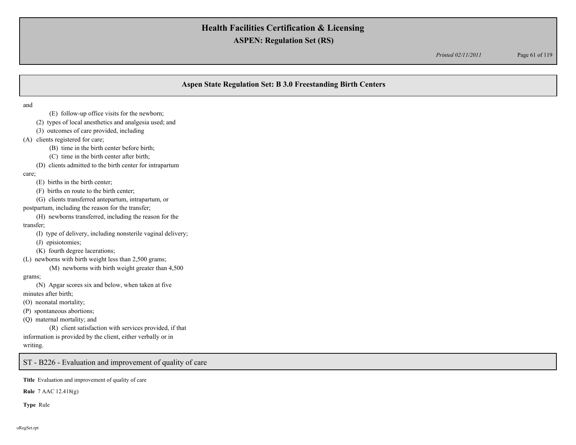*Printed 02/11/2011* Page 61 of 119

# **Aspen State Regulation Set: B 3.0 Freestanding Birth Centers**

and

- (E) follow-up office visits for the newborn;
- (2) types of local anesthetics and analgesia used; and
- (3) outcomes of care provided, including
- (A) clients registered for care;
	- (B) time in the birth center before birth;
	- (C) time in the birth center after birth;
	- (D) clients admitted to the birth center for intrapartum

care;

- (E) births in the birth center;
- (F) births en route to the birth center;
- (G) clients transferred antepartum, intrapartum, or
- postpartum, including the reason for the transfer;
- (H) newborns transferred, including the reason for the transfer;
	- (I) type of delivery, including nonsterile vaginal delivery;
	- (J) episiotomies;
	- (K) fourth degree lacerations;
- (L) newborns with birth weight less than 2,500 grams;
	- (M) newborns with birth weight greater than 4,500

grams;

- (N) Apgar scores six and below, when taken at five minutes after birth;
- (O) neonatal mortality;
- (P) spontaneous abortions;
- (Q) maternal mortality; and

(R) client satisfaction with services provided, if that information is provided by the client, either verbally or in writing.

ST - B226 - Evaluation and improvement of quality of care

**Title** Evaluation and improvement of quality of care

**Rule** 7 AAC 12.418(g)

**Type** Rule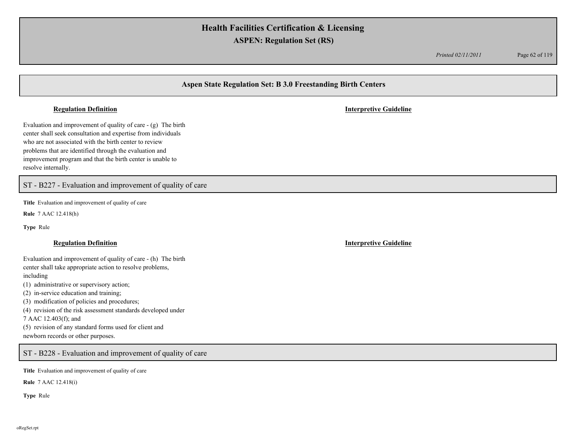*Printed 02/11/2011* Page 62 of 119

# **Aspen State Regulation Set: B 3.0 Freestanding Birth Centers**

### **Regulation Definition Interpretive Guideline**

Evaluation and improvement of quality of care - (g) The birth center shall seek consultation and expertise from individuals who are not associated with the birth center to review problems that are identified through the evaluation and improvement program and that the birth center is unable to resolve internally.

ST - B227 - Evaluation and improvement of quality of care

**Title** Evaluation and improvement of quality of care

**Rule** 7 AAC 12.418(h)

**Type** Rule

### **Regulation Definition Interpretive Guideline**

Evaluation and improvement of quality of care - (h) The birth center shall take appropriate action to resolve problems, including

(1) administrative or supervisory action;

(2) in-service education and training;

(3) modification of policies and procedures;

(4) revision of the risk assessment standards developed under

7 AAC 12.403(f); and

(5) revision of any standard forms used for client and newborn records or other purposes.

ST - B228 - Evaluation and improvement of quality of care

**Title** Evaluation and improvement of quality of care

**Rule** 7 AAC 12.418(i)

**Type** Rule

oRegSet.rpt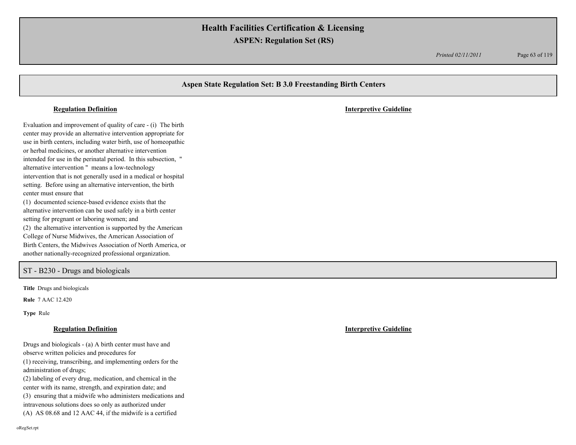*Printed 02/11/2011* Page 63 of 119

# **Aspen State Regulation Set: B 3.0 Freestanding Birth Centers** Evaluation and improvement of quality of care - (i) The birth center may provide an alternative intervention appropriate for use in birth centers, including water birth, use of homeopathic or herbal medicines, or another alternative intervention intended for use in the perinatal period. In this subsection, " alternative intervention " means a low-technology intervention that is not generally used in a medical or hospital setting. Before using an alternative intervention, the birth center must ensure that (1) documented science-based evidence exists that the alternative intervention can be used safely in a birth center setting for pregnant or laboring women; and (2) the alternative intervention is supported by the American College of Nurse Midwives, the American Association of Birth Centers, the Midwives Association of North America, or another nationally-recognized professional organization. **Regulation Definition Interpretive Guideline** ST - B230 - Drugs and biologicals

**Title** Drugs and biologicals

**Rule** 7 AAC 12.420

**Type** Rule

### **Regulation Definition Interpretive Guideline**

Drugs and biologicals - (a) A birth center must have and observe written policies and procedures for (1) receiving, transcribing, and implementing orders for the

administration of drugs; (2) labeling of every drug, medication, and chemical in the

center with its name, strength, and expiration date; and (3) ensuring that a midwife who administers medications and intravenous solutions does so only as authorized under

(A) AS 08.68 and 12 AAC 44, if the midwife is a certified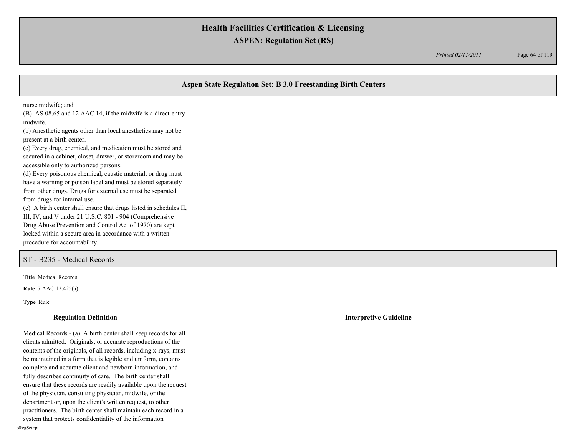*Printed 02/11/2011* Page 64 of 119

# **Aspen State Regulation Set: B 3.0 Freestanding Birth Centers**

nurse midwife; and

(B) AS 08.65 and 12 AAC 14, if the midwife is a direct-entry midwife.

(b) Anesthetic agents other than local anesthetics may not be present at a birth center.

(c) Every drug, chemical, and medication must be stored and secured in a cabinet, closet, drawer, or storeroom and may be accessible only to authorized persons.

(d) Every poisonous chemical, caustic material, or drug must have a warning or poison label and must be stored separately from other drugs. Drugs for external use must be separated from drugs for internal use.

(e) A birth center shall ensure that drugs listed in schedules II, III, IV, and V under 21 U.S.C. 801 - 904 (Comprehensive Drug Abuse Prevention and Control Act of 1970) are kept locked within a secure area in accordance with a written procedure for accountability.

ST - B235 - Medical Records

**Title** Medical Records

**Rule** 7 AAC 12.425(a)

**Type** Rule

### **Regulation Definition Interpretive Guideline**

Medical Records - (a) A birth center shall keep records for all clients admitted. Originals, or accurate reproductions of the contents of the originals, of all records, including x-rays, must be maintained in a form that is legible and uniform, contains complete and accurate client and newborn information, and fully describes continuity of care. The birth center shall ensure that these records are readily available upon the request of the physician, consulting physician, midwife, or the department or, upon the client's written request, to other practitioners. The birth center shall maintain each record in a system that protects confidentiality of the information oRegSet.rpt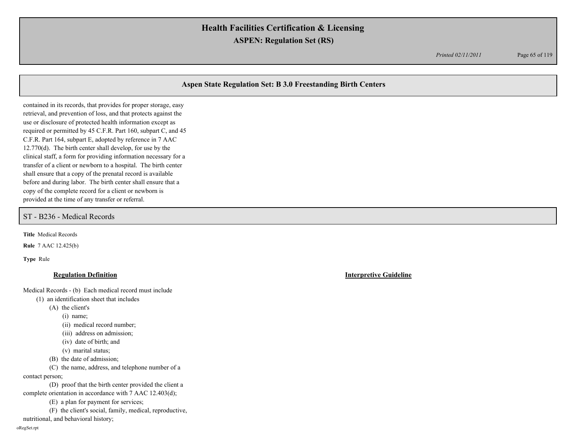*Printed 02/11/2011* Page 65 of 119

# **Aspen State Regulation Set: B 3.0 Freestanding Birth Centers**

contained in its records, that provides for proper storage, easy retrieval, and prevention of loss, and that protects against the use or disclosure of protected health information except as required or permitted by 45 C.F.R. Part 160, subpart C, and 45 C.F.R. Part 164, subpart E, adopted by reference in 7 AAC 12.770(d). The birth center shall develop, for use by the clinical staff, a form for providing information necessary for a transfer of a client or newborn to a hospital. The birth center shall ensure that a copy of the prenatal record is available before and during labor. The birth center shall ensure that a copy of the complete record for a client or newborn is provided at the time of any transfer or referral.

### ST - B236 - Medical Records

**Title** Medical Records

**Rule** 7 AAC 12.425(b)

**Type** Rule

### **Regulation Definition Interpretive Guideline**

Medical Records - (b) Each medical record must include

- (1) an identification sheet that includes
	- (A) the client's

(i) name;

- (ii) medical record number;
- (iii) address on admission;
- (iv) date of birth; and
- (v) marital status;
- (B) the date of admission;

(C) the name, address, and telephone number of a contact person;

(D) proof that the birth center provided the client a complete orientation in accordance with 7 AAC 12.403(d);

(E) a plan for payment for services;

(F) the client's social, family, medical, reproductive, nutritional, and behavioral history;

oRegSet.rpt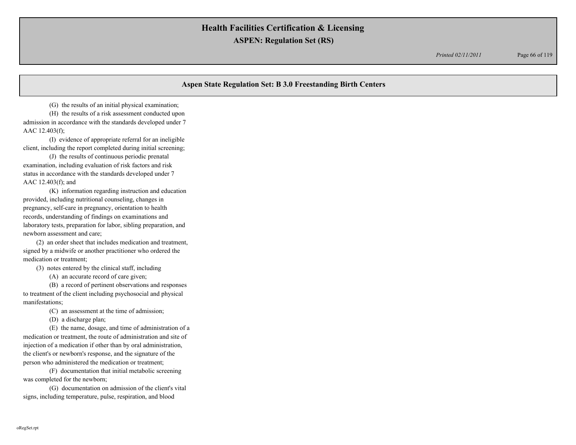*Printed 02/11/2011* Page 66 of 119

# **Aspen State Regulation Set: B 3.0 Freestanding Birth Centers**

(G) the results of an initial physical examination;

(H) the results of a risk assessment conducted upon admission in accordance with the standards developed under 7 AAC 12.403(f);

(I) evidence of appropriate referral for an ineligible client, including the report completed during initial screening;

(J) the results of continuous periodic prenatal examination, including evaluation of risk factors and risk status in accordance with the standards developed under 7 AAC 12.403(f); and

(K) information regarding instruction and education provided, including nutritional counseling, changes in pregnancy, self-care in pregnancy, orientation to health records, understanding of findings on examinations and laboratory tests, preparation for labor, sibling preparation, and newborn assessment and care;

(2) an order sheet that includes medication and treatment, signed by a midwife or another practitioner who ordered the medication or treatment;

(3) notes entered by the clinical staff, including

(A) an accurate record of care given;

(B) a record of pertinent observations and responses to treatment of the client including psychosocial and physical manifestations;

(C) an assessment at the time of admission;

(D) a discharge plan;

(E) the name, dosage, and time of administration of a medication or treatment, the route of administration and site of injection of a medication if other than by oral administration, the client's or newborn's response, and the signature of the person who administered the medication or treatment;

(F) documentation that initial metabolic screening was completed for the newborn;

(G) documentation on admission of the client's vital signs, including temperature, pulse, respiration, and blood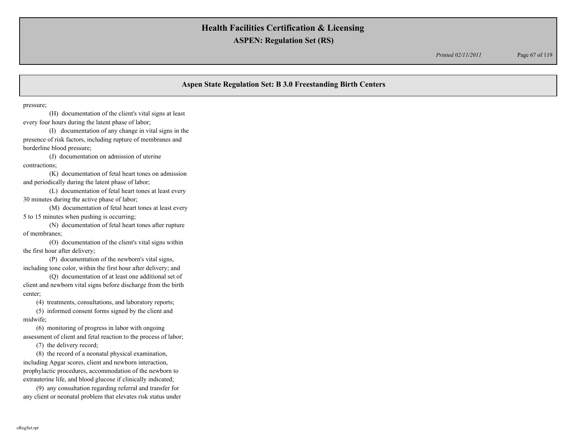*Printed 02/11/2011* Page 67 of 119

# **Aspen State Regulation Set: B 3.0 Freestanding Birth Centers**

pressure;

(H) documentation of the client's vital signs at least every four hours during the latent phase of labor;

(I) documentation of any change in vital signs in the presence of risk factors, including rupture of membranes and borderline blood pressure;

(J) documentation on admission of uterine contractions;

(K) documentation of fetal heart tones on admission and periodically during the latent phase of labor;

(L) documentation of fetal heart tones at least every 30 minutes during the active phase of labor;

(M) documentation of fetal heart tones at least every 5 to 15 minutes when pushing is occurring;

(N) documentation of fetal heart tones after rupture of membranes;

(O) documentation of the client's vital signs within the first hour after delivery;

(P) documentation of the newborn's vital signs, including tone color, within the first hour after delivery; and

(Q) documentation of at least one additional set of client and newborn vital signs before discharge from the birth center;

(4) treatments, consultations, and laboratory reports;

(5) informed consent forms signed by the client and midwife;

(6) monitoring of progress in labor with ongoing assessment of client and fetal reaction to the process of labor;

(7) the delivery record;

(8) the record of a neonatal physical examination, including Apgar scores, client and newborn interaction, prophylactic procedures, accommodation of the newborn to extrauterine life, and blood glucose if clinically indicated;

(9) any consultation regarding referral and transfer for any client or neonatal problem that elevates risk status under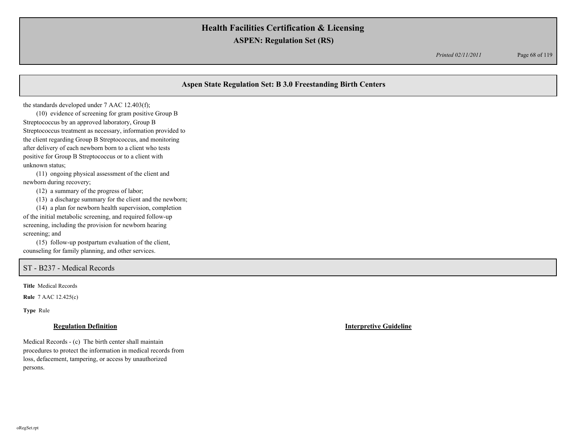*Printed 02/11/2011* Page 68 of 119

# **Aspen State Regulation Set: B 3.0 Freestanding Birth Centers**

the standards developed under 7 AAC 12.403(f);

(10) evidence of screening for gram positive Group B Streptococcus by an approved laboratory, Group B Streptococcus treatment as necessary, information provided to the client regarding Group B Streptococcus, and monitoring after delivery of each newborn born to a client who tests positive for Group B Streptococcus or to a client with unknown status;

(11) ongoing physical assessment of the client and newborn during recovery;

(12) a summary of the progress of labor;

(13) a discharge summary for the client and the newborn;

(14) a plan for newborn health supervision, completion of the initial metabolic screening, and required follow-up screening, including the provision for newborn hearing screening; and

(15) follow-up postpartum evaluation of the client, counseling for family planning, and other services.

# ST - B237 - Medical Records

**Title** Medical Records

**Rule** 7 AAC 12.425(c)

**Type** Rule

### **Regulation Definition Interpretive Guideline**

Medical Records - (c) The birth center shall maintain procedures to protect the information in medical records from loss, defacement, tampering, or access by unauthorized persons.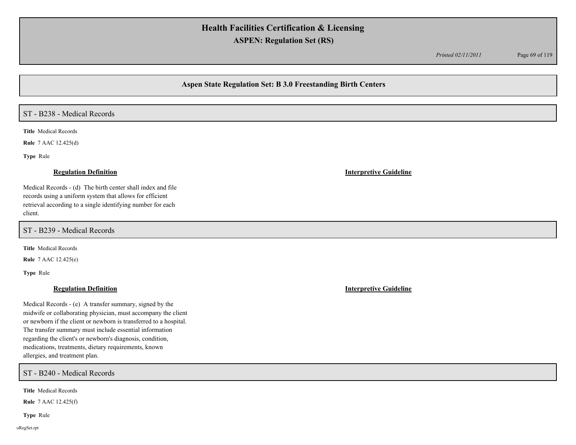*Printed 02/11/2011* Page 69 of 119

## **Aspen State Regulation Set: B 3.0 Freestanding Birth Centers**

### ST - B238 - Medical Records

**Title** Medical Records

**Rule** 7 AAC 12.425(d)

**Type** Rule

Medical Records - (d) The birth center shall index and file records using a uniform system that allows for efficient retrieval according to a single identifying number for each client.

ST - B239 - Medical Records

**Title** Medical Records

**Rule** 7 AAC 12.425(e)

**Type** Rule

# **Regulation Definition Interpretive Guideline**

Medical Records - (e) A transfer summary, signed by the midwife or collaborating physician, must accompany the client or newborn if the client or newborn is transferred to a hospital. The transfer summary must include essential information regarding the client's or newborn's diagnosis, condition, medications, treatments, dietary requirements, known allergies, and treatment plan.

ST - B240 - Medical Records

**Title** Medical Records

**Rule** 7 AAC 12.425(f)

**Type** Rule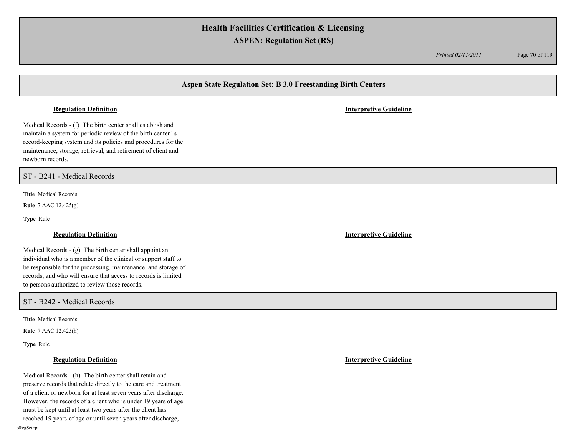*Printed 02/11/2011* Page 70 of 119

# **Aspen State Regulation Set: B 3.0 Freestanding Birth Centers**

### **Regulation Definition Interpretive Guideline**

Medical Records - (f) The birth center shall establish and maintain a system for periodic review of the birth center ' s record-keeping system and its policies and procedures for the maintenance, storage, retrieval, and retirement of client and newborn records.

ST - B241 - Medical Records

**Title** Medical Records

**Rule** 7 AAC 12.425(g)

**Type** Rule

Medical Records - (g) The birth center shall appoint an individual who is a member of the clinical or support staff to be responsible for the processing, maintenance, and storage of records, and who will ensure that access to records is limited to persons authorized to review those records.

ST - B242 - Medical Records

**Title** Medical Records

**Rule** 7 AAC 12.425(h)

**Type** Rule

Medical Records - (h) The birth center shall retain and preserve records that relate directly to the care and treatment of a client or newborn for at least seven years after discharge. However, the records of a client who is under 19 years of age must be kept until at least two years after the client has reached 19 years of age or until seven years after discharge,

**Regulation Definition Interpretive Guideline**

**Regulation Definition Interpretive Guideline**

oRegSet.rpt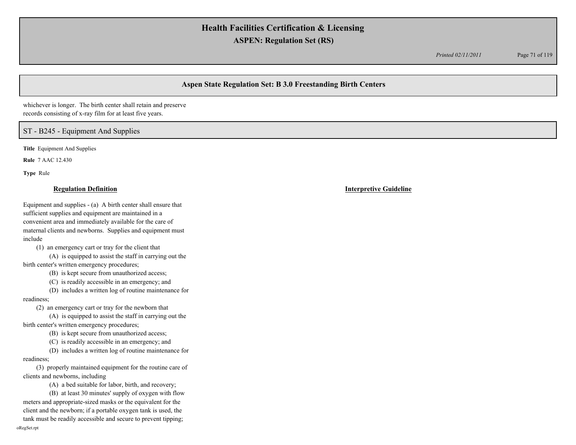*Printed 02/11/2011* Page 71 of 119

# **Aspen State Regulation Set: B 3.0 Freestanding Birth Centers**

whichever is longer. The birth center shall retain and preserve records consisting of x-ray film for at least five years.

## ST - B245 - Equipment And Supplies

**Title** Equipment And Supplies

**Rule** 7 AAC 12.430

**Type** Rule

### **Regulation Definition Interpretive Guideline**

Equipment and supplies - (a) A birth center shall ensure that sufficient supplies and equipment are maintained in a convenient area and immediately available for the care of maternal clients and newborns. Supplies and equipment must include

(1) an emergency cart or tray for the client that

(A) is equipped to assist the staff in carrying out the birth center's written emergency procedures;

(B) is kept secure from unauthorized access;

(C) is readily accessible in an emergency; and

(D) includes a written log of routine maintenance for readiness;

(2) an emergency cart or tray for the newborn that

(A) is equipped to assist the staff in carrying out the birth center's written emergency procedures;

(B) is kept secure from unauthorized access;

(C) is readily accessible in an emergency; and

(D) includes a written log of routine maintenance for readiness;

(3) properly maintained equipment for the routine care of clients and newborns, including

(A) a bed suitable for labor, birth, and recovery;

(B) at least 30 minutes' supply of oxygen with flow meters and appropriate-sized masks or the equivalent for the client and the newborn; if a portable oxygen tank is used, the tank must be readily accessible and secure to prevent tipping; oRegSet.rpt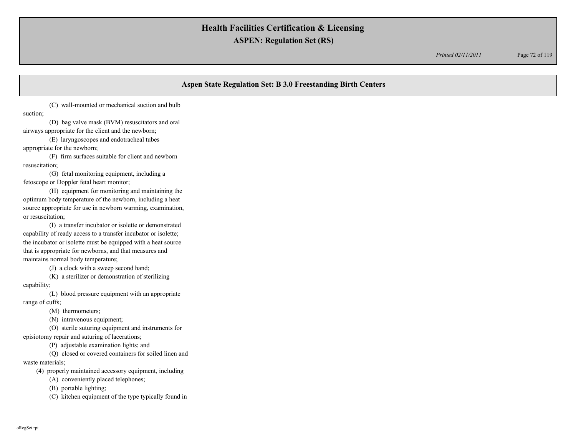*Printed 02/11/2011* Page 72 of 119

# **Aspen State Regulation Set: B 3.0 Freestanding Birth Centers**

(C) wall-mounted or mechanical suction and bulb suction;

(D) bag valve mask (BVM) resuscitators and oral airways appropriate for the client and the newborn;

(E) laryngoscopes and endotracheal tubes appropriate for the newborn;

(F) firm surfaces suitable for client and newborn resuscitation;

(G) fetal monitoring equipment, including a fetoscope or Doppler fetal heart monitor;

(H) equipment for monitoring and maintaining the optimum body temperature of the newborn, including a heat source appropriate for use in newborn warming, examination, or resuscitation;

(I) a transfer incubator or isolette or demonstrated capability of ready access to a transfer incubator or isolette; the incubator or isolette must be equipped with a heat source that is appropriate for newborns, and that measures and maintains normal body temperature;

(J) a clock with a sweep second hand;

(K) a sterilizer or demonstration of sterilizing

capability;

(L) blood pressure equipment with an appropriate range of cuffs;

(M) thermometers;

(N) intravenous equipment;

(O) sterile suturing equipment and instruments for

episiotomy repair and suturing of lacerations;

(P) adjustable examination lights; and

(Q) closed or covered containers for soiled linen and

waste materials;

(4) properly maintained accessory equipment, including

(A) conveniently placed telephones;

(B) portable lighting;

(C) kitchen equipment of the type typically found in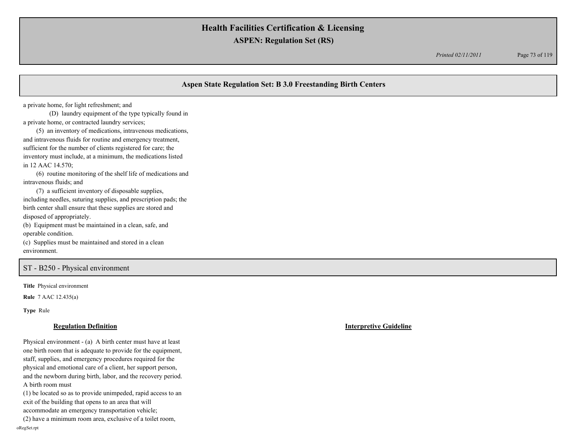*Printed 02/11/2011* Page 73 of 119

# **Aspen State Regulation Set: B 3.0 Freestanding Birth Centers**

a private home, for light refreshment; and

(D) laundry equipment of the type typically found in a private home, or contracted laundry services;

(5) an inventory of medications, intravenous medications, and intravenous fluids for routine and emergency treatment, sufficient for the number of clients registered for care; the inventory must include, at a minimum, the medications listed in 12 AAC 14.570;

(6) routine monitoring of the shelf life of medications and intravenous fluids; and

(7) a sufficient inventory of disposable supplies, including needles, suturing supplies, and prescription pads; the birth center shall ensure that these supplies are stored and disposed of appropriately.

(b) Equipment must be maintained in a clean, safe, and operable condition.

(c) Supplies must be maintained and stored in a clean environment.

## ST - B250 - Physical environment

**Title** Physical environment

**Rule** 7 AAC 12.435(a)

**Type** Rule

### **Regulation Definition Interpretive Guideline**

Physical environment - (a) A birth center must have at least one birth room that is adequate to provide for the equipment, staff, supplies, and emergency procedures required for the physical and emotional care of a client, her support person, and the newborn during birth, labor, and the recovery period. A birth room must

(1) be located so as to provide unimpeded, rapid access to an exit of the building that opens to an area that will accommodate an emergency transportation vehicle;

(2) have a minimum room area, exclusive of a toilet room, oRegSet.rpt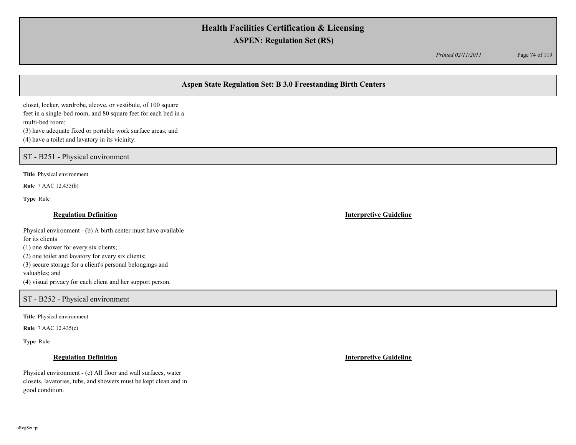*Printed 02/11/2011* Page 74 of 119

# **Aspen State Regulation Set: B 3.0 Freestanding Birth Centers**

closet, locker, wardrobe, alcove, or vestibule, of 100 square feet in a single-bed room, and 80 square feet for each bed in a multi-bed room;

(3) have adequate fixed or portable work surface areas; and (4) have a toilet and lavatory in its vicinity.

ST - B251 - Physical environment

**Title** Physical environment

**Rule** 7 AAC 12.435(b)

**Type** Rule

## **Regulation Definition Interpretive Guideline**

Physical environment - (b) A birth center must have available for its clients (1) one shower for every six clients; (2) one toilet and lavatory for every six clients; (3) secure storage for a client's personal belongings and valuables; and (4) visual privacy for each client and her support person.

## ST - B252 - Physical environment

**Title** Physical environment

**Rule** 7 AAC 12.435(c)

**Type** Rule

Physical environment - (c) All floor and wall surfaces, water closets, lavatories, tubs, and showers must be kept clean and in good condition.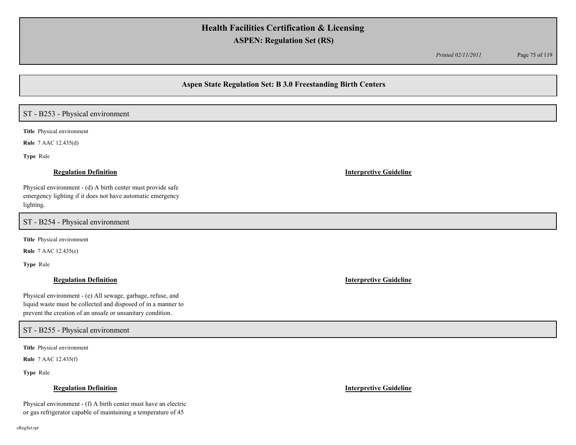*Printed 02/11/2011* Page 75 of 119

## **Aspen State Regulation Set: B 3.0 Freestanding Birth Centers**

# ST - B253 - Physical environment

**Title** Physical environment

**Rule** 7 AAC 12.435(d)

**Type** Rule

Physical environment - (d) A birth center must provide safe emergency lighting if it does not have automatic emergency lighting.

ST - B254 - Physical environment

**Title** Physical environment

**Rule** 7 AAC 12.435(e)

**Type** Rule

Physical environment - (e) All sewage, garbage, refuse, and liquid waste must be collected and disposed of in a manner to prevent the creation of an unsafe or unsanitary condition.

## ST - B255 - Physical environment

**Title** Physical environment

**Rule** 7 AAC 12.435(f)

**Type** Rule

### **Regulation Definition Interpretive Guideline**

Physical environment - (f) A birth center must have an electric or gas refrigerator capable of maintaining a temperature of 45

### **Regulation Definition Interpretive Guideline**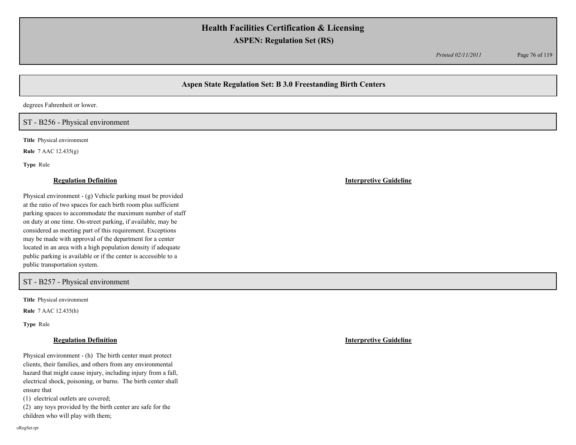*Printed 02/11/2011* Page 76 of 119

# **Aspen State Regulation Set: B 3.0 Freestanding Birth Centers**

degrees Fahrenheit or lower.

## ST - B256 - Physical environment

**Title** Physical environment

**Rule** 7 AAC 12.435(g)

**Type** Rule

Physical environment - (g) Vehicle parking must be provided at the ratio of two spaces for each birth room plus sufficient parking spaces to accommodate the maximum number of staff on duty at one time. On-street parking, if available, may be considered as meeting part of this requirement. Exceptions may be made with approval of the department for a center located in an area with a high population density if adequate public parking is available or if the center is accessible to a public transportation system.

## ST - B257 - Physical environment

**Title** Physical environment

**Rule** 7 AAC 12.435(h)

**Type** Rule

Physical environment - (h) The birth center must protect clients, their families, and others from any environmental hazard that might cause injury, including injury from a fall, electrical shock, poisoning, or burns. The birth center shall ensure that

(1) electrical outlets are covered;

(2) any toys provided by the birth center are safe for the children who will play with them;

**Regulation Definition Interpretive Guideline**

oRegSet.rpt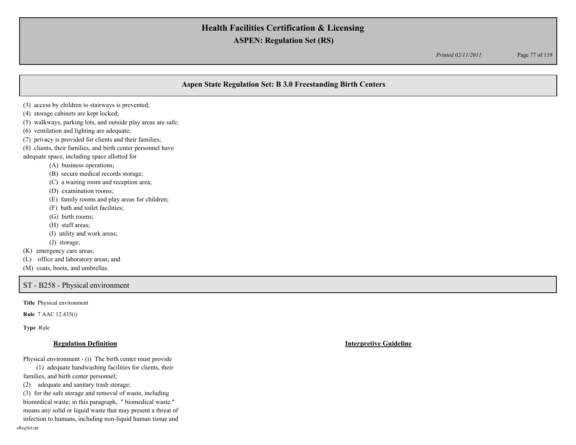*Printed 02/11/2011* Page 77 of 119

# **Aspen State Regulation Set: B 3.0 Freestanding Birth Centers**

- (3) access by children to stairways is prevented;
- (4) storage cabinets are kept locked;
- (5) walkways, parking lots, and outside play areas are safe;
- (6) ventilation and lighting are adequate;
- (7) privacy is provided for clients and their families;
- (8) clients, their families, and birth center personnel have
- adequate space, including space allotted for
	- (A) business operations;
	- (B) secure medical records storage;
	- (C) a waiting room and reception area;
	- (D) examination rooms;
	- (E) family rooms and play areas for children;
	- (F) bath and toilet facilities;
	- (G) birth rooms;
	- (H) staff areas;
	- (I) utility and work areas;
	- (J) storage;
- (K) emergency care areas;
- (L) office and laboratory areas; and
- (M) coats, boots, and umbrellas.

ST - B258 - Physical environment

**Title** Physical environment

**Rule** 7 AAC 12.435(i)

**Type** Rule

### **Regulation Definition Interpretive Guideline**

Physical environment - (i) The birth center must provide

(1) adequate handwashing facilities for clients, their families, and birth center personnel;

(2) adequate and sanitary trash storage;

(3) for the safe storage and removal of waste, including biomedical waste; in this paragraph, " biomedical waste " means any solid or liquid waste that may present a threat of

infection to humans, including non-liquid human tissue and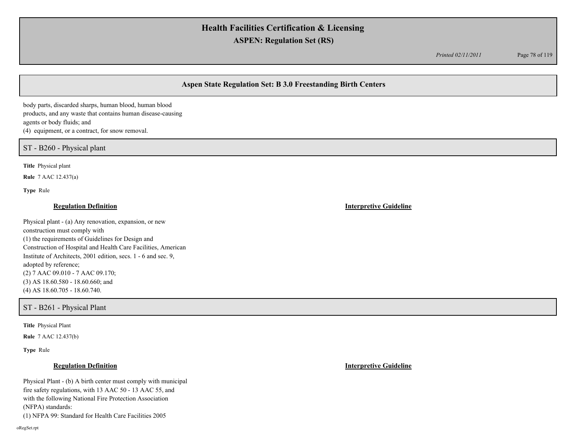*Printed 02/11/2011* Page 78 of 119

# **Aspen State Regulation Set: B 3.0 Freestanding Birth Centers**

body parts, discarded sharps, human blood, human blood products, and any waste that contains human disease-causing agents or body fluids; and (4) equipment, or a contract, for snow removal.

ST - B260 - Physical plant

**Title** Physical plant

**Rule** 7 AAC 12.437(a)

**Type** Rule

### **Regulation Definition Interpretive Guideline**

Physical plant - (a) Any renovation, expansion, or new construction must comply with (1) the requirements of Guidelines for Design and Construction of Hospital and Health Care Facilities, American Institute of Architects, 2001 edition, secs. 1 - 6 and sec. 9, adopted by reference; (2) 7 AAC 09.010 - 7 AAC 09.170; (3) AS 18.60.580 - 18.60.660; and (4) AS 18.60.705 - 18.60.740.

ST - B261 - Physical Plant

**Title** Physical Plant

**Rule** 7 AAC 12.437(b)

**Type** Rule

Physical Plant - (b) A birth center must comply with municipal fire safety regulations, with 13 AAC 50 - 13 AAC 55, and with the following National Fire Protection Association (NFPA) standards: (1) NFPA 99: Standard for Health Care Facilities 2005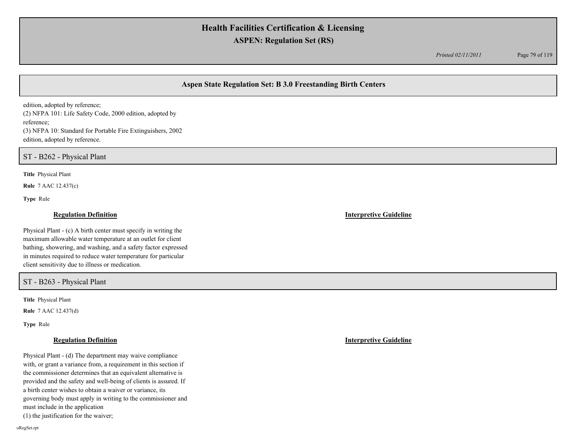*Printed 02/11/2011* Page 79 of 119

# **Aspen State Regulation Set: B 3.0 Freestanding Birth Centers**

edition, adopted by reference; (2) NFPA 101: Life Safety Code, 2000 edition, adopted by reference; (3) NFPA 10: Standard for Portable Fire Extinguishers, 2002 edition, adopted by reference.

ST - B262 - Physical Plant

**Title** Physical Plant

**Rule** 7 AAC 12.437(c)

**Type** Rule

### **Regulation Definition Interpretive Guideline**

Physical Plant - (c) A birth center must specify in writing the maximum allowable water temperature at an outlet for client bathing, showering, and washing, and a safety factor expressed in minutes required to reduce water temperature for particular client sensitivity due to illness or medication.

ST - B263 - Physical Plant

**Title** Physical Plant

**Rule** 7 AAC 12.437(d)

**Type** Rule

Physical Plant - (d) The department may waive compliance with, or grant a variance from, a requirement in this section if the commissioner determines that an equivalent alternative is provided and the safety and well-being of clients is assured. If a birth center wishes to obtain a waiver or variance, its governing body must apply in writing to the commissioner and must include in the application (1) the justification for the waiver;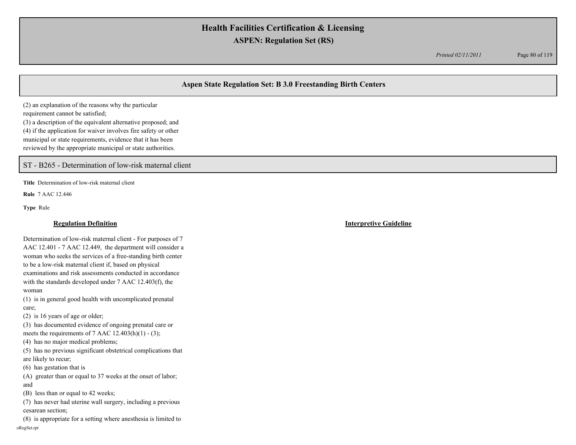*Printed 02/11/2011* Page 80 of 119

# **Aspen State Regulation Set: B 3.0 Freestanding Birth Centers**

(2) an explanation of the reasons why the particular requirement cannot be satisfied; (3) a description of the equivalent alternative proposed; and (4) if the application for waiver involves fire safety or other municipal or state requirements, evidence that it has been reviewed by the appropriate municipal or state authorities.

ST - B265 - Determination of low-risk maternal client

**Title** Determination of low-risk maternal client

**Rule** 7 AAC 12.446

**Type** Rule

### **Regulation Definition Interpretive Guideline**

Determination of low-risk maternal client - For purposes of 7 AAC 12.401 - 7 AAC 12.449, the department will consider a woman who seeks the services of a free-standing birth center to be a low-risk maternal client if, based on physical examinations and risk assessments conducted in accordance with the standards developed under 7 AAC 12.403(f), the woman

(1) is in general good health with uncomplicated prenatal care;

(2) is 16 years of age or older;

(3) has documented evidence of ongoing prenatal care or meets the requirements of 7 AAC  $12.403(h)(1) - (3)$ ;

(4) has no major medical problems;

(5) has no previous significant obstetrical complications that are likely to recur;

(6) has gestation that is

(A) greater than or equal to 37 weeks at the onset of labor; and

(B) less than or equal to 42 weeks;

(7) has never had uterine wall surgery, including a previous cesarean section;

(8) is appropriate for a setting where anesthesia is limited to oRegSet.rpt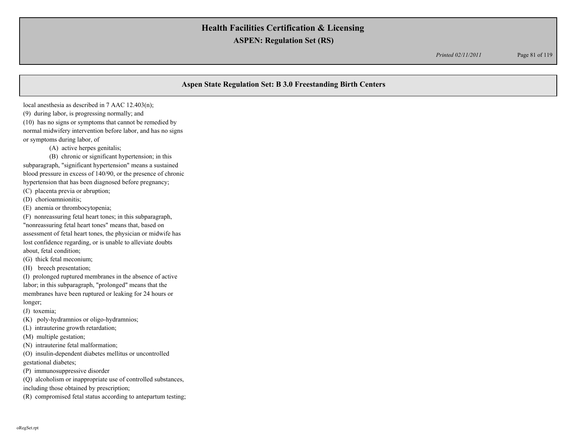*Printed 02/11/2011* Page 81 of 119

## **Aspen State Regulation Set: B 3.0 Freestanding Birth Centers**

local anesthesia as described in 7 AAC 12.403(n); (9) during labor, is progressing normally; and (10) has no signs or symptoms that cannot be remedied by normal midwifery intervention before labor, and has no signs or symptoms during labor, of

(A) active herpes genitalis;

(B) chronic or significant hypertension; in this subparagraph, "significant hypertension" means a sustained

blood pressure in excess of 140/90, or the presence of chronic hypertension that has been diagnosed before pregnancy;

(C) placenta previa or abruption;

(D) chorioamnionitis;

(E) anemia or thrombocytopenia;

(F) nonreassuring fetal heart tones; in this subparagraph, "nonreassuring fetal heart tones" means that, based on assessment of fetal heart tones, the physician or midwife has lost confidence regarding, or is unable to alleviate doubts about, fetal condition;

(G) thick fetal meconium;

(H) breech presentation;

(I) prolonged ruptured membranes in the absence of active labor; in this subparagraph, "prolonged" means that the membranes have been ruptured or leaking for 24 hours or longer;

(J) toxemia;

(K) poly-hydramnios or oligo-hydramnios;

(L) intrauterine growth retardation;

(M) multiple gestation;

(N) intrauterine fetal malformation;

(O) insulin-dependent diabetes mellitus or uncontrolled gestational diabetes;

(P) immunosuppressive disorder

(Q) alcoholism or inappropriate use of controlled substances,

including those obtained by prescription;

(R) compromised fetal status according to antepartum testing;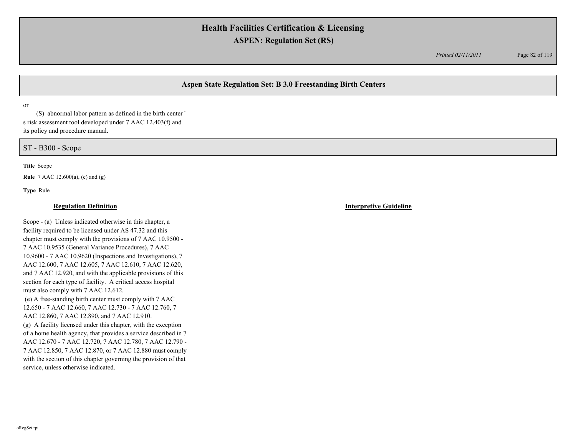*Printed 02/11/2011* Page 82 of 119

# **Aspen State Regulation Set: B 3.0 Freestanding Birth Centers**

or

(S) abnormal labor pattern as defined in the birth center ' s risk assessment tool developed under 7 AAC 12.403(f) and its policy and procedure manual.

ST - B300 - Scope

**Title** Scope

**Rule** 7 AAC 12.600(a), (e) and (g)

**Type** Rule

Scope - (a) Unless indicated otherwise in this chapter, a facility required to be licensed under AS 47.32 and this chapter must comply with the provisions of 7 AAC 10.9500 - 7 AAC 10.9535 (General Variance Procedures), 7 AAC 10.9600 - 7 AAC 10.9620 (Inspections and Investigations), 7 AAC 12.600, 7 AAC 12.605, 7 AAC 12.610, 7 AAC 12.620, and 7 AAC 12.920, and with the applicable provisions of this section for each type of facility. A critical access hospital must also comply with 7 AAC 12.612. (e) A free-standing birth center must comply with 7 AAC 12.650 - 7 AAC 12.660, 7 AAC 12.730 - 7 AAC 12.760, 7 AAC 12.860, 7 AAC 12.890, and 7 AAC 12.910. (g) A facility licensed under this chapter, with the exception of a home health agency, that provides a service described in 7 AAC 12.670 - 7 AAC 12.720, 7 AAC 12.780, 7 AAC 12.790 - 7 AAC 12.850, 7 AAC 12.870, or 7 AAC 12.880 must comply with the section of this chapter governing the provision of that service, unless otherwise indicated.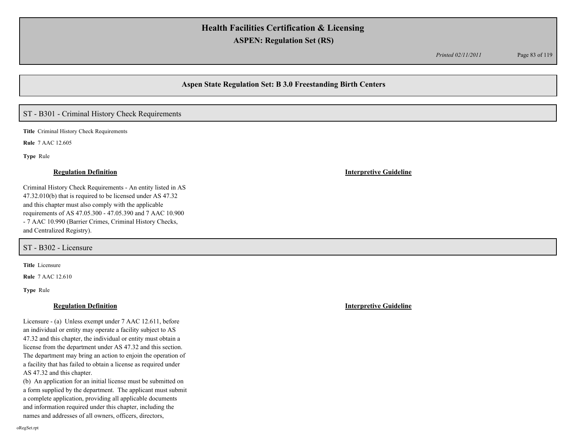*Printed 02/11/2011* Page 83 of 119

## **Aspen State Regulation Set: B 3.0 Freestanding Birth Centers**

# ST - B301 - Criminal History Check Requirements

**Title** Criminal History Check Requirements

**Rule** 7 AAC 12.605

**Type** Rule

Criminal History Check Requirements - An entity listed in AS 47.32.010(b) that is required to be licensed under AS 47.32 and this chapter must also comply with the applicable requirements of AS 47.05.300 - 47.05.390 and 7 AAC 10.900 - 7 AAC 10.990 (Barrier Crimes, Criminal History Checks, and Centralized Registry).

ST - B302 - Licensure

**Title** Licensure

**Rule** 7 AAC 12.610

**Type** Rule

### **Regulation Definition Interpretive Guideline**

Licensure - (a) Unless exempt under 7 AAC 12.611, before an individual or entity may operate a facility subject to AS 47.32 and this chapter, the individual or entity must obtain a license from the department under AS 47.32 and this section. The department may bring an action to enjoin the operation of a facility that has failed to obtain a license as required under AS 47.32 and this chapter.

(b) An application for an initial license must be submitted on a form supplied by the department. The applicant must submit a complete application, providing all applicable documents and information required under this chapter, including the names and addresses of all owners, officers, directors,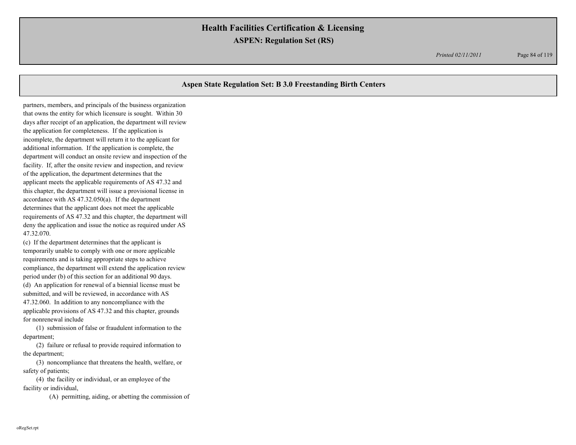*Printed 02/11/2011* Page 84 of 119

# **Aspen State Regulation Set: B 3.0 Freestanding Birth Centers**

partners, members, and principals of the business organization that owns the entity for which licensure is sought. Within 30 days after receipt of an application, the department will review the application for completeness. If the application is incomplete, the department will return it to the applicant for additional information. If the application is complete, the department will conduct an onsite review and inspection of the facility. If, after the onsite review and inspection, and review of the application, the department determines that the applicant meets the applicable requirements of AS 47.32 and this chapter, the department will issue a provisional license in accordance with AS 47.32.050(a). If the department determines that the applicant does not meet the applicable requirements of AS 47.32 and this chapter, the department will deny the application and issue the notice as required under AS 47.32.070.

(c) If the department determines that the applicant is temporarily unable to comply with one or more applicable requirements and is taking appropriate steps to achieve compliance, the department will extend the application review period under (b) of this section for an additional 90 days. (d) An application for renewal of a biennial license must be submitted, and will be reviewed, in accordance with AS 47.32.060. In addition to any noncompliance with the applicable provisions of AS 47.32 and this chapter, grounds for nonrenewal include

(1) submission of false or fraudulent information to the department;

(2) failure or refusal to provide required information to the department;

(3) noncompliance that threatens the health, welfare, or safety of patients;

(4) the facility or individual, or an employee of the facility or individual,

(A) permitting, aiding, or abetting the commission of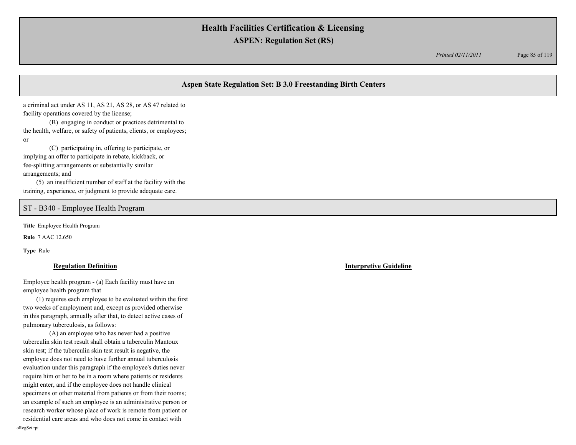*Printed 02/11/2011* Page 85 of 119

# **Aspen State Regulation Set: B 3.0 Freestanding Birth Centers**

a criminal act under AS 11, AS 21, AS 28, or AS 47 related to facility operations covered by the license;

(B) engaging in conduct or practices detrimental to the health, welfare, or safety of patients, clients, or employees; or

(C) participating in, offering to participate, or implying an offer to participate in rebate, kickback, or fee-splitting arrangements or substantially similar arrangements; and

(5) an insufficient number of staff at the facility with the training, experience, or judgment to provide adequate care.

## ST - B340 - Employee Health Program

**Title** Employee Health Program

**Rule** 7 AAC 12.650

**Type** Rule

### **Regulation Definition Interpretive Guideline**

Employee health program - (a) Each facility must have an employee health program that

(1) requires each employee to be evaluated within the first two weeks of employment and, except as provided otherwise in this paragraph, annually after that, to detect active cases of pulmonary tuberculosis, as follows:

(A) an employee who has never had a positive tuberculin skin test result shall obtain a tuberculin Mantoux skin test; if the tuberculin skin test result is negative, the employee does not need to have further annual tuberculosis evaluation under this paragraph if the employee's duties never require him or her to be in a room where patients or residents might enter, and if the employee does not handle clinical specimens or other material from patients or from their rooms; an example of such an employee is an administrative person or research worker whose place of work is remote from patient or residential care areas and who does not come in contact with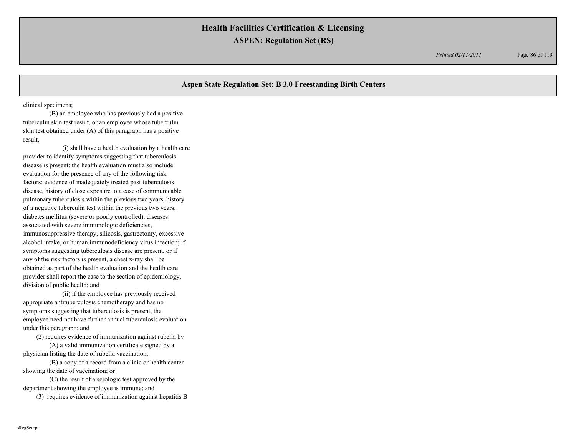*Printed 02/11/2011* Page 86 of 119

# **Aspen State Regulation Set: B 3.0 Freestanding Birth Centers**

clinical specimens;

(B) an employee who has previously had a positive tuberculin skin test result, or an employee whose tuberculin skin test obtained under (A) of this paragraph has a positive result,

(i) shall have a health evaluation by a health care provider to identify symptoms suggesting that tuberculosis disease is present; the health evaluation must also include evaluation for the presence of any of the following risk factors: evidence of inadequately treated past tuberculosis disease, history of close exposure to a case of communicable pulmonary tuberculosis within the previous two years, history of a negative tuberculin test within the previous two years, diabetes mellitus (severe or poorly controlled), diseases associated with severe immunologic deficiencies, immunosuppressive therapy, silicosis, gastrectomy, excessive alcohol intake, or human immunodeficiency virus infection; if symptoms suggesting tuberculosis disease are present, or if any of the risk factors is present, a chest x-ray shall be obtained as part of the health evaluation and the health care provider shall report the case to the section of epidemiology, division of public health; and

(ii) if the employee has previously received appropriate antituberculosis chemotherapy and has no symptoms suggesting that tuberculosis is present, the employee need not have further annual tuberculosis evaluation under this paragraph; and

(2) requires evidence of immunization against rubella by

(A) a valid immunization certificate signed by a physician listing the date of rubella vaccination;

(B) a copy of a record from a clinic or health center showing the date of vaccination; or

(C) the result of a serologic test approved by the department showing the employee is immune; and

(3) requires evidence of immunization against hepatitis B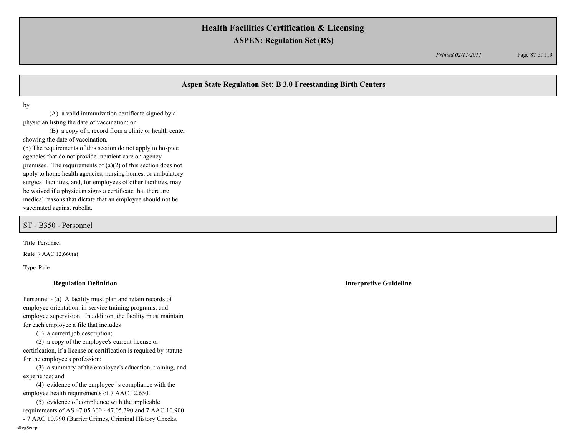*Printed 02/11/2011* Page 87 of 119

# **Aspen State Regulation Set: B 3.0 Freestanding Birth Centers**

by

(A) a valid immunization certificate signed by a physician listing the date of vaccination; or

(B) a copy of a record from a clinic or health center showing the date of vaccination.

(b) The requirements of this section do not apply to hospice agencies that do not provide inpatient care on agency premises. The requirements of (a)(2) of this section does not apply to home health agencies, nursing homes, or ambulatory surgical facilities, and, for employees of other facilities, may be waived if a physician signs a certificate that there are medical reasons that dictate that an employee should not be vaccinated against rubella.

ST - B350 - Personnel

**Title** Personnel

**Rule** 7 AAC 12.660(a)

**Type** Rule

### **Regulation Definition Interpretive Guideline**

Personnel - (a) A facility must plan and retain records of employee orientation, in-service training programs, and employee supervision. In addition, the facility must maintain for each employee a file that includes

(1) a current job description;

(2) a copy of the employee's current license or certification, if a license or certification is required by statute for the employee's profession;

(3) a summary of the employee's education, training, and experience; and

(4) evidence of the employee ' s compliance with the employee health requirements of 7 AAC 12.650.

(5) evidence of compliance with the applicable requirements of AS 47.05.300 - 47.05.390 and 7 AAC 10.900

- 7 AAC 10.990 (Barrier Crimes, Criminal History Checks,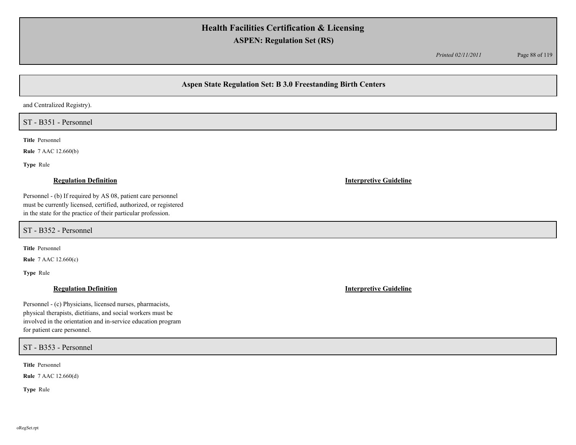*Printed 02/11/2011* Page 88 of 119

# **Aspen State Regulation Set: B 3.0 Freestanding Birth Centers**

and Centralized Registry).

ST - B351 - Personnel

**Title** Personnel

**Rule** 7 AAC 12.660(b)

**Type** Rule

Personnel - (b) If required by AS 08, patient care personnel must be currently licensed, certified, authorized, or registered in the state for the practice of their particular profession.

ST - B352 - Personnel

**Title** Personnel

**Rule** 7 AAC 12.660(c)

**Type** Rule

Personnel - (c) Physicians, licensed nurses, pharmacists, physical therapists, dietitians, and social workers must be involved in the orientation and in-service education program for patient care personnel.

ST - B353 - Personnel

**Title** Personnel

**Rule** 7 AAC 12.660(d)

**Type** Rule

**Regulation Definition Interpretive Guideline**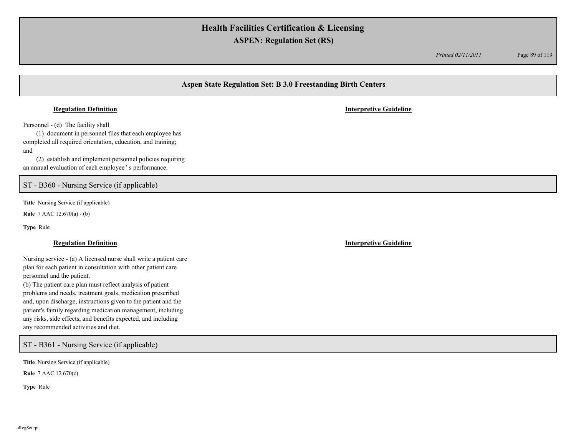*Printed 02/11/2011* Page 89 of 119

# **Aspen State Regulation Set: B 3.0 Freestanding Birth Centers**

### **Regulation Definition Interpretive Guideline**

Personnel - (d) The facility shall

(1) document in personnel files that each employee has completed all required orientation, education, and training; and

(2) establish and implement personnel policies requiring an annual evaluation of each employee ' s performance.

ST - B360 - Nursing Service (if applicable)

**Title** Nursing Service (if applicable)

**Rule** 7 AAC 12.670(a) - (b)

**Type** Rule

Nursing service - (a) A licensed nurse shall write a patient care plan for each patient in consultation with other patient care personnel and the patient.

(b) The patient care plan must reflect analysis of patient problems and needs, treatment goals, medication prescribed and, upon discharge, instructions given to the patient and the patient's family regarding medication management, including any risks, side effects, and benefits expected, and including any recommended activities and diet.

ST - B361 - Nursing Service (if applicable)

**Title** Nursing Service (if applicable)

**Rule** 7 AAC 12.670(c)

**Type** Rule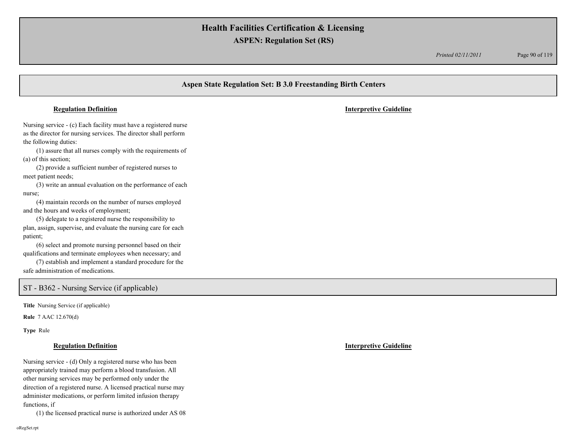*Printed 02/11/2011* Page 90 of 119

# **Aspen State Regulation Set: B 3.0 Freestanding Birth Centers** Nursing service - (c) Each facility must have a registered nurse as the director for nursing services. The director shall perform the following duties: (1) assure that all nurses comply with the requirements of (a) of this section; (2) provide a sufficient number of registered nurses to meet patient needs; (3) write an annual evaluation on the performance of each nurse; (4) maintain records on the number of nurses employed and the hours and weeks of employment; (5) delegate to a registered nurse the responsibility to plan, assign, supervise, and evaluate the nursing care for each patient; **Regulation Definition Interpretive Guideline**

(6) select and promote nursing personnel based on their qualifications and terminate employees when necessary; and

(7) establish and implement a standard procedure for the safe administration of medications.

## ST - B362 - Nursing Service (if applicable)

**Title** Nursing Service (if applicable)

**Rule** 7 AAC 12.670(d)

**Type** Rule

### **Regulation Definition Interpretive Guideline**

Nursing service - (d) Only a registered nurse who has been appropriately trained may perform a blood transfusion. All other nursing services may be performed only under the direction of a registered nurse. A licensed practical nurse may administer medications, or perform limited infusion therapy functions, if

(1) the licensed practical nurse is authorized under AS 08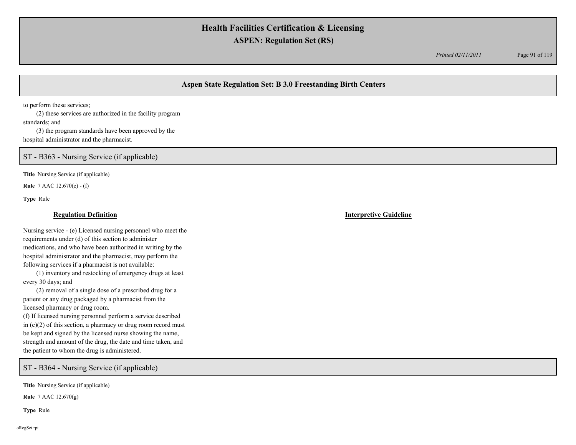*Printed 02/11/2011* Page 91 of 119

# **Aspen State Regulation Set: B 3.0 Freestanding Birth Centers**

to perform these services;

(2) these services are authorized in the facility program standards; and

(3) the program standards have been approved by the hospital administrator and the pharmacist.

ST - B363 - Nursing Service (if applicable)

**Title** Nursing Service (if applicable)

**Rule** 7 AAC 12.670(e) - (f)

**Type** Rule

### **Regulation Definition Interpretive Guideline**

Nursing service - (e) Licensed nursing personnel who meet the requirements under (d) of this section to administer medications, and who have been authorized in writing by the hospital administrator and the pharmacist, may perform the following services if a pharmacist is not available:

(1) inventory and restocking of emergency drugs at least every 30 days; and

(2) removal of a single dose of a prescribed drug for a patient or any drug packaged by a pharmacist from the licensed pharmacy or drug room.

(f) If licensed nursing personnel perform a service described in  $(e)(2)$  of this section, a pharmacy or drug room record must be kept and signed by the licensed nurse showing the name, strength and amount of the drug, the date and time taken, and the patient to whom the drug is administered.

ST - B364 - Nursing Service (if applicable)

**Title** Nursing Service (if applicable)

**Rule** 7 AAC 12.670(g)

**Type** Rule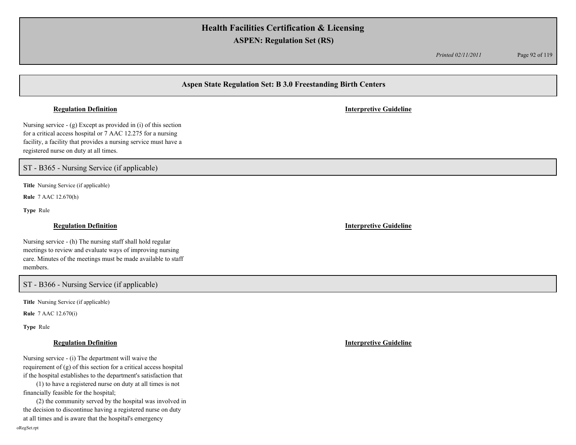*Printed 02/11/2011* Page 92 of 119

# **Aspen State Regulation Set: B 3.0 Freestanding Birth Centers**

### **Regulation Definition Interpretive Guideline**

Nursing service - (g) Except as provided in (i) of this section for a critical access hospital or 7 AAC 12.275 for a nursing facility, a facility that provides a nursing service must have a registered nurse on duty at all times.

ST - B365 - Nursing Service (if applicable)

**Title** Nursing Service (if applicable)

**Rule** 7 AAC 12.670(h)

**Type** Rule

Nursing service - (h) The nursing staff shall hold regular meetings to review and evaluate ways of improving nursing care. Minutes of the meetings must be made available to staff members.

ST - B366 - Nursing Service (if applicable)

**Title** Nursing Service (if applicable)

**Rule** 7 AAC 12.670(i)

**Type** Rule

Nursing service - (i) The department will waive the requirement of (g) of this section for a critical access hospital if the hospital establishes to the department's satisfaction that

(1) to have a registered nurse on duty at all times is not financially feasible for the hospital;

(2) the community served by the hospital was involved in the decision to discontinue having a registered nurse on duty at all times and is aware that the hospital's emergency

**Regulation Definition Interpretive Guideline**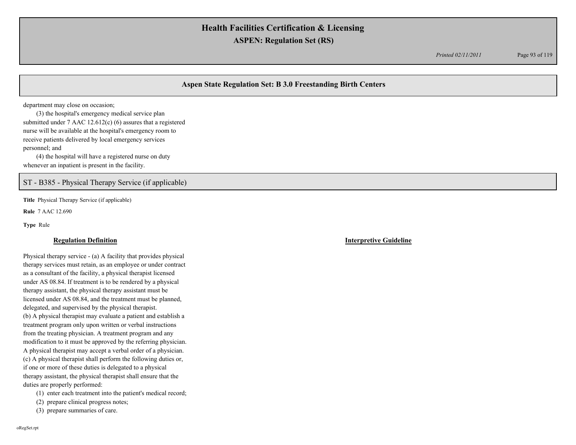*Printed 02/11/2011* Page 93 of 119

# **Aspen State Regulation Set: B 3.0 Freestanding Birth Centers**

department may close on occasion;

(3) the hospital's emergency medical service plan submitted under 7 AAC 12.612(c) (6) assures that a registered nurse will be available at the hospital's emergency room to receive patients delivered by local emergency services personnel; and (4) the hospital will have a registered nurse on duty

whenever an inpatient is present in the facility.

ST - B385 - Physical Therapy Service (if applicable)

**Title** Physical Therapy Service (if applicable)

**Rule** 7 AAC 12.690

**Type** Rule

### **Regulation Definition Interpretive Guideline**

Physical therapy service - (a) A facility that provides physical therapy services must retain, as an employee or under contract as a consultant of the facility, a physical therapist licensed under AS 08.84. If treatment is to be rendered by a physical therapy assistant, the physical therapy assistant must be licensed under AS 08.84, and the treatment must be planned, delegated, and supervised by the physical therapist. (b) A physical therapist may evaluate a patient and establish a treatment program only upon written or verbal instructions from the treating physician. A treatment program and any modification to it must be approved by the referring physician. A physical therapist may accept a verbal order of a physician. (c) A physical therapist shall perform the following duties or, if one or more of these duties is delegated to a physical therapy assistant, the physical therapist shall ensure that the duties are properly performed:

(1) enter each treatment into the patient's medical record;

(2) prepare clinical progress notes;

(3) prepare summaries of care.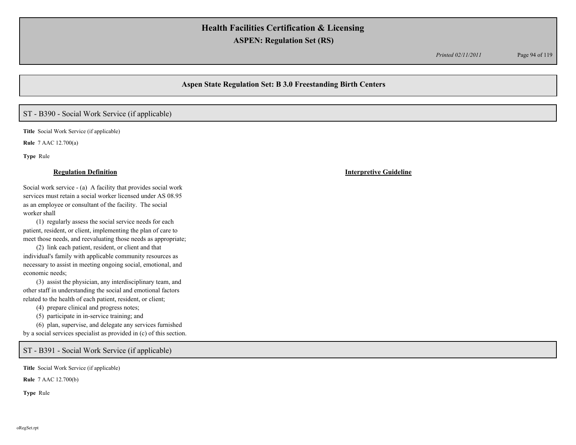*Printed 02/11/2011* Page 94 of 119

## **Aspen State Regulation Set: B 3.0 Freestanding Birth Centers**

# ST - B390 - Social Work Service (if applicable)

**Title** Social Work Service (if applicable)

**Rule** 7 AAC 12.700(a)

**Type** Rule

Social work service - (a) A facility that provides social work services must retain a social worker licensed under AS 08.95 as an employee or consultant of the facility. The social worker shall

(1) regularly assess the social service needs for each patient, resident, or client, implementing the plan of care to meet those needs, and reevaluating those needs as appropriate;

(2) link each patient, resident, or client and that individual's family with applicable community resources as necessary to assist in meeting ongoing social, emotional, and economic needs;

(3) assist the physician, any interdisciplinary team, and other staff in understanding the social and emotional factors related to the health of each patient, resident, or client;

(4) prepare clinical and progress notes;

(5) participate in in-service training; and

(6) plan, supervise, and delegate any services furnished by a social services specialist as provided in (c) of this section.

ST - B391 - Social Work Service (if applicable)

**Title** Social Work Service (if applicable)

**Rule** 7 AAC 12.700(b)

**Type** Rule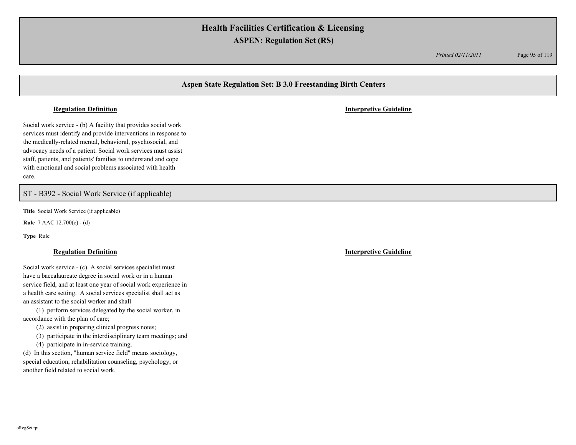*Printed 02/11/2011* Page 95 of 119

## **Aspen State Regulation Set: B 3.0 Freestanding Birth Centers**

### **Regulation Definition Interpretive Guideline**

Social work service - (b) A facility that provides social work services must identify and provide interventions in response to the medically-related mental, behavioral, psychosocial, and advocacy needs of a patient. Social work services must assist staff, patients, and patients' families to understand and cope with emotional and social problems associated with health care.

## ST - B392 - Social Work Service (if applicable)

**Title** Social Work Service (if applicable)

**Rule** 7 AAC 12.700(c) - (d)

**Type** Rule

Social work service - (c) A social services specialist must have a baccalaureate degree in social work or in a human service field, and at least one year of social work experience in a health care setting. A social services specialist shall act as an assistant to the social worker and shall

(1) perform services delegated by the social worker, in accordance with the plan of care;

(2) assist in preparing clinical progress notes;

(3) participate in the interdisciplinary team meetings; and

(4) participate in in-service training.

(d) In this section, "human service field" means sociology, special education, rehabilitation counseling, psychology, or another field related to social work.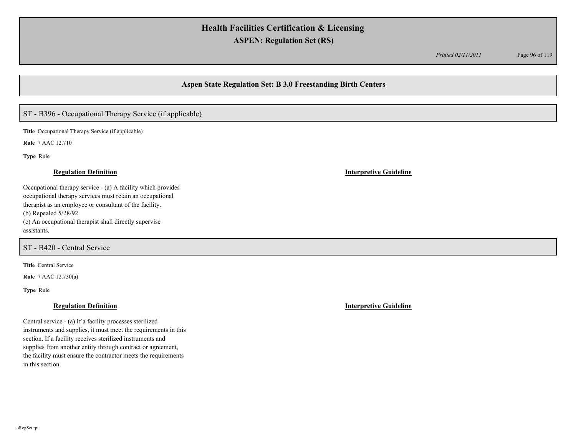*Printed 02/11/2011* Page 96 of 119

## **Aspen State Regulation Set: B 3.0 Freestanding Birth Centers**

# ST - B396 - Occupational Therapy Service (if applicable)

**Title** Occupational Therapy Service (if applicable)

**Rule** 7 AAC 12.710

**Type** Rule

### **Regulation Definition Interpretive Guideline**

Occupational therapy service - (a) A facility which provides occupational therapy services must retain an occupational therapist as an employee or consultant of the facility. (b) Repealed 5/28/92. (c) An occupational therapist shall directly supervise assistants.

# ST - B420 - Central Service

**Title** Central Service

**Rule** 7 AAC 12.730(a)

**Type** Rule

Central service - (a) If a facility processes sterilized instruments and supplies, it must meet the requirements in this section. If a facility receives sterilized instruments and supplies from another entity through contract or agreement, the facility must ensure the contractor meets the requirements in this section.

**Regulation Definition Interpretive Guideline**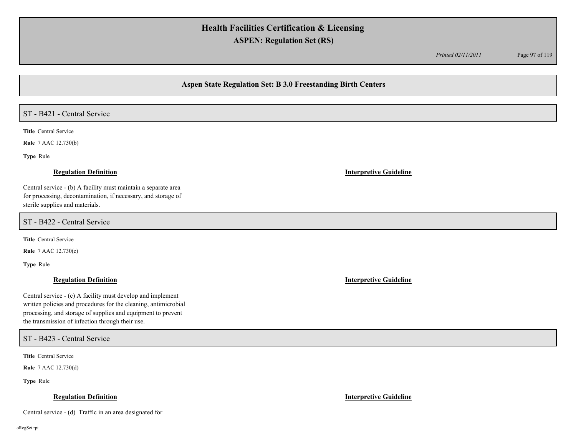*Printed 02/11/2011* Page 97 of 119

## **Aspen State Regulation Set: B 3.0 Freestanding Birth Centers**

# ST - B421 - Central Service

**Title** Central Service

**Rule** 7 AAC 12.730(b)

**Type** Rule

### **Regulation Definition Interpretive Guideline**

Central service - (b) A facility must maintain a separate area for processing, decontamination, if necessary, and storage of sterile supplies and materials.

ST - B422 - Central Service

**Title** Central Service

**Rule** 7 AAC 12.730(c)

**Type** Rule

### **Regulation Definition Interpretive Guideline**

Central service - (c) A facility must develop and implement written policies and procedures for the cleaning, antimicrobial processing, and storage of supplies and equipment to prevent the transmission of infection through their use.

ST - B423 - Central Service

**Title** Central Service

**Rule** 7 AAC 12.730(d)

**Type** Rule

### **Regulation Definition Interpretive Guideline**

Central service - (d) Traffic in an area designated for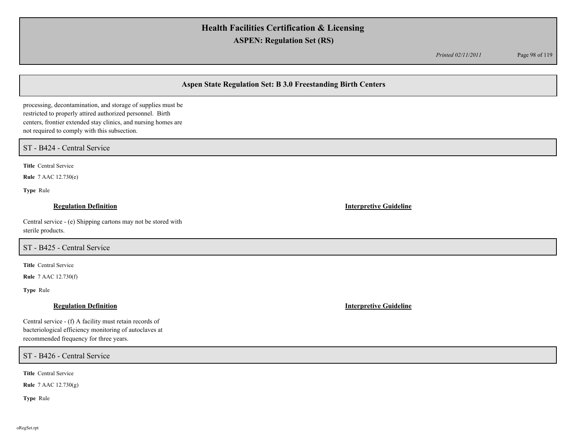*Printed 02/11/2011* Page 98 of 119

# **Aspen State Regulation Set: B 3.0 Freestanding Birth Centers**

processing, decontamination, and storage of supplies must be restricted to properly attired authorized personnel. Birth centers, frontier extended stay clinics, and nursing homes are not required to comply with this subsection.

## ST - B424 - Central Service

**Title** Central Service

**Rule** 7 AAC 12.730(e)

**Type** Rule

## **Regulation Definition Interpretive Guideline**

Central service - (e) Shipping cartons may not be stored with sterile products.

# ST - B425 - Central Service

**Title** Central Service

**Rule** 7 AAC 12.730(f)

**Type** Rule

Central service - (f) A facility must retain records of bacteriological efficiency monitoring of autoclaves at recommended frequency for three years.

ST - B426 - Central Service

**Title** Central Service

**Rule** 7 AAC 12.730(g)

**Type** Rule

**Regulation Definition Interpretive Guideline**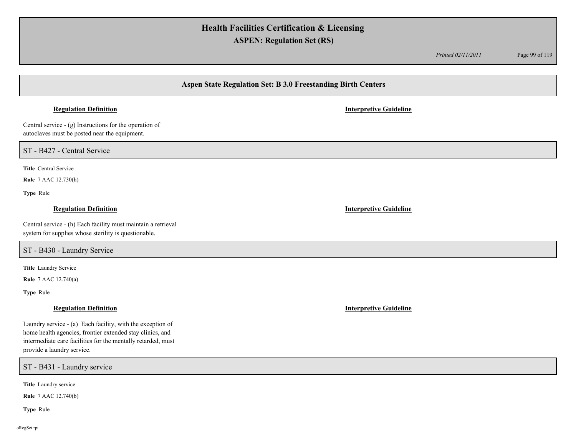*Printed 02/11/2011* Page 99 of 119

# **Aspen State Regulation Set: B 3.0 Freestanding Birth Centers**

## **Regulation Definition Interpretive Guideline**

Central service - (g) Instructions for the operation of autoclaves must be posted near the equipment.

ST - B427 - Central Service

**Title** Central Service

**Rule** 7 AAC 12.730(h)

**Type** Rule

## **Regulation Definition Interpretive Guideline**

Central service - (h) Each facility must maintain a retrieval system for supplies whose sterility is questionable.

ST - B430 - Laundry Service

**Title** Laundry Service

**Rule** 7 AAC 12.740(a)

**Type** Rule

Laundry service - (a) Each facility, with the exception of home health agencies, frontier extended stay clinics, and intermediate care facilities for the mentally retarded, must provide a laundry service.

ST - B431 - Laundry service

**Title** Laundry service

**Rule** 7 AAC 12.740(b)

**Type** Rule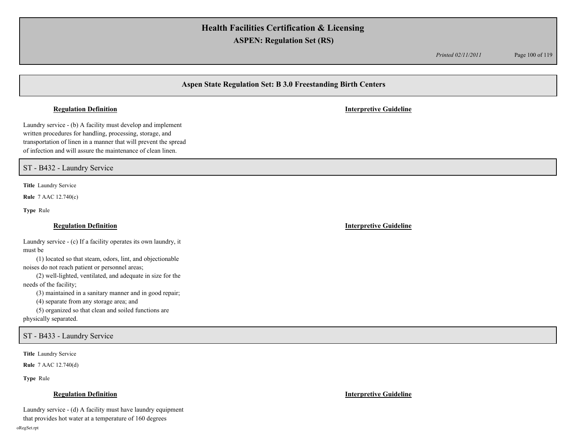*Printed 02/11/2011* Page 100 of 119

# **Aspen State Regulation Set: B 3.0 Freestanding Birth Centers**

Laundry service - (b) A facility must develop and implement written procedures for handling, processing, storage, and transportation of linen in a manner that will prevent the spread of infection and will assure the maintenance of clean linen.

ST - B432 - Laundry Service

**Title** Laundry Service

**Rule** 7 AAC 12.740(c)

**Type** Rule

Laundry service - (c) If a facility operates its own laundry, it must be

(1) located so that steam, odors, lint, and objectionable noises do not reach patient or personnel areas;

(2) well-lighted, ventilated, and adequate in size for the needs of the facility;

(3) maintained in a sanitary manner and in good repair;

(4) separate from any storage area; and

(5) organized so that clean and soiled functions are

physically separated.

ST - B433 - Laundry Service

**Title** Laundry Service

**Rule** 7 AAC 12.740(d)

**Type** Rule

Laundry service - (d) A facility must have laundry equipment

that provides hot water at a temperature of 160 degrees

### **Regulation Definition Interpretive Guideline**

**Regulation Definition Interpretive Guideline**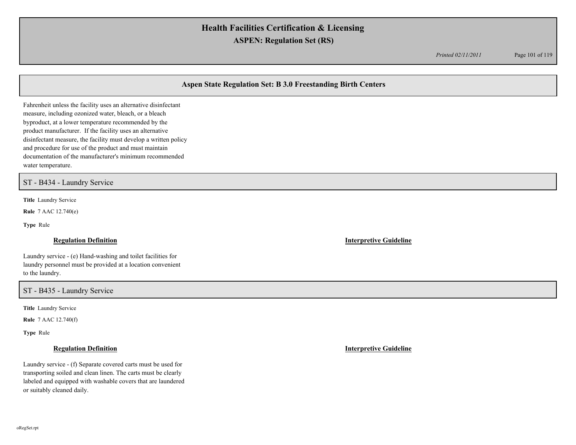*Printed 02/11/2011* Page 101 of 119

# **Aspen State Regulation Set: B 3.0 Freestanding Birth Centers**

Fahrenheit unless the facility uses an alternative disinfectant measure, including ozonized water, bleach, or a bleach byproduct, at a lower temperature recommended by the product manufacturer. If the facility uses an alternative disinfectant measure, the facility must develop a written policy and procedure for use of the product and must maintain documentation of the manufacturer's minimum recommended water temperature.

ST - B434 - Laundry Service

**Title** Laundry Service

**Rule** 7 AAC 12.740(e)

**Type** Rule

Laundry service - (e) Hand-washing and toilet facilities for laundry personnel must be provided at a location convenient to the laundry.

ST - B435 - Laundry Service

**Title** Laundry Service

**Rule** 7 AAC 12.740(f)

**Type** Rule

Laundry service - (f) Separate covered carts must be used for transporting soiled and clean linen. The carts must be clearly labeled and equipped with washable covers that are laundered or suitably cleaned daily.

**Regulation Definition Interpretive Guideline**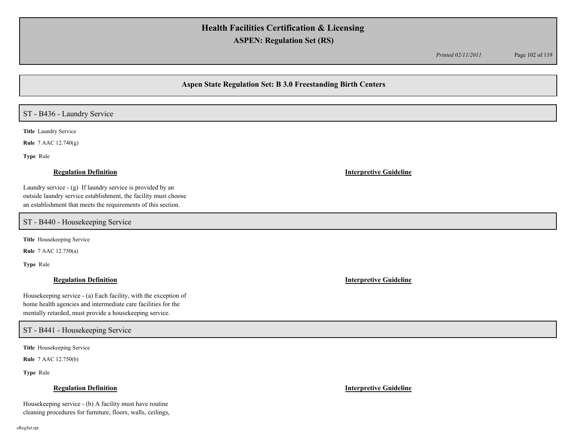*Printed 02/11/2011* Page 102 of 119

## **Aspen State Regulation Set: B 3.0 Freestanding Birth Centers**

## ST - B436 - Laundry Service

**Title** Laundry Service

**Rule** 7 AAC 12.740(g)

**Type** Rule

### **Regulation Definition Interpretive Guideline**

Laundry service - (g) If laundry service is provided by an outside laundry service establishment, the facility must choose an establishment that meets the requirements of this section.

ST - B440 - Housekeeping Service

**Title** Housekeeping Service

**Rule** 7 AAC 12.750(a)

**Type** Rule

Housekeeping service - (a) Each facility, with the exception of home health agencies and intermediate care facilities for the mentally retarded, must provide a housekeeping service.

ST - B441 - Housekeeping Service

**Title** Housekeeping Service

**Rule** 7 AAC 12.750(b)

**Type** Rule

### **Regulation Definition Interpretive Guideline**

Housekeeping service - (b) A facility must have routine cleaning procedures for furniture, floors, walls, ceilings,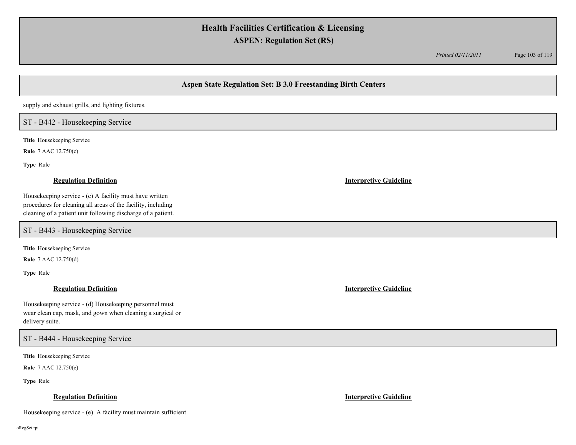*Printed 02/11/2011* Page 103 of 119

# **Aspen State Regulation Set: B 3.0 Freestanding Birth Centers**

supply and exhaust grills, and lighting fixtures.

## ST - B442 - Housekeeping Service

**Title** Housekeeping Service

**Rule** 7 AAC 12.750(c)

**Type** Rule

Housekeeping service - (c) A facility must have written procedures for cleaning all areas of the facility, including cleaning of a patient unit following discharge of a patient.

ST - B443 - Housekeeping Service

**Title** Housekeeping Service

**Rule** 7 AAC 12.750(d)

**Type** Rule

Housekeeping service - (d) Housekeeping personnel must wear clean cap, mask, and gown when cleaning a surgical or delivery suite.

ST - B444 - Housekeeping Service

**Title** Housekeeping Service

**Rule** 7 AAC 12.750(e)

**Type** Rule

## **Regulation Definition Interpretive Guideline**

Housekeeping service - (e) A facility must maintain sufficient

## **Regulation Definition Interpretive Guideline**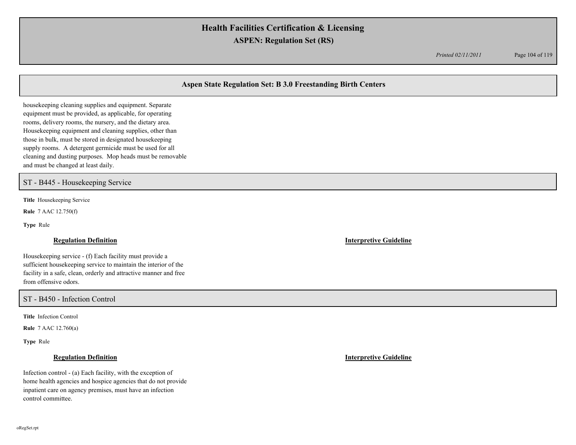*Printed 02/11/2011* Page 104 of 119

# **Aspen State Regulation Set: B 3.0 Freestanding Birth Centers**

housekeeping cleaning supplies and equipment. Separate equipment must be provided, as applicable, for operating rooms, delivery rooms, the nursery, and the dietary area. Housekeeping equipment and cleaning supplies, other than those in bulk, must be stored in designated housekeeping supply rooms. A detergent germicide must be used for all cleaning and dusting purposes. Mop heads must be removable and must be changed at least daily.

## ST - B445 - Housekeeping Service

**Title** Housekeeping Service

**Rule** 7 AAC 12.750(f)

**Type** Rule

Housekeeping service - (f) Each facility must provide a sufficient housekeeping service to maintain the interior of the facility in a safe, clean, orderly and attractive manner and free from offensive odors.

ST - B450 - Infection Control

**Title** Infection Control

**Rule** 7 AAC 12.760(a)

**Type** Rule

Infection control - (a) Each facility, with the exception of home health agencies and hospice agencies that do not provide inpatient care on agency premises, must have an infection control committee.

**Regulation Definition Interpretive Guideline**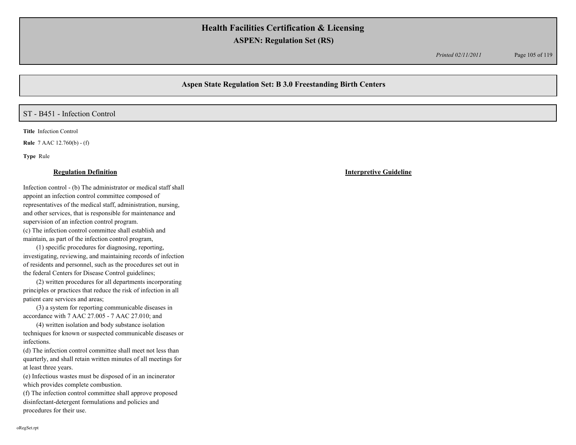*Printed 02/11/2011* Page 105 of 119

# **Aspen State Regulation Set: B 3.0 Freestanding Birth Centers**

### ST - B451 - Infection Control

**Title** Infection Control

**Rule** 7 AAC 12.760(b) - (f)

**Type** Rule

Infection control - (b) The administrator or medical staff shall appoint an infection control committee composed of representatives of the medical staff, administration, nursing, and other services, that is responsible for maintenance and supervision of an infection control program. (c) The infection control committee shall establish and maintain, as part of the infection control program,

(1) specific procedures for diagnosing, reporting, investigating, reviewing, and maintaining records of infection of residents and personnel, such as the procedures set out in the federal Centers for Disease Control guidelines;

(2) written procedures for all departments incorporating principles or practices that reduce the risk of infection in all patient care services and areas;

(3) a system for reporting communicable diseases in accordance with 7 AAC 27.005 - 7 AAC 27.010; and

(4) written isolation and body substance isolation techniques for known or suspected communicable diseases or infections.

(d) The infection control committee shall meet not less than quarterly, and shall retain written minutes of all meetings for at least three years.

(e) Infectious wastes must be disposed of in an incinerator which provides complete combustion.

(f) The infection control committee shall approve proposed disinfectant-detergent formulations and policies and procedures for their use.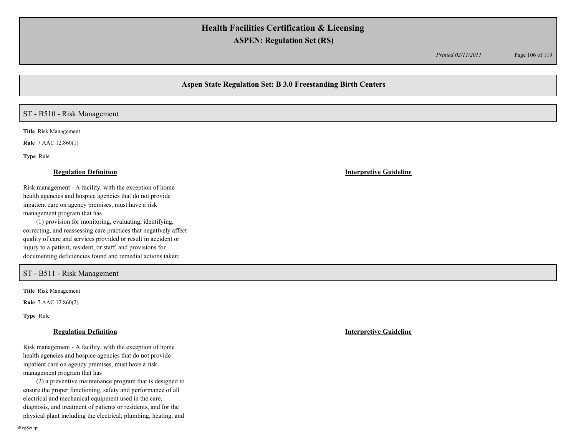*Printed 02/11/2011* Page 106 of 119

## **Aspen State Regulation Set: B 3.0 Freestanding Birth Centers**

## ST - B510 - Risk Management

**Title** Risk Management

**Rule** 7 AAC 12.860(1)

**Type** Rule

Risk management - A facility, with the exception of home health agencies and hospice agencies that do not provide inpatient care on agency premises, must have a risk management program that has

(1) provision for monitoring, evaluating, identifying, correcting, and reassessing care practices that negatively affect quality of care and services provided or result in accident or injury to a patient, resident, or staff, and provisions for documenting deficiencies found and remedial actions taken;

## ST - B511 - Risk Management

**Title** Risk Management

**Rule** 7 AAC 12.860(2)

**Type** Rule

### **Regulation Definition Interpretive Guideline**

Risk management - A facility, with the exception of home health agencies and hospice agencies that do not provide inpatient care on agency premises, must have a risk management program that has

(2) a preventive maintenance program that is designed to ensure the proper functioning, safety and performance of all electrical and mechanical equipment used in the care, diagnosis, and treatment of patients or residents, and for the physical plant including the electrical, plumbing, heating, and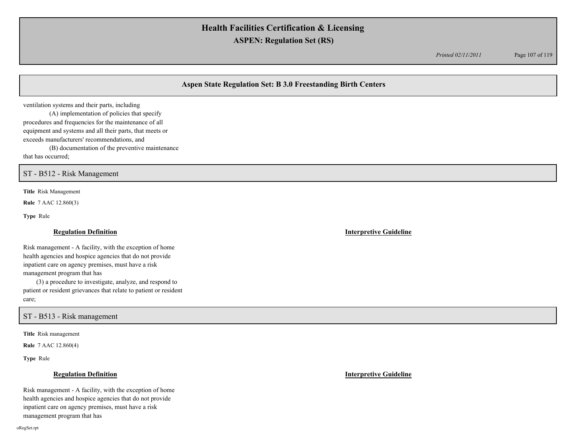*Printed 02/11/2011* Page 107 of 119

# **Aspen State Regulation Set: B 3.0 Freestanding Birth Centers**

ventilation systems and their parts, including (A) implementation of policies that specify procedures and frequencies for the maintenance of all equipment and systems and all their parts, that meets or exceeds manufacturers' recommendations, and (B) documentation of the preventive maintenance

that has occurred;

ST - B512 - Risk Management

**Title** Risk Management

**Rule** 7 AAC 12.860(3)

**Type** Rule

### **Regulation Definition Interpretive Guideline**

Risk management - A facility, with the exception of home health agencies and hospice agencies that do not provide inpatient care on agency premises, must have a risk management program that has

(3) a procedure to investigate, analyze, and respond to patient or resident grievances that relate to patient or resident care;

ST - B513 - Risk management

**Title** Risk management

**Rule** 7 AAC 12.860(4)

**Type** Rule

Risk management - A facility, with the exception of home health agencies and hospice agencies that do not provide inpatient care on agency premises, must have a risk management program that has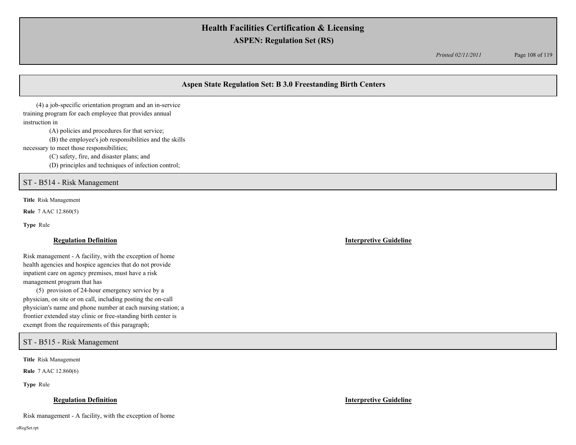*Printed 02/11/2011* Page 108 of 119

# **Aspen State Regulation Set: B 3.0 Freestanding Birth Centers**

(4) a job-specific orientation program and an in-service training program for each employee that provides annual instruction in

(A) policies and procedures for that service;

(B) the employee's job responsibilities and the skills

necessary to meet those responsibilities;

(C) safety, fire, and disaster plans; and

(D) principles and techniques of infection control;

## ST - B514 - Risk Management

**Title** Risk Management

**Rule** 7 AAC 12.860(5)

**Type** Rule

Risk management - A facility, with the exception of home health agencies and hospice agencies that do not provide inpatient care on agency premises, must have a risk management program that has

(5) provision of 24-hour emergency service by a physician, on site or on call, including posting the on-call physician's name and phone number at each nursing station; a frontier extended stay clinic or free-standing birth center is exempt from the requirements of this paragraph;

ST - B515 - Risk Management

**Title** Risk Management

**Rule** 7 AAC 12.860(6)

**Type** Rule

### **Regulation Definition Interpretive Guideline**

Risk management - A facility, with the exception of home

oRegSet.rpt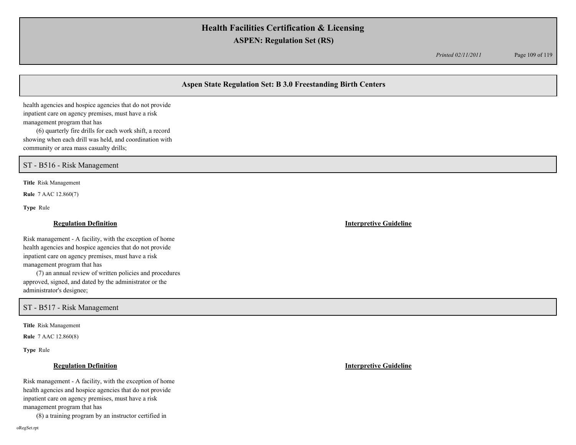*Printed 02/11/2011* Page 109 of 119

# **Aspen State Regulation Set: B 3.0 Freestanding Birth Centers**

health agencies and hospice agencies that do not provide inpatient care on agency premises, must have a risk management program that has

(6) quarterly fire drills for each work shift, a record showing when each drill was held, and coordination with community or area mass casualty drills;

ST - B516 - Risk Management

**Title** Risk Management

**Rule** 7 AAC 12.860(7)

**Type** Rule

Risk management - A facility, with the exception of home health agencies and hospice agencies that do not provide inpatient care on agency premises, must have a risk management program that has

(7) an annual review of written policies and procedures approved, signed, and dated by the administrator or the administrator's designee;

ST - B517 - Risk Management

**Title** Risk Management

**Rule** 7 AAC 12.860(8)

**Type** Rule

## **Regulation Definition Interpretive Guideline**

Risk management - A facility, with the exception of home health agencies and hospice agencies that do not provide inpatient care on agency premises, must have a risk

management program that has

(8) a training program by an instructor certified in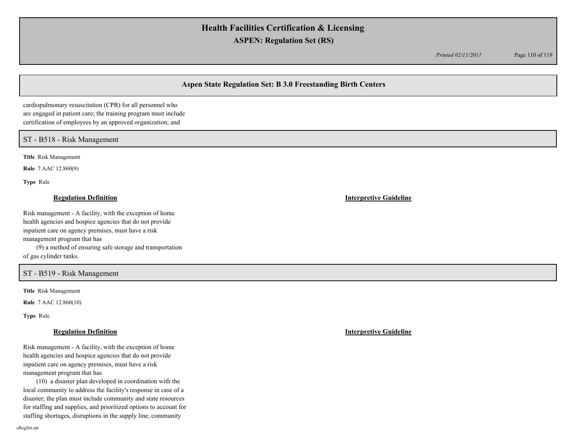*Printed 02/11/2011* Page 110 of 119

# **Aspen State Regulation Set: B 3.0 Freestanding Birth Centers**

cardiopulmonary resuscitation (CPR) for all personnel who are engaged in patient care; the training program must include certification of employees by an approved organization; and

ST - B518 - Risk Management

**Title** Risk Management

**Rule** 7 AAC 12.860(9)

**Type** Rule

### **Regulation Definition Interpretive Guideline**

Risk management - A facility, with the exception of home health agencies and hospice agencies that do not provide inpatient care on agency premises, must have a risk management program that has (9) a method of ensuring safe storage and transportation

of gas cylinder tanks.

# ST - B519 - Risk Management

**Title** Risk Management

**Rule** 7 AAC 12.860(10)

**Type** Rule

Risk management - A facility, with the exception of home health agencies and hospice agencies that do not provide inpatient care on agency premises, must have a risk management program that has

(10) a disaster plan developed in coordination with the local community to address the facility's response in case of a disaster; the plan must include community and state resources for staffing and supplies, and prioritized options to account for staffing shortages, disruptions in the supply line, community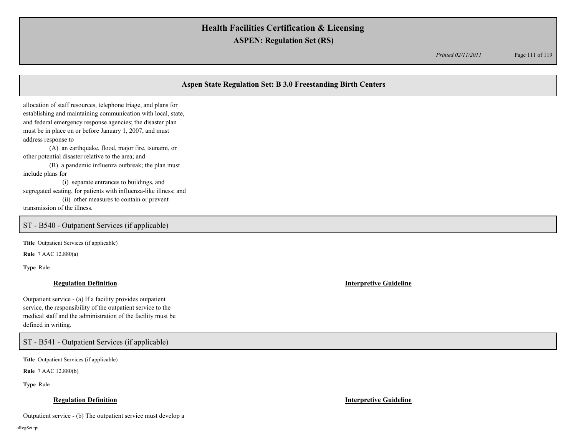*Printed 02/11/2011* Page 111 of 119

# **Aspen State Regulation Set: B 3.0 Freestanding Birth Centers**

allocation of staff resources, telephone triage, and plans for establishing and maintaining communication with local, state, and federal emergency response agencies; the disaster plan must be in place on or before January 1, 2007, and must address response to

(A) an earthquake, flood, major fire, tsunami, or other potential disaster relative to the area; and

(B) a pandemic influenza outbreak; the plan must include plans for

(i) separate entrances to buildings, and segregated seating, for patients with influenza-like illness; and

(ii) other measures to contain or prevent

transmission of the illness.

## ST - B540 - Outpatient Services (if applicable)

**Title** Outpatient Services (if applicable)

**Rule** 7 AAC 12.880(a)

**Type** Rule

### **Regulation Definition Interpretive Guideline**

Outpatient service - (a) If a facility provides outpatient service, the responsibility of the outpatient service to the medical staff and the administration of the facility must be defined in writing.

ST - B541 - Outpatient Services (if applicable)

**Title** Outpatient Services (if applicable)

**Rule** 7 AAC 12.880(b)

**Type** Rule

### **Regulation Definition Interpretive Guideline**

Outpatient service - (b) The outpatient service must develop a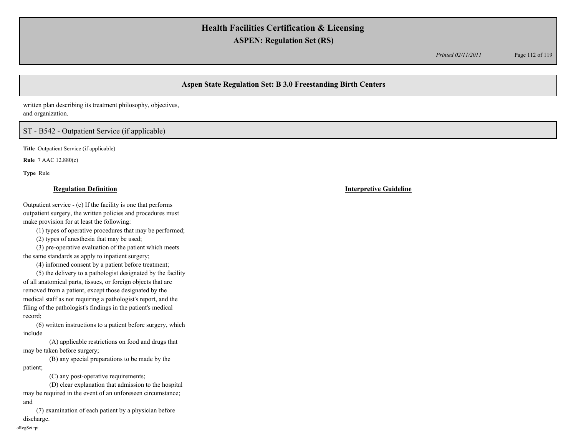*Printed 02/11/2011* Page 112 of 119

# **Aspen State Regulation Set: B 3.0 Freestanding Birth Centers**

written plan describing its treatment philosophy, objectives, and organization.

## ST - B542 - Outpatient Service (if applicable)

**Title** Outpatient Service (if applicable)

**Rule** 7 AAC 12.880(c)

**Type** Rule

### **Regulation Definition Interpretive Guideline**

Outpatient service - (c) If the facility is one that performs outpatient surgery, the written policies and procedures must make provision for at least the following:

(1) types of operative procedures that may be performed;

(2) types of anesthesia that may be used;

(3) pre-operative evaluation of the patient which meets the same standards as apply to inpatient surgery;

(4) informed consent by a patient before treatment;

(5) the delivery to a pathologist designated by the facility of all anatomical parts, tissues, or foreign objects that are removed from a patient, except those designated by the medical staff as not requiring a pathologist's report, and the filing of the pathologist's findings in the patient's medical record;

(6) written instructions to a patient before surgery, which include

(A) applicable restrictions on food and drugs that may be taken before surgery;

(B) any special preparations to be made by the patient;

(C) any post-operative requirements;

(D) clear explanation that admission to the hospital may be required in the event of an unforeseen circumstance; and

(7) examination of each patient by a physician before discharge.

oRegSet.rpt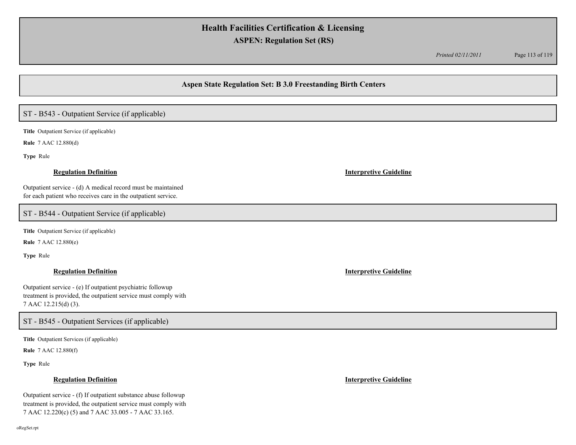*Printed 02/11/2011* Page 113 of 119

# **Aspen State Regulation Set: B 3.0 Freestanding Birth Centers**

# ST - B543 - Outpatient Service (if applicable)

**Title** Outpatient Service (if applicable)

**Rule** 7 AAC 12.880(d)

**Type** Rule

### **Regulation Definition Interpretive Guideline**

Outpatient service - (d) A medical record must be maintained for each patient who receives care in the outpatient service.

## ST - B544 - Outpatient Service (if applicable)

**Title** Outpatient Service (if applicable)

**Rule** 7 AAC 12.880(e)

**Type** Rule

Outpatient service - (e) If outpatient psychiatric followup treatment is provided, the outpatient service must comply with 7 AAC 12.215(d) (3).

ST - B545 - Outpatient Services (if applicable)

**Title** Outpatient Services (if applicable)

**Rule** 7 AAC 12.880(f)

**Type** Rule

### **Regulation Definition Interpretive Guideline**

Outpatient service - (f) If outpatient substance abuse followup treatment is provided, the outpatient service must comply with 7 AAC 12.220(c) (5) and 7 AAC 33.005 - 7 AAC 33.165.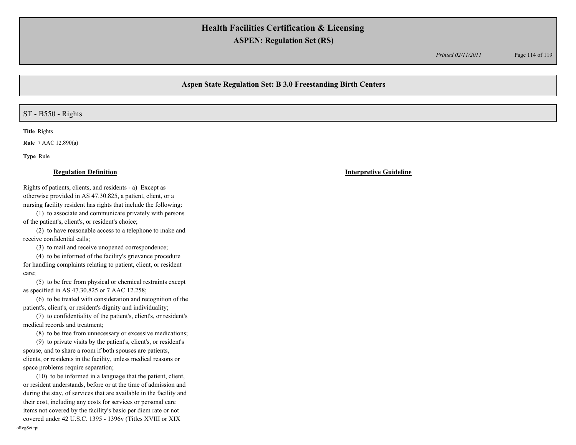*Printed 02/11/2011* Page 114 of 119

# **Aspen State Regulation Set: B 3.0 Freestanding Birth Centers**

## ST - B550 - Rights

**Title** Rights

**Rule** 7 AAC 12.890(a)

**Type** Rule

### **Regulation Definition Interpretive Guideline**

Rights of patients, clients, and residents - a) Except as otherwise provided in AS 47.30.825, a patient, client, or a nursing facility resident has rights that include the following:

(1) to associate and communicate privately with persons of the patient's, client's, or resident's choice;

(2) to have reasonable access to a telephone to make and receive confidential calls;

(3) to mail and receive unopened correspondence;

(4) to be informed of the facility's grievance procedure for handling complaints relating to patient, client, or resident care;

(5) to be free from physical or chemical restraints except as specified in AS 47.30.825 or 7 AAC 12.258;

(6) to be treated with consideration and recognition of the patient's, client's, or resident's dignity and individuality;

(7) to confidentiality of the patient's, client's, or resident's medical records and treatment;

(8) to be free from unnecessary or excessive medications;

(9) to private visits by the patient's, client's, or resident's spouse, and to share a room if both spouses are patients, clients, or residents in the facility, unless medical reasons or space problems require separation;

(10) to be informed in a language that the patient, client, or resident understands, before or at the time of admission and during the stay, of services that are available in the facility and their cost, including any costs for services or personal care items not covered by the facility's basic per diem rate or not covered under 42 U.S.C. 1395 - 1396v (Titles XVIII or XIX oRegSet.rpt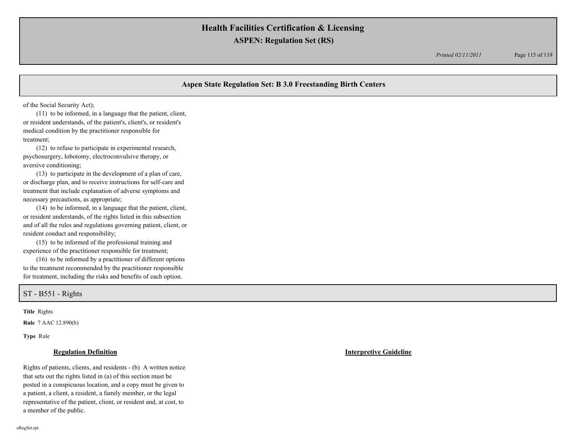*Printed 02/11/2011* Page 115 of 119

# **Aspen State Regulation Set: B 3.0 Freestanding Birth Centers**

of the Social Security Act);

(11) to be informed, in a language that the patient, client, or resident understands, of the patient's, client's, or resident's medical condition by the practitioner responsible for treatment;

(12) to refuse to participate in experimental research, psychosurgery, lobotomy, electroconvulsive therapy, or aversive conditioning;

(13) to participate in the development of a plan of care, or discharge plan, and to receive instructions for self-care and treatment that include explanation of adverse symptoms and necessary precautions, as appropriate;

(14) to be informed, in a language that the patient, client, or resident understands, of the rights listed in this subsection and of all the rules and regulations governing patient, client, or resident conduct and responsibility;

(15) to be informed of the professional training and experience of the practitioner responsible for treatment;

(16) to be informed by a practitioner of different options to the treatment recommended by the practitioner responsible for treatment, including the risks and benefits of each option.

ST - B551 - Rights

**Title** Rights

**Rule** 7 AAC 12.890(b)

**Type** Rule

Rights of patients, clients, and residents - (b) A written notice that sets out the rights listed in (a) of this section must be posted in a conspicuous location, and a copy must be given to a patient, a client, a resident, a family member, or the legal representative of the patient, client, or resident and, at cost, to a member of the public.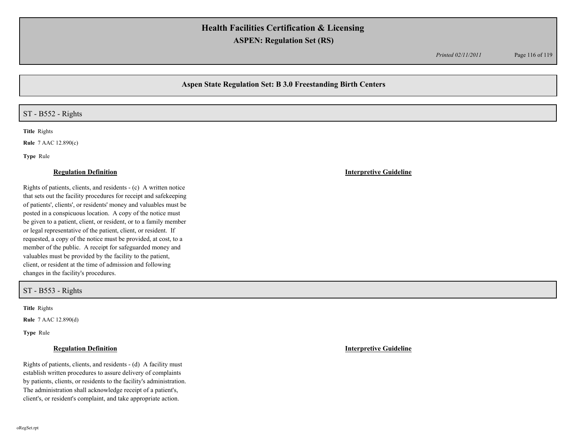*Printed 02/11/2011* Page 116 of 119

# **Aspen State Regulation Set: B 3.0 Freestanding Birth Centers**

## ST - B552 - Rights

**Title** Rights

**Rule** 7 AAC 12.890(c)

**Type** Rule

### **Regulation Definition Interpretive Guideline**

Rights of patients, clients, and residents - (c) A written notice that sets out the facility procedures for receipt and safekeeping of patients', clients', or residents' money and valuables must be posted in a conspicuous location. A copy of the notice must be given to a patient, client, or resident, or to a family member or legal representative of the patient, client, or resident. If requested, a copy of the notice must be provided, at cost, to a member of the public. A receipt for safeguarded money and valuables must be provided by the facility to the patient, client, or resident at the time of admission and following changes in the facility's procedures.

ST - B553 - Rights

**Title** Rights

**Rule** 7 AAC 12.890(d)

**Type** Rule

Rights of patients, clients, and residents - (d) A facility must establish written procedures to assure delivery of complaints by patients, clients, or residents to the facility's administration. The administration shall acknowledge receipt of a patient's, client's, or resident's complaint, and take appropriate action.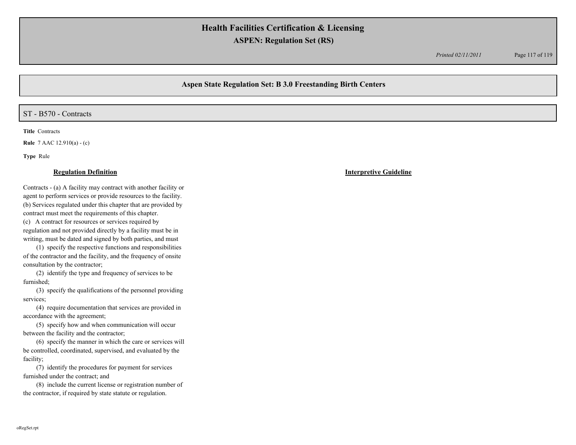*Printed 02/11/2011* Page 117 of 119

# **Aspen State Regulation Set: B 3.0 Freestanding Birth Centers**

### ST - B570 - Contracts

**Title** Contracts

**Rule** 7 AAC 12.910(a) - (c)

**Type** Rule

Contracts - (a) A facility may contract with another facility or agent to perform services or provide resources to the facility. (b) Services regulated under this chapter that are provided by contract must meet the requirements of this chapter.

(c) A contract for resources or services required by regulation and not provided directly by a facility must be in writing, must be dated and signed by both parties, and must

(1) specify the respective functions and responsibilities of the contractor and the facility, and the frequency of onsite consultation by the contractor;

(2) identify the type and frequency of services to be furnished;

(3) specify the qualifications of the personnel providing services;

(4) require documentation that services are provided in accordance with the agreement;

(5) specify how and when communication will occur between the facility and the contractor;

(6) specify the manner in which the care or services will be controlled, coordinated, supervised, and evaluated by the facility;

(7) identify the procedures for payment for services furnished under the contract; and

(8) include the current license or registration number of the contractor, if required by state statute or regulation.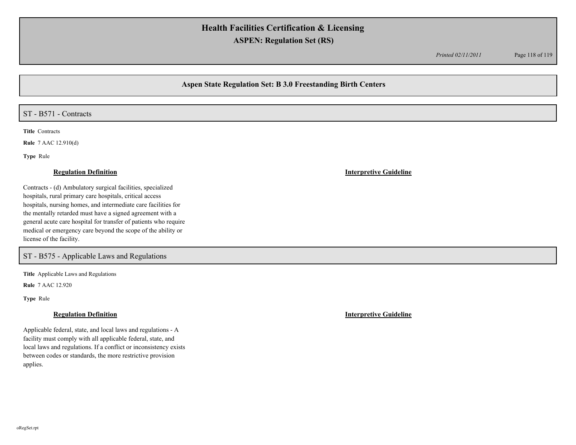*Printed 02/11/2011* Page 118 of 119

# **Aspen State Regulation Set: B 3.0 Freestanding Birth Centers**

# ST - B571 - Contracts

**Title** Contracts

**Rule** 7 AAC 12.910(d)

**Type** Rule

### **Regulation Definition Interpretive Guideline**

Contracts - (d) Ambulatory surgical facilities, specialized hospitals, rural primary care hospitals, critical access hospitals, nursing homes, and intermediate care facilities for the mentally retarded must have a signed agreement with a general acute care hospital for transfer of patients who require medical or emergency care beyond the scope of the ability or license of the facility.

ST - B575 - Applicable Laws and Regulations

**Title** Applicable Laws and Regulations

**Rule** 7 AAC 12.920

**Type** Rule

Applicable federal, state, and local laws and regulations - A facility must comply with all applicable federal, state, and local laws and regulations. If a conflict or inconsistency exists between codes or standards, the more restrictive provision applies.